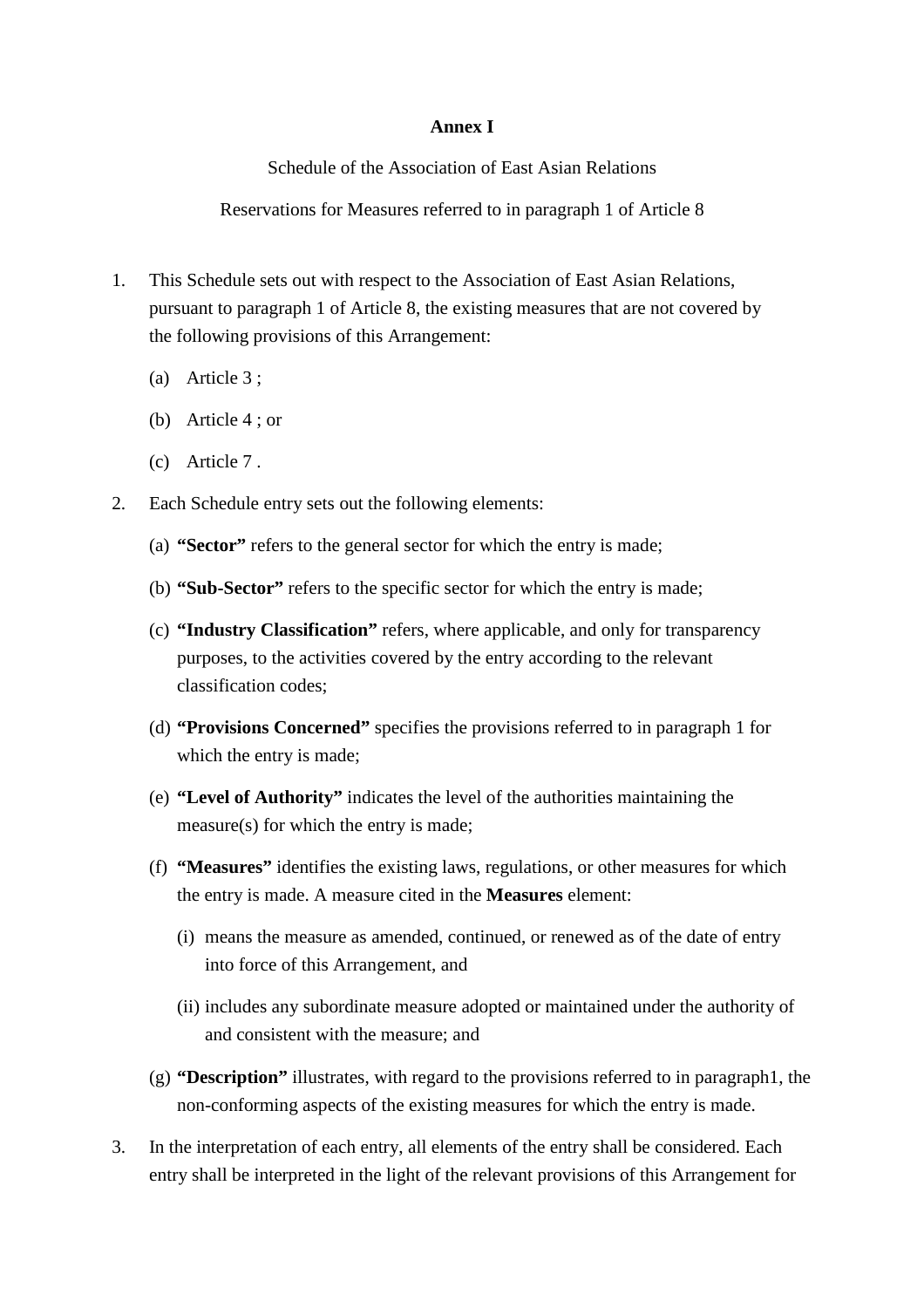# **Annex I**

Schedule of the Association of East Asian Relations

Reservations for Measures referred to in paragraph 1 of Article 8

- 1. This Schedule sets out with respect to the Association of East Asian Relations, pursuant to paragraph 1 of Article 8, the existing measures that are not covered by the following provisions of this Arrangement:
	- (a) Article 3 ;
	- (b) Article 4 ; or
	- (c) Article 7 .
- 2. Each Schedule entry sets out the following elements:
	- (a) **"Sector"** refers to the general sector for which the entry is made;
	- (b) **"Sub-Sector"** refers to the specific sector for which the entry is made;
	- (c) **"Industry Classification"** refers, where applicable, and only for transparency purposes, to the activities covered by the entry according to the relevant classification codes;
	- (d) **"Provisions Concerned"** specifies the provisions referred to in paragraph 1 for which the entry is made;
	- (e) **"Level of Authority"** indicates the level of the authorities maintaining the measure(s) for which the entry is made;
	- (f) **"Measures"** identifies the existing laws, regulations, or other measures for which the entry is made. A measure cited in the **Measures** element:
		- (i) means the measure as amended, continued, or renewed as of the date of entry into force of this Arrangement, and
		- (ii) includes any subordinate measure adopted or maintained under the authority of and consistent with the measure; and
	- (g) **"Description"** illustrates, with regard to the provisions referred to in paragraph1, the non-conforming aspects of the existing measures for which the entry is made.
- 3. In the interpretation of each entry, all elements of the entry shall be considered. Each entry shall be interpreted in the light of the relevant provisions of this Arrangement for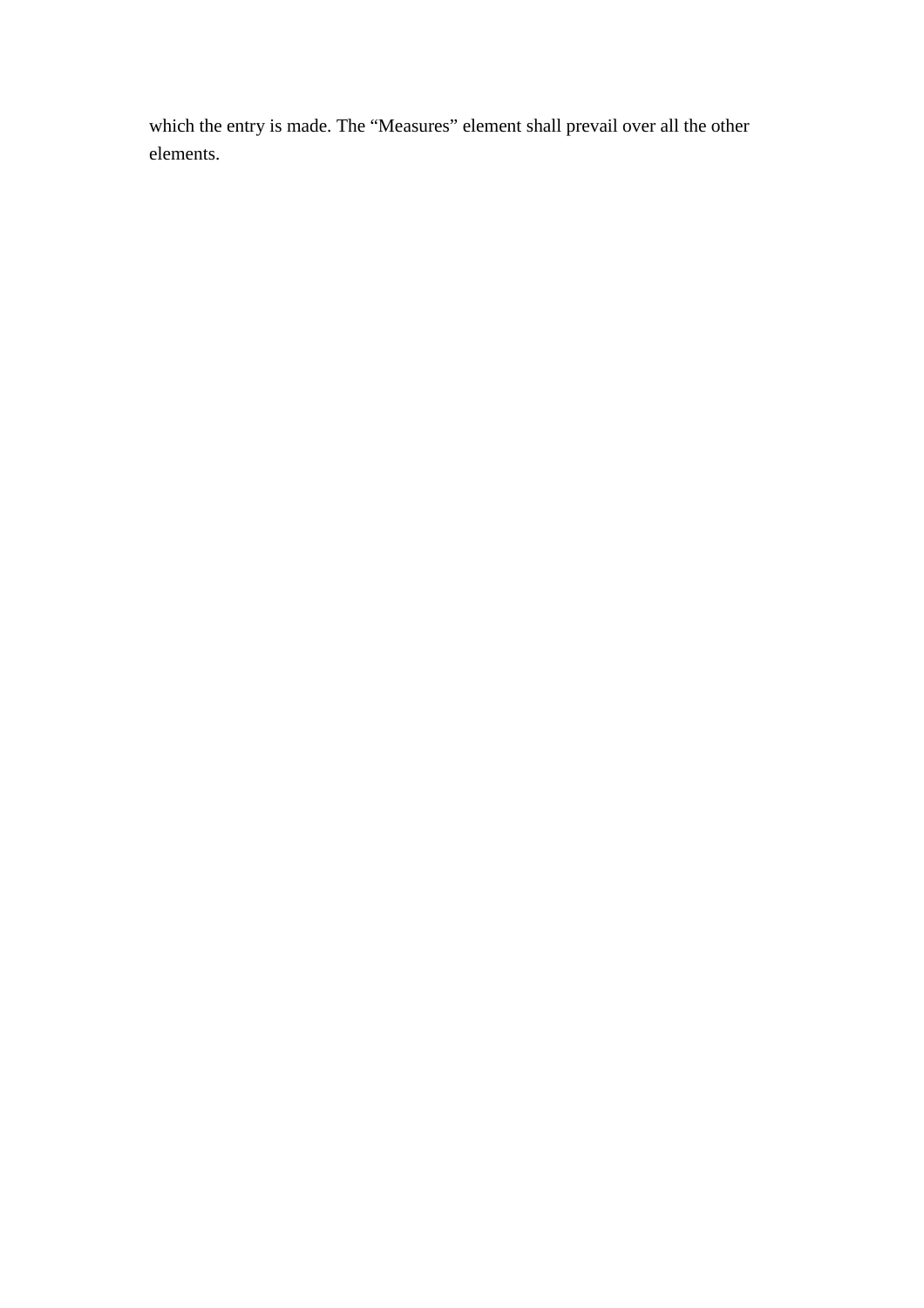which the entry is made. The "Measures" element shall prevail over all the other elements.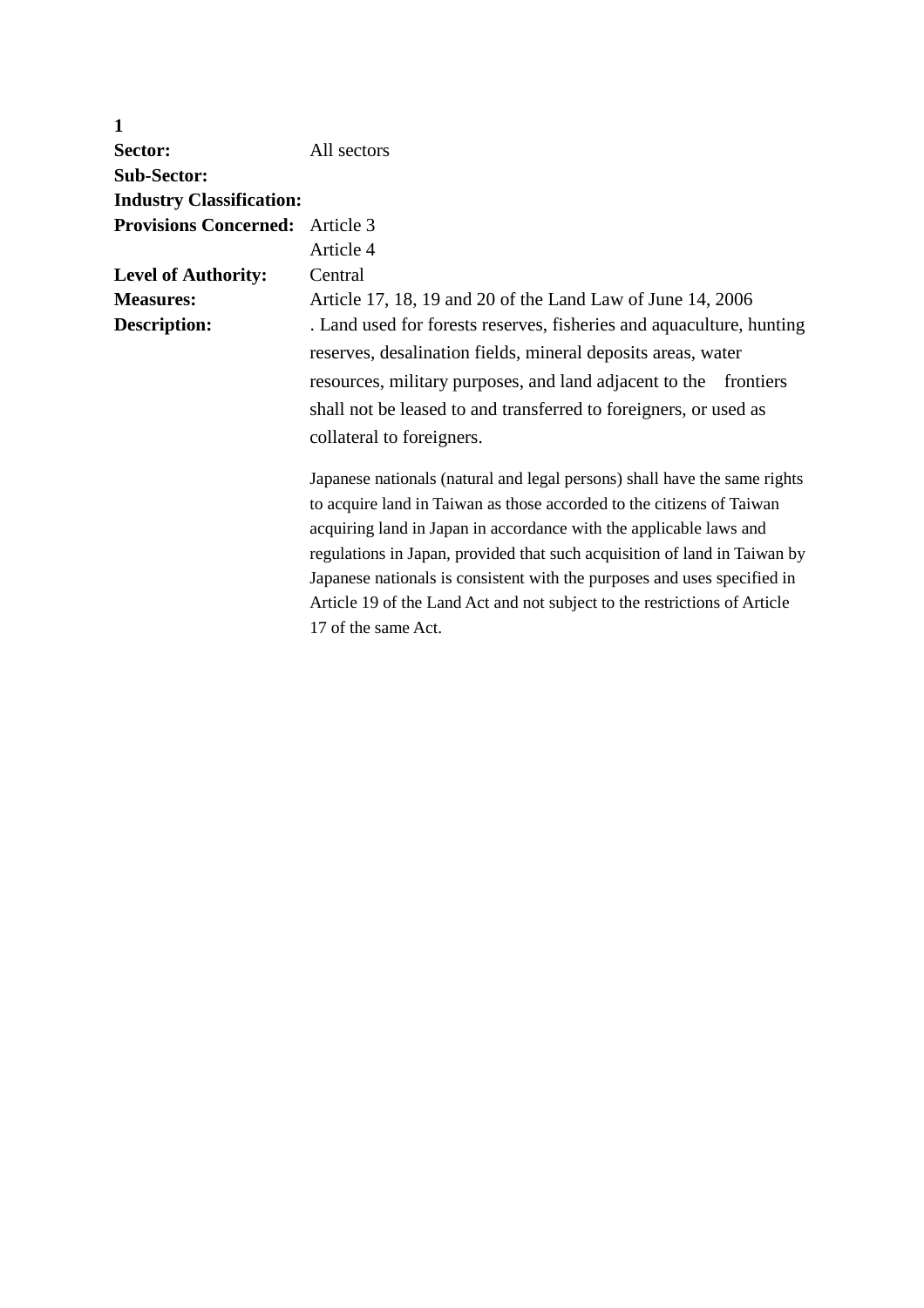| $\mathbf{1}$                           |                                                                           |
|----------------------------------------|---------------------------------------------------------------------------|
| Sector:                                | All sectors                                                               |
| <b>Sub-Sector:</b>                     |                                                                           |
| <b>Industry Classification:</b>        |                                                                           |
| <b>Provisions Concerned:</b> Article 3 |                                                                           |
|                                        | Article 4                                                                 |
| <b>Level of Authority:</b>             | Central                                                                   |
| <b>Measures:</b>                       | Article 17, 18, 19 and 20 of the Land Law of June 14, 2006                |
| <b>Description:</b>                    | . Land used for forests reserves, fisheries and aquaculture, hunting      |
|                                        | reserves, desalination fields, mineral deposits areas, water              |
|                                        | resources, military purposes, and land adjacent to the frontiers          |
|                                        | shall not be leased to and transferred to foreigners, or used as          |
|                                        | collateral to foreigners.                                                 |
|                                        |                                                                           |
|                                        | Japanese nationals (natural and legal persons) shall have the same rights |
|                                        | to acquire land in Taiwan as those accorded to the citizens of Taiwan     |
|                                        | acquiring land in Japan in accordance with the applicable laws and        |
|                                        | regulations in Japan, provided that such acquisition of land in Taiwan by |
|                                        | Japanese nationals is consistent with the purposes and uses specified in  |
|                                        | Article 19 of the Land Act and not subject to the restrictions of Article |
|                                        | 17 of the same Act.                                                       |
|                                        |                                                                           |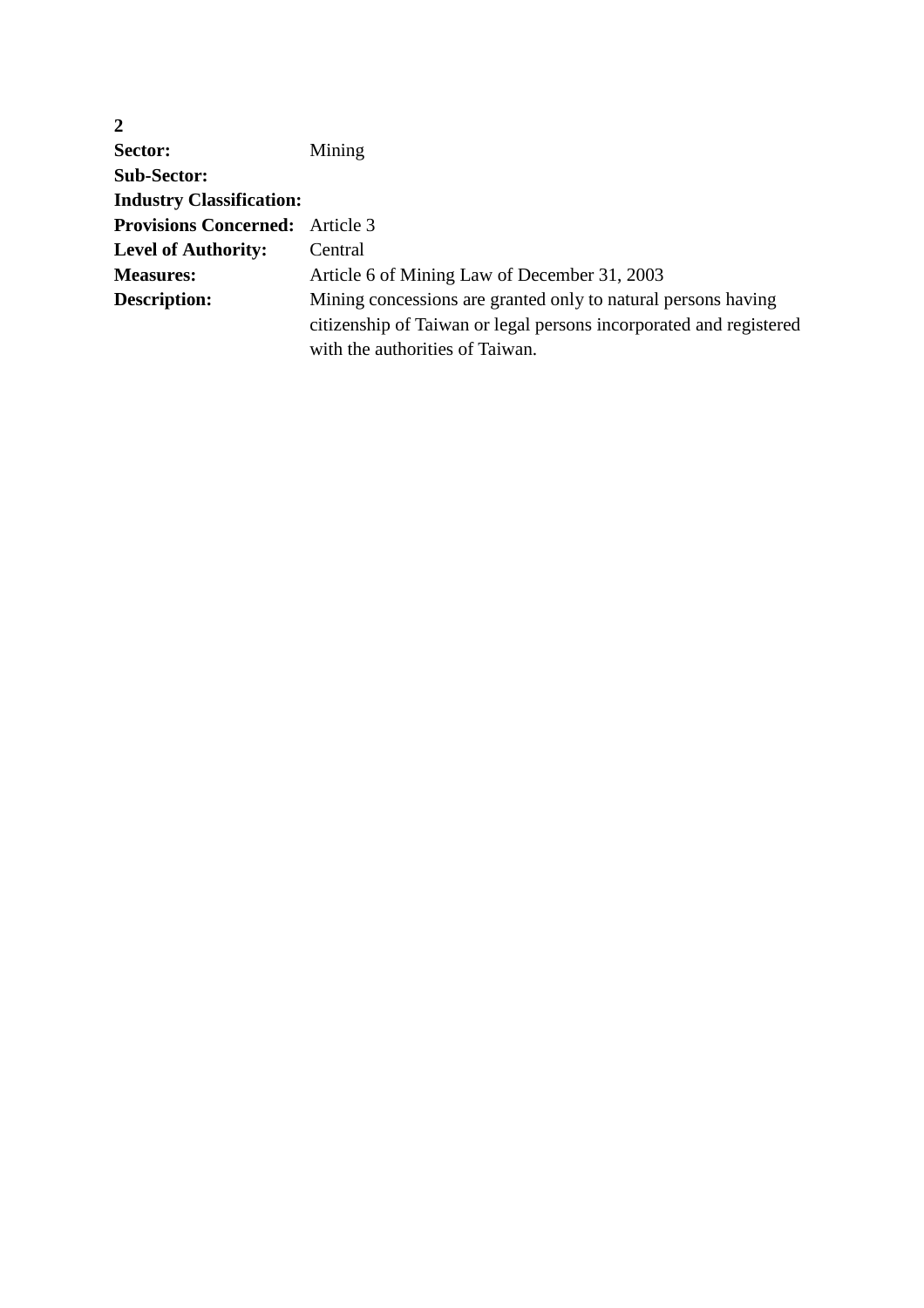| $\overline{2}$                         |                                                                    |
|----------------------------------------|--------------------------------------------------------------------|
| Sector:                                | Mining                                                             |
| <b>Sub-Sector:</b>                     |                                                                    |
| <b>Industry Classification:</b>        |                                                                    |
| <b>Provisions Concerned:</b> Article 3 |                                                                    |
| <b>Level of Authority:</b>             | Central                                                            |
| <b>Measures:</b>                       | Article 6 of Mining Law of December 31, 2003                       |
| <b>Description:</b>                    | Mining concessions are granted only to natural persons having      |
|                                        | citizenship of Taiwan or legal persons incorporated and registered |
|                                        | with the authorities of Taiwan.                                    |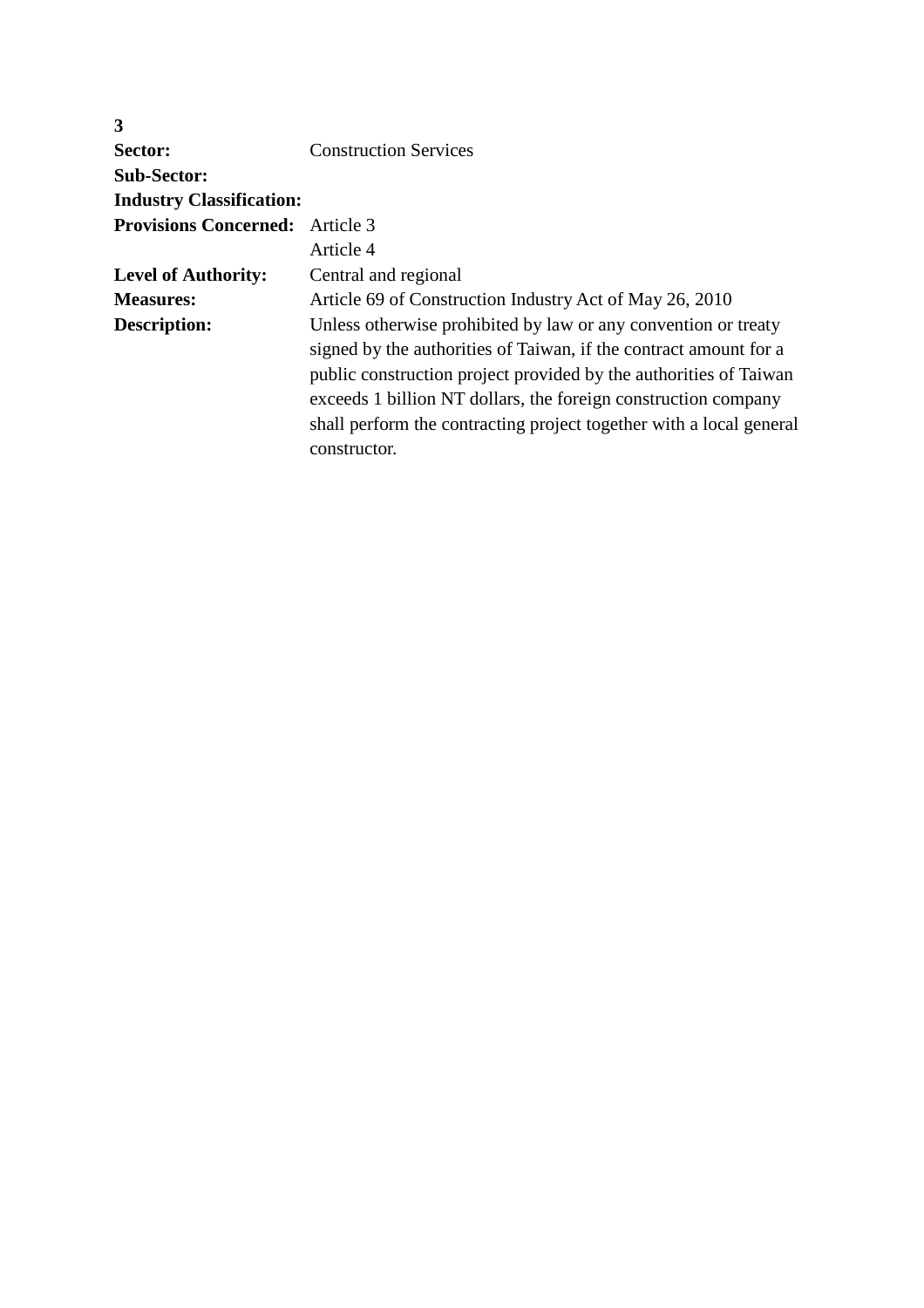| 3                                      |                                                                                                                                                                                                                                                                                                                                                                   |
|----------------------------------------|-------------------------------------------------------------------------------------------------------------------------------------------------------------------------------------------------------------------------------------------------------------------------------------------------------------------------------------------------------------------|
| Sector:                                | <b>Construction Services</b>                                                                                                                                                                                                                                                                                                                                      |
| <b>Sub-Sector:</b>                     |                                                                                                                                                                                                                                                                                                                                                                   |
| <b>Industry Classification:</b>        |                                                                                                                                                                                                                                                                                                                                                                   |
| <b>Provisions Concerned:</b> Article 3 |                                                                                                                                                                                                                                                                                                                                                                   |
|                                        | Article 4                                                                                                                                                                                                                                                                                                                                                         |
| <b>Level of Authority:</b>             | Central and regional                                                                                                                                                                                                                                                                                                                                              |
| <b>Measures:</b>                       | Article 69 of Construction Industry Act of May 26, 2010                                                                                                                                                                                                                                                                                                           |
| Description:                           | Unless otherwise prohibited by law or any convention or treaty<br>signed by the authorities of Taiwan, if the contract amount for a<br>public construction project provided by the authorities of Taiwan<br>exceeds 1 billion NT dollars, the foreign construction company<br>shall perform the contracting project together with a local general<br>constructor. |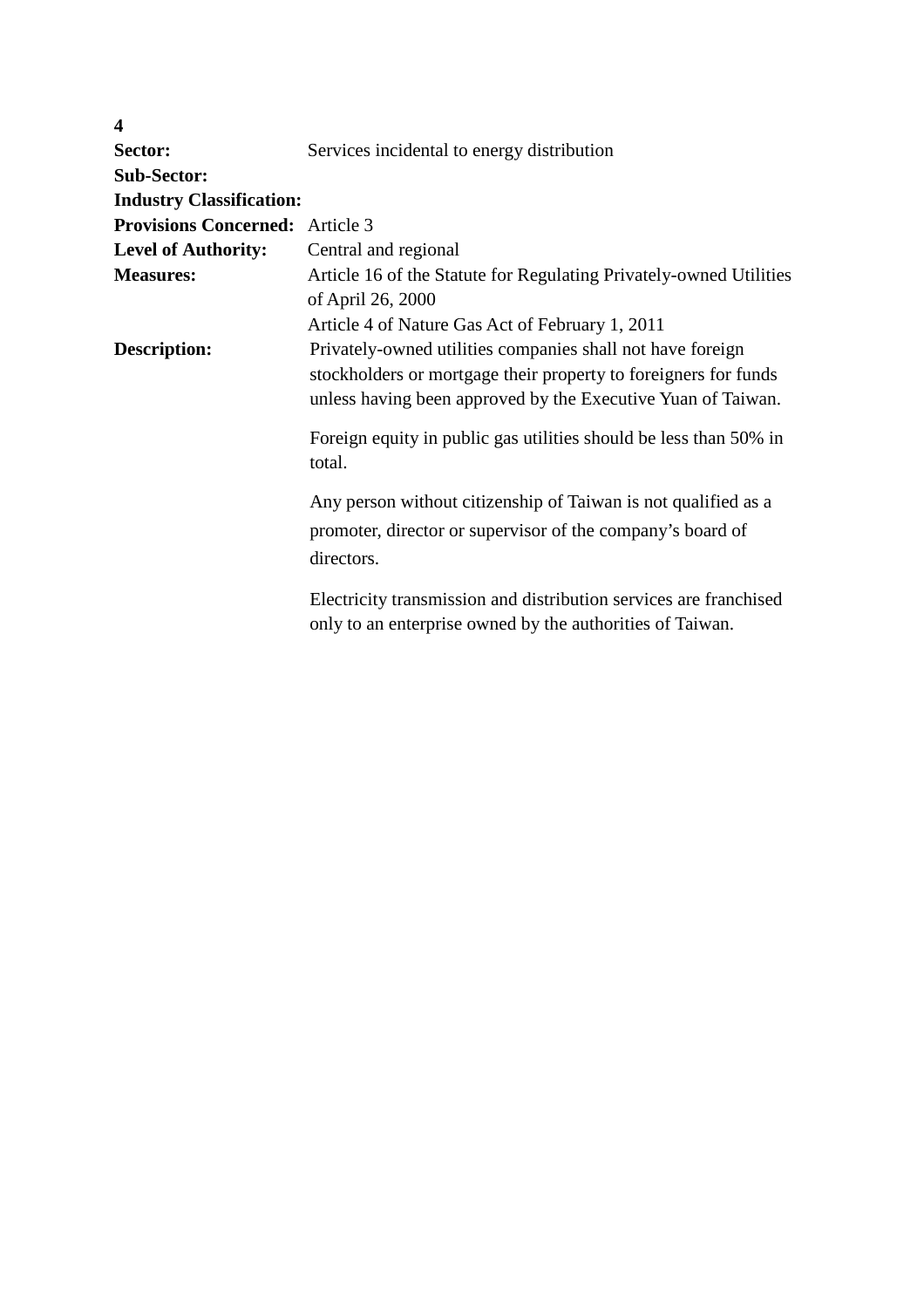| $\boldsymbol{4}$                       |                                                                                                                                                                                               |
|----------------------------------------|-----------------------------------------------------------------------------------------------------------------------------------------------------------------------------------------------|
| Sector:                                | Services incidental to energy distribution                                                                                                                                                    |
| <b>Sub-Sector:</b>                     |                                                                                                                                                                                               |
| <b>Industry Classification:</b>        |                                                                                                                                                                                               |
| <b>Provisions Concerned:</b> Article 3 |                                                                                                                                                                                               |
| <b>Level of Authority:</b>             | Central and regional                                                                                                                                                                          |
| <b>Measures:</b>                       | Article 16 of the Statute for Regulating Privately-owned Utilities<br>of April 26, 2000                                                                                                       |
|                                        | Article 4 of Nature Gas Act of February 1, 2011                                                                                                                                               |
| <b>Description:</b>                    | Privately-owned utilities companies shall not have foreign<br>stockholders or mortgage their property to foreigners for funds<br>unless having been approved by the Executive Yuan of Taiwan. |
|                                        | Foreign equity in public gas utilities should be less than 50% in<br>total.                                                                                                                   |
|                                        | Any person without citizenship of Taiwan is not qualified as a<br>promoter, director or supervisor of the company's board of<br>directors.                                                    |
|                                        | Electricity transmission and distribution services are franchised<br>only to an enterprise owned by the authorities of Taiwan.                                                                |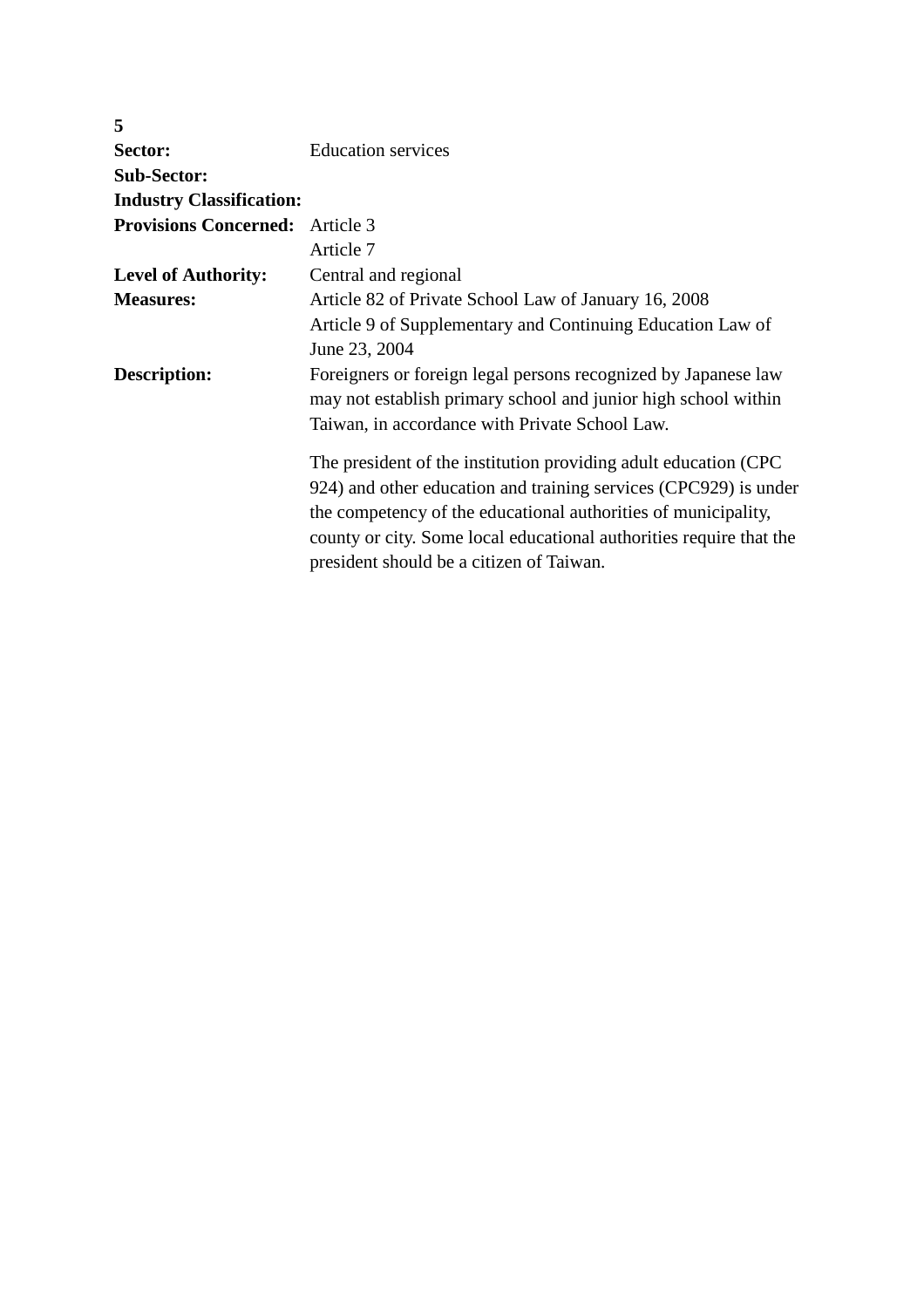| 5                                      |                                                                     |
|----------------------------------------|---------------------------------------------------------------------|
| Sector:                                | <b>Education services</b>                                           |
| <b>Sub-Sector:</b>                     |                                                                     |
| <b>Industry Classification:</b>        |                                                                     |
| <b>Provisions Concerned:</b> Article 3 |                                                                     |
|                                        | Article 7                                                           |
| <b>Level of Authority:</b>             | Central and regional                                                |
| <b>Measures:</b>                       | Article 82 of Private School Law of January 16, 2008                |
|                                        | Article 9 of Supplementary and Continuing Education Law of          |
|                                        | June 23, 2004                                                       |
| Description:                           | Foreigners or foreign legal persons recognized by Japanese law      |
|                                        | may not establish primary school and junior high school within      |
|                                        | Taiwan, in accordance with Private School Law.                      |
|                                        | The president of the institution providing adult education (CPC     |
|                                        | 924) and other education and training services (CPC929) is under    |
|                                        | the competency of the educational authorities of municipality,      |
|                                        | county or city. Some local educational authorities require that the |
|                                        | president should be a citizen of Taiwan.                            |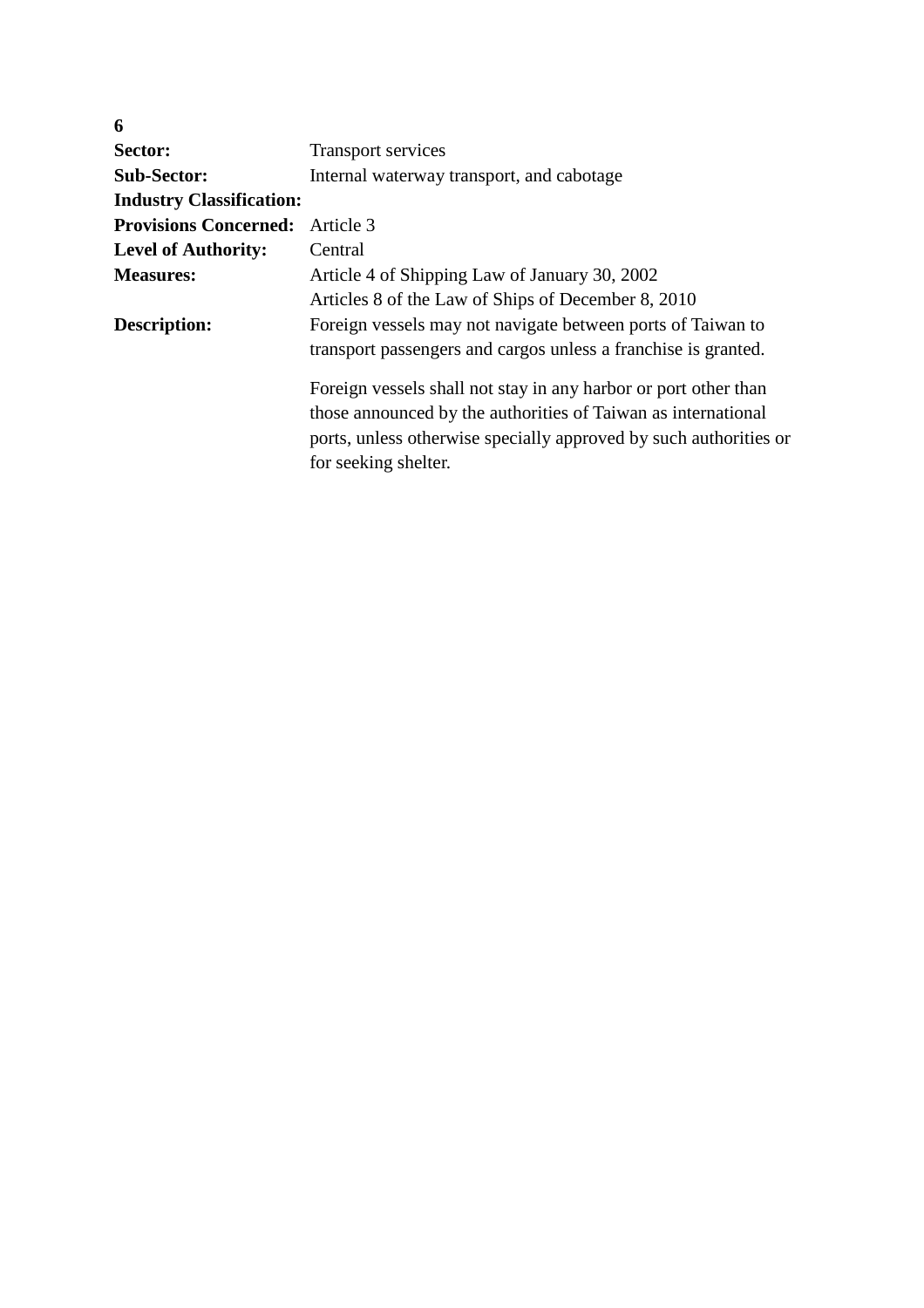| 6                                      |                                                                   |
|----------------------------------------|-------------------------------------------------------------------|
| Sector:                                | <b>Transport services</b>                                         |
| <b>Sub-Sector:</b>                     | Internal waterway transport, and cabotage                         |
| <b>Industry Classification:</b>        |                                                                   |
| <b>Provisions Concerned:</b> Article 3 |                                                                   |
| <b>Level of Authority:</b>             | Central                                                           |
| <b>Measures:</b>                       | Article 4 of Shipping Law of January 30, 2002                     |
|                                        | Articles 8 of the Law of Ships of December 8, 2010                |
| Description:                           | Foreign vessels may not navigate between ports of Taiwan to       |
|                                        | transport passengers and cargos unless a franchise is granted.    |
|                                        | Foreign vessels shall not stay in any harbor or port other than   |
|                                        | those announced by the authorities of Taiwan as international     |
|                                        | ports, unless otherwise specially approved by such authorities or |
|                                        | for seeking shelter.                                              |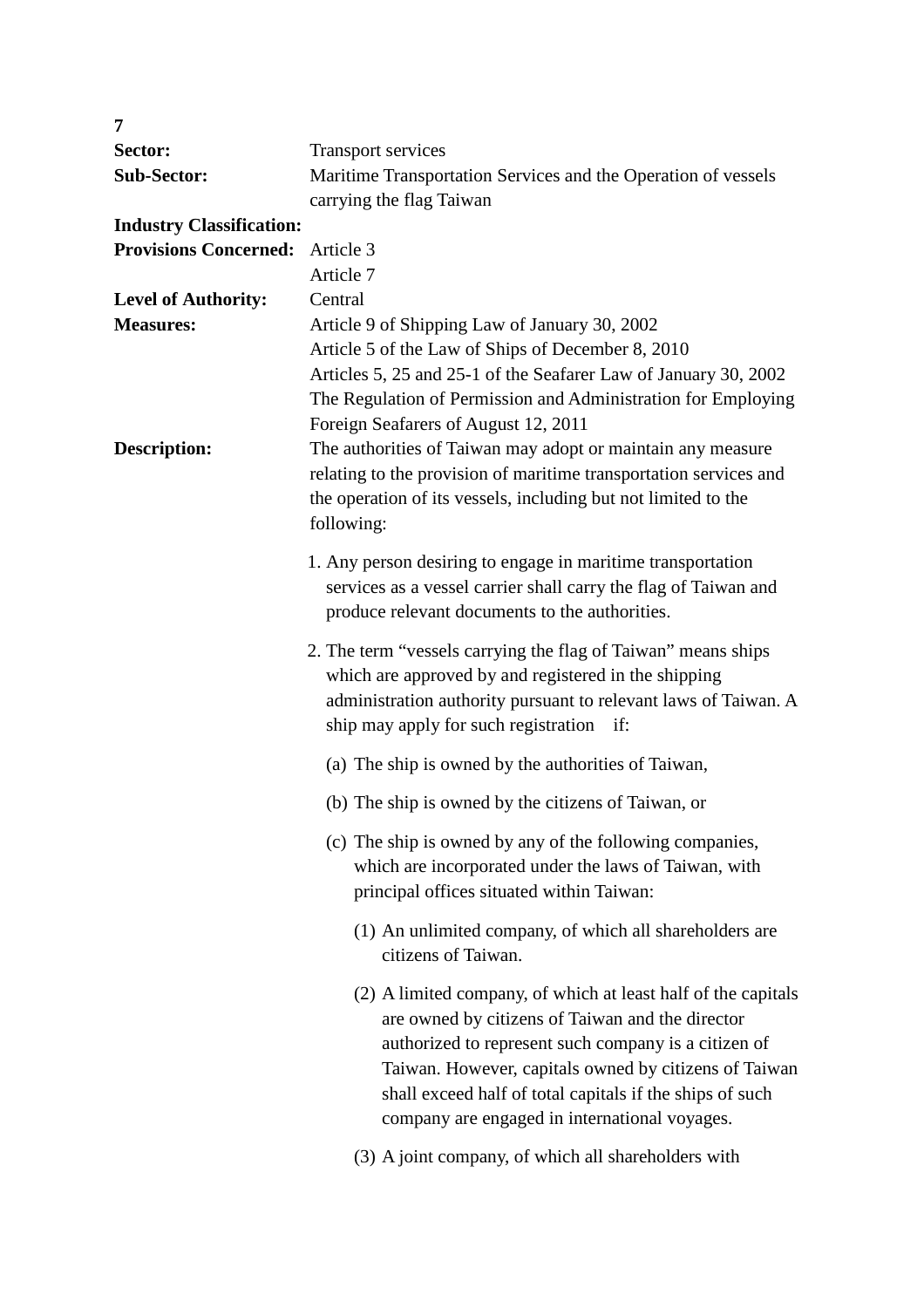| 7                               |                                                                                                       |
|---------------------------------|-------------------------------------------------------------------------------------------------------|
| Sector:                         | <b>Transport services</b>                                                                             |
| <b>Sub-Sector:</b>              | Maritime Transportation Services and the Operation of vessels                                         |
|                                 | carrying the flag Taiwan                                                                              |
| <b>Industry Classification:</b> |                                                                                                       |
| <b>Provisions Concerned:</b>    | Article 3                                                                                             |
|                                 | Article 7                                                                                             |
| <b>Level of Authority:</b>      | Central                                                                                               |
| <b>Measures:</b>                | Article 9 of Shipping Law of January 30, 2002                                                         |
|                                 | Article 5 of the Law of Ships of December 8, 2010                                                     |
|                                 | Articles 5, 25 and 25-1 of the Seafarer Law of January 30, 2002                                       |
|                                 | The Regulation of Permission and Administration for Employing<br>Foreign Seafarers of August 12, 2011 |
| <b>Description:</b>             | The authorities of Taiwan may adopt or maintain any measure                                           |
|                                 | relating to the provision of maritime transportation services and                                     |
|                                 | the operation of its vessels, including but not limited to the                                        |
|                                 | following:                                                                                            |
|                                 | 1. Any person desiring to engage in maritime transportation                                           |
|                                 | services as a vessel carrier shall carry the flag of Taiwan and                                       |
|                                 | produce relevant documents to the authorities.                                                        |
|                                 |                                                                                                       |
|                                 | 2. The term "vessels carrying the flag of Taiwan" means ships                                         |
|                                 | which are approved by and registered in the shipping                                                  |
|                                 | administration authority pursuant to relevant laws of Taiwan. A                                       |
|                                 | ship may apply for such registration if:                                                              |
|                                 | (a) The ship is owned by the authorities of Taiwan,                                                   |
|                                 | (b) The ship is owned by the citizens of Taiwan, or                                                   |
|                                 | (c) The ship is owned by any of the following companies,                                              |
|                                 | which are incorporated under the laws of Taiwan, with                                                 |
|                                 | principal offices situated within Taiwan:                                                             |
|                                 | (1) An unlimited company, of which all shareholders are                                               |
|                                 | citizens of Taiwan.                                                                                   |
|                                 | (2) A limited company, of which at least half of the capitals                                         |
|                                 | are owned by citizens of Taiwan and the director                                                      |
|                                 | authorized to represent such company is a citizen of                                                  |
|                                 | Taiwan. However, capitals owned by citizens of Taiwan                                                 |
|                                 | shall exceed half of total capitals if the ships of such                                              |
|                                 | company are engaged in international voyages.                                                         |
|                                 | (3) A joint company, of which all shareholders with                                                   |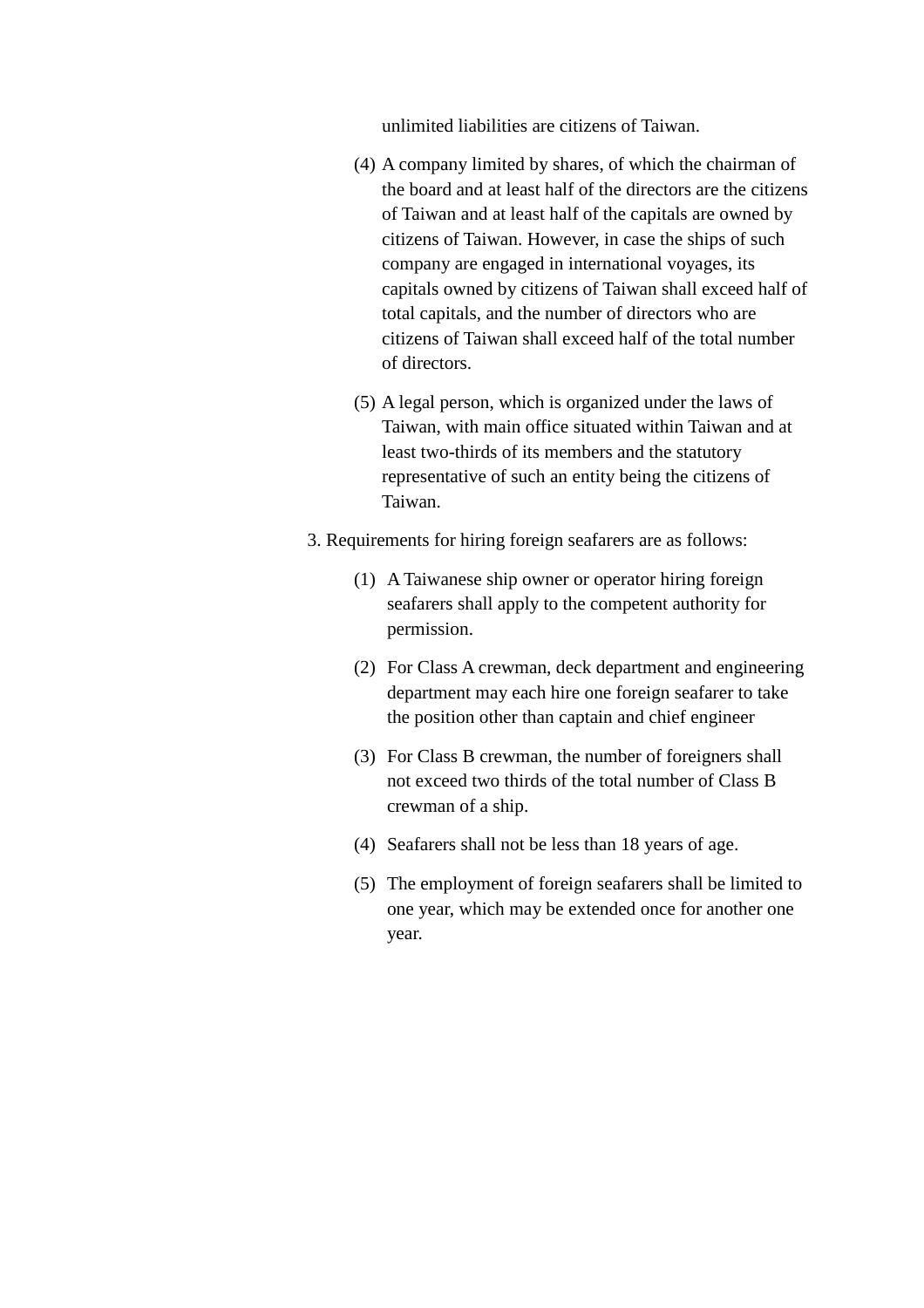unlimited liabilities are citizens of Taiwan.

- (4) A company limited by shares, of which the chairman of the board and at least half of the directors are the citizens of Taiwan and at least half of the capitals are owned by citizens of Taiwan. However, in case the ships of such company are engaged in international voyages, its capitals owned by citizens of Taiwan shall exceed half of total capitals, and the number of directors who are citizens of Taiwan shall exceed half of the total number of directors.
- (5) A legal person, which is organized under the laws of Taiwan, with main office situated within Taiwan and at least two-thirds of its members and the statutory representative of such an entity being the citizens of Taiwan.
- 3. Requirements for hiring foreign seafarers are as follows:
	- (1) A Taiwanese ship owner or operator hiring foreign seafarers shall apply to the competent authority for permission.
	- (2) For Class A crewman, deck department and engineering department may each hire one foreign seafarer to take the position other than captain and chief engineer
	- (3) For Class B crewman, the number of foreigners shall not exceed two thirds of the total number of Class B crewman of a ship.
	- (4) Seafarers shall not be less than 18 years of age.
	- (5) The employment of foreign seafarers shall be limited to one year, which may be extended once for another one year.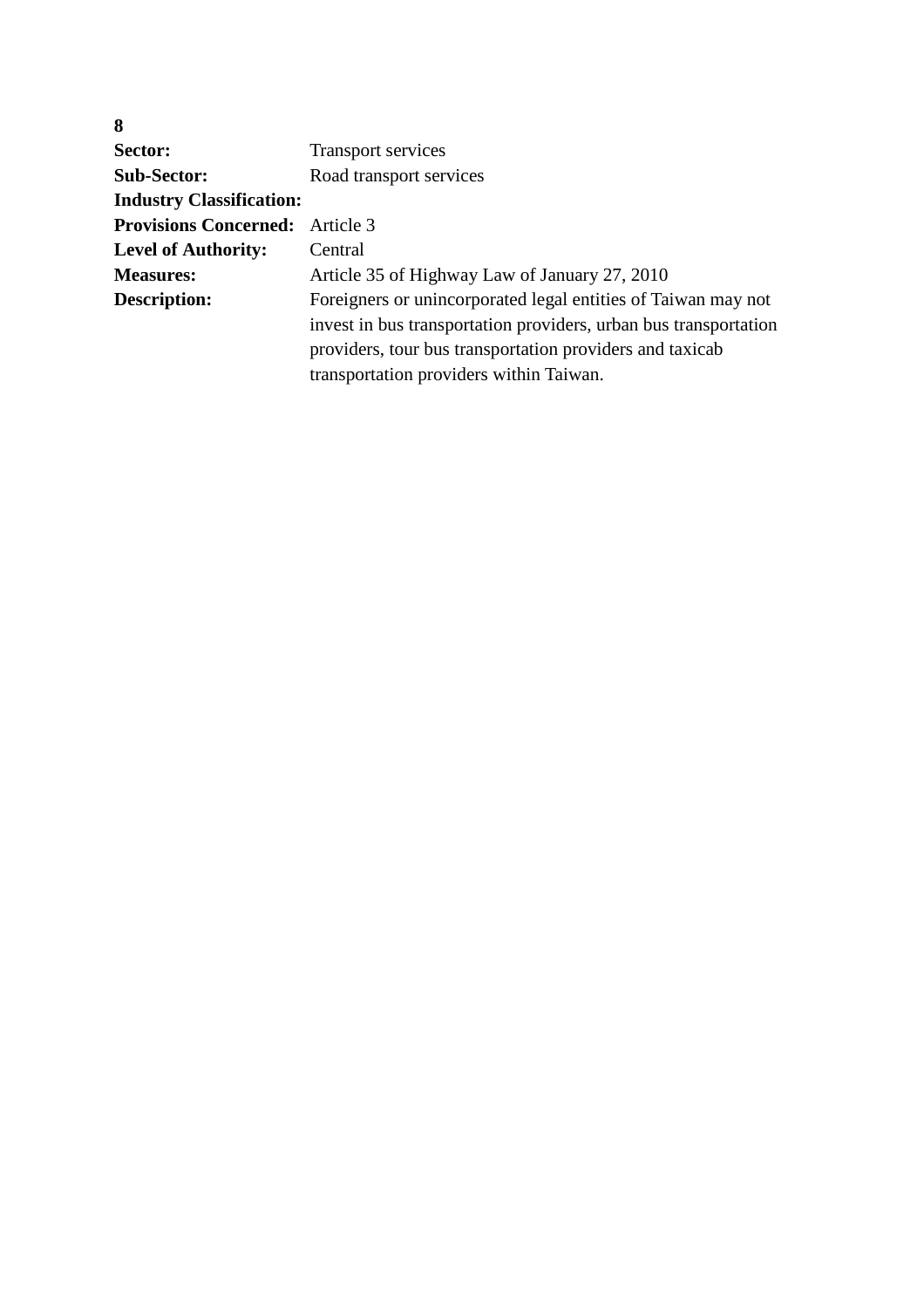| 8                               |                                                                  |
|---------------------------------|------------------------------------------------------------------|
| Sector:                         | <b>Transport services</b>                                        |
| <b>Sub-Sector:</b>              | Road transport services                                          |
| <b>Industry Classification:</b> |                                                                  |
| <b>Provisions Concerned:</b>    | Article 3                                                        |
| <b>Level of Authority:</b>      | Central                                                          |
| <b>Measures:</b>                | Article 35 of Highway Law of January 27, 2010                    |
| Description:                    | Foreigners or unincorporated legal entities of Taiwan may not    |
|                                 | invest in bus transportation providers, urban bus transportation |
|                                 | providers, tour bus transportation providers and taxicab         |
|                                 | transportation providers within Taiwan.                          |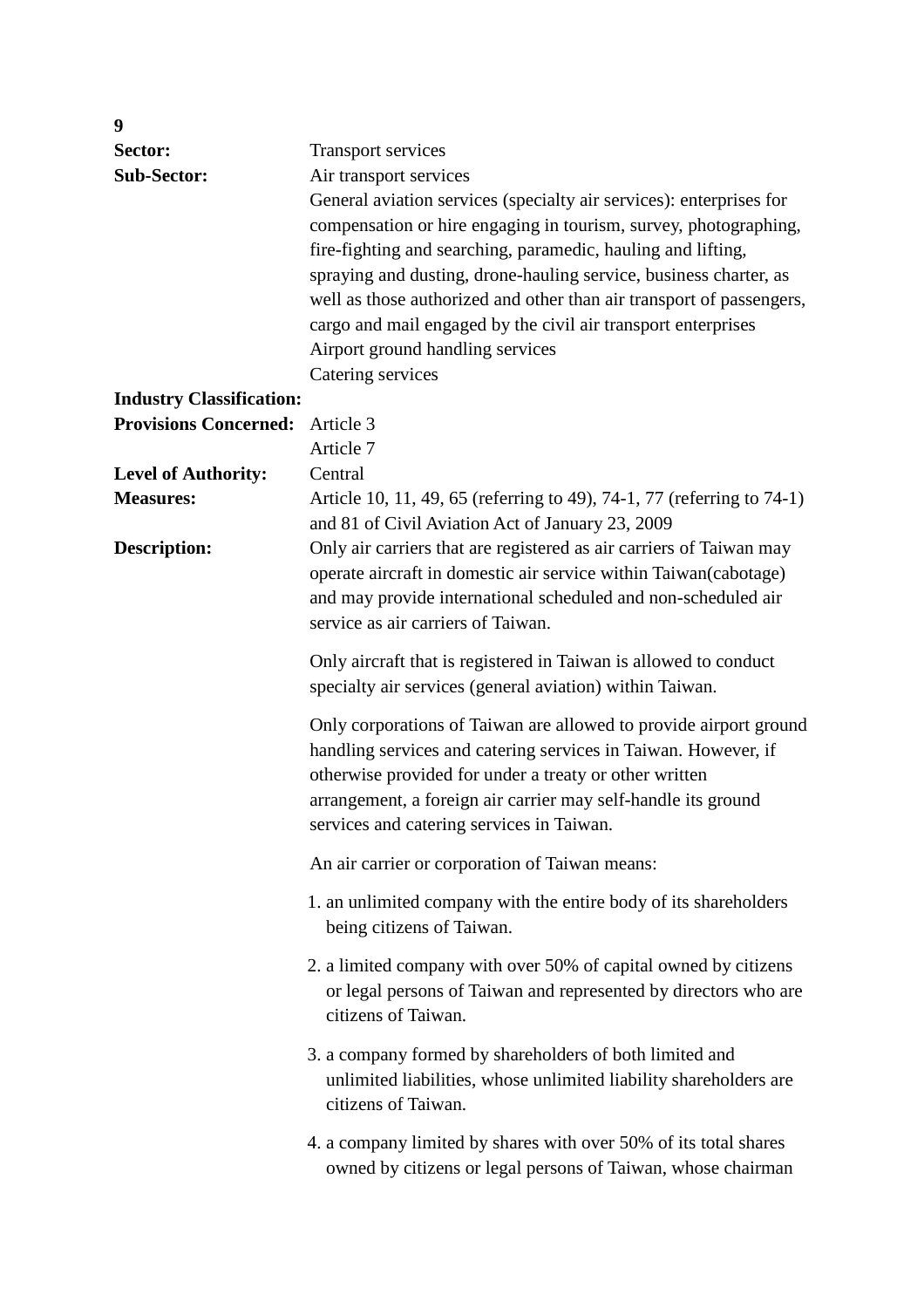| 9                               |                                                                        |
|---------------------------------|------------------------------------------------------------------------|
| Sector:                         | <b>Transport services</b>                                              |
| <b>Sub-Sector:</b>              | Air transport services                                                 |
|                                 | General aviation services (specialty air services): enterprises for    |
|                                 | compensation or hire engaging in tourism, survey, photographing,       |
|                                 | fire-fighting and searching, paramedic, hauling and lifting,           |
|                                 | spraying and dusting, drone-hauling service, business charter, as      |
|                                 | well as those authorized and other than air transport of passengers,   |
|                                 | cargo and mail engaged by the civil air transport enterprises          |
|                                 | Airport ground handling services                                       |
|                                 | Catering services                                                      |
| <b>Industry Classification:</b> |                                                                        |
| <b>Provisions Concerned:</b>    | Article 3                                                              |
|                                 | Article 7                                                              |
| <b>Level of Authority:</b>      | Central                                                                |
| <b>Measures:</b>                | Article 10, 11, 49, 65 (referring to 49), 74-1, 77 (referring to 74-1) |
|                                 | and 81 of Civil Aviation Act of January 23, 2009                       |
| <b>Description:</b>             | Only air carriers that are registered as air carriers of Taiwan may    |
|                                 | operate aircraft in domestic air service within Taiwan(cabotage)       |
|                                 | and may provide international scheduled and non-scheduled air          |
|                                 | service as air carriers of Taiwan.                                     |
|                                 | Only aircraft that is registered in Taiwan is allowed to conduct       |
|                                 | specialty air services (general aviation) within Taiwan.               |
|                                 |                                                                        |
|                                 | Only corporations of Taiwan are allowed to provide airport ground      |
|                                 | handling services and catering services in Taiwan. However, if         |
|                                 | otherwise provided for under a treaty or other written                 |
|                                 | arrangement, a foreign air carrier may self-handle its ground          |
|                                 | services and catering services in Taiwan.                              |
|                                 | An air carrier or corporation of Taiwan means:                         |
|                                 | 1. an unlimited company with the entire body of its shareholders       |
|                                 | being citizens of Taiwan.                                              |
|                                 | 2. a limited company with over 50% of capital owned by citizens        |
|                                 | or legal persons of Taiwan and represented by directors who are        |
|                                 | citizens of Taiwan.                                                    |
|                                 | 3. a company formed by shareholders of both limited and                |
|                                 | unlimited liabilities, whose unlimited liability shareholders are      |
|                                 | citizens of Taiwan.                                                    |
|                                 |                                                                        |
|                                 | 4. a company limited by shares with over 50% of its total shares       |
|                                 | owned by citizens or legal persons of Taiwan, whose chairman           |
|                                 |                                                                        |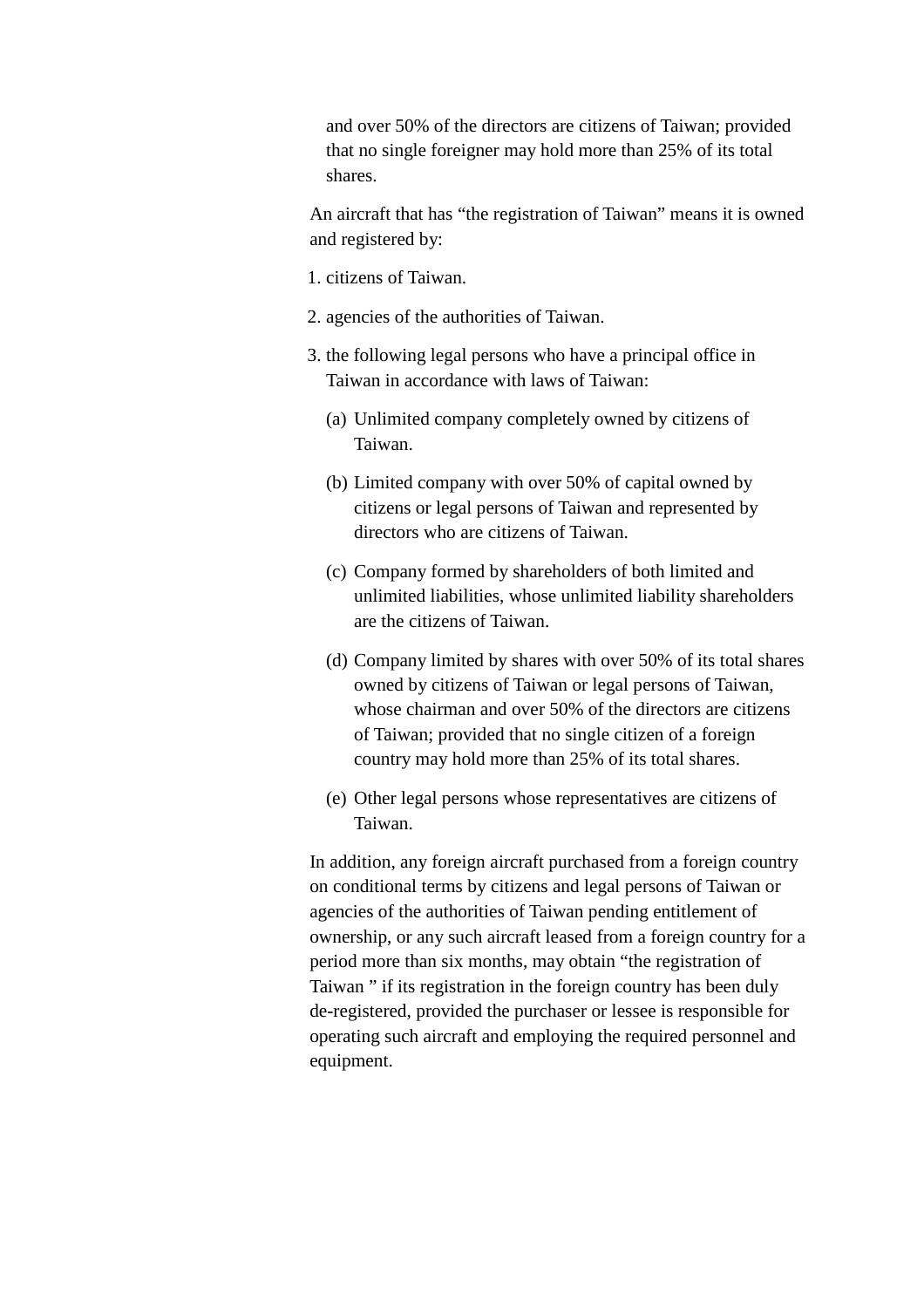and over 50% of the directors are citizens of Taiwan; provided that no single foreigner may hold more than 25% of its total shares.

An aircraft that has "the registration of Taiwan" means it is owned and registered by:

- 1. citizens of Taiwan.
- 2. agencies of the authorities of Taiwan.
- 3. the following legal persons who have a principal office in Taiwan in accordance with laws of Taiwan:
	- (a) Unlimited company completely owned by citizens of Taiwan.
	- (b) Limited company with over 50% of capital owned by citizens or legal persons of Taiwan and represented by directors who are citizens of Taiwan.
	- (c) Company formed by shareholders of both limited and unlimited liabilities, whose unlimited liability shareholders are the citizens of Taiwan.
	- (d) Company limited by shares with over 50% of its total shares owned by citizens of Taiwan or legal persons of Taiwan, whose chairman and over 50% of the directors are citizens of Taiwan; provided that no single citizen of a foreign country may hold more than 25% of its total shares.
	- (e) Other legal persons whose representatives are citizens of Taiwan.

In addition, any foreign aircraft purchased from a foreign country on conditional terms by citizens and legal persons of Taiwan or agencies of the authorities of Taiwan pending entitlement of ownership, or any such aircraft leased from a foreign country for a period more than six months, may obtain "the registration of Taiwan " if its registration in the foreign country has been duly de-registered, provided the purchaser or lessee is responsible for operating such aircraft and employing the required personnel and equipment.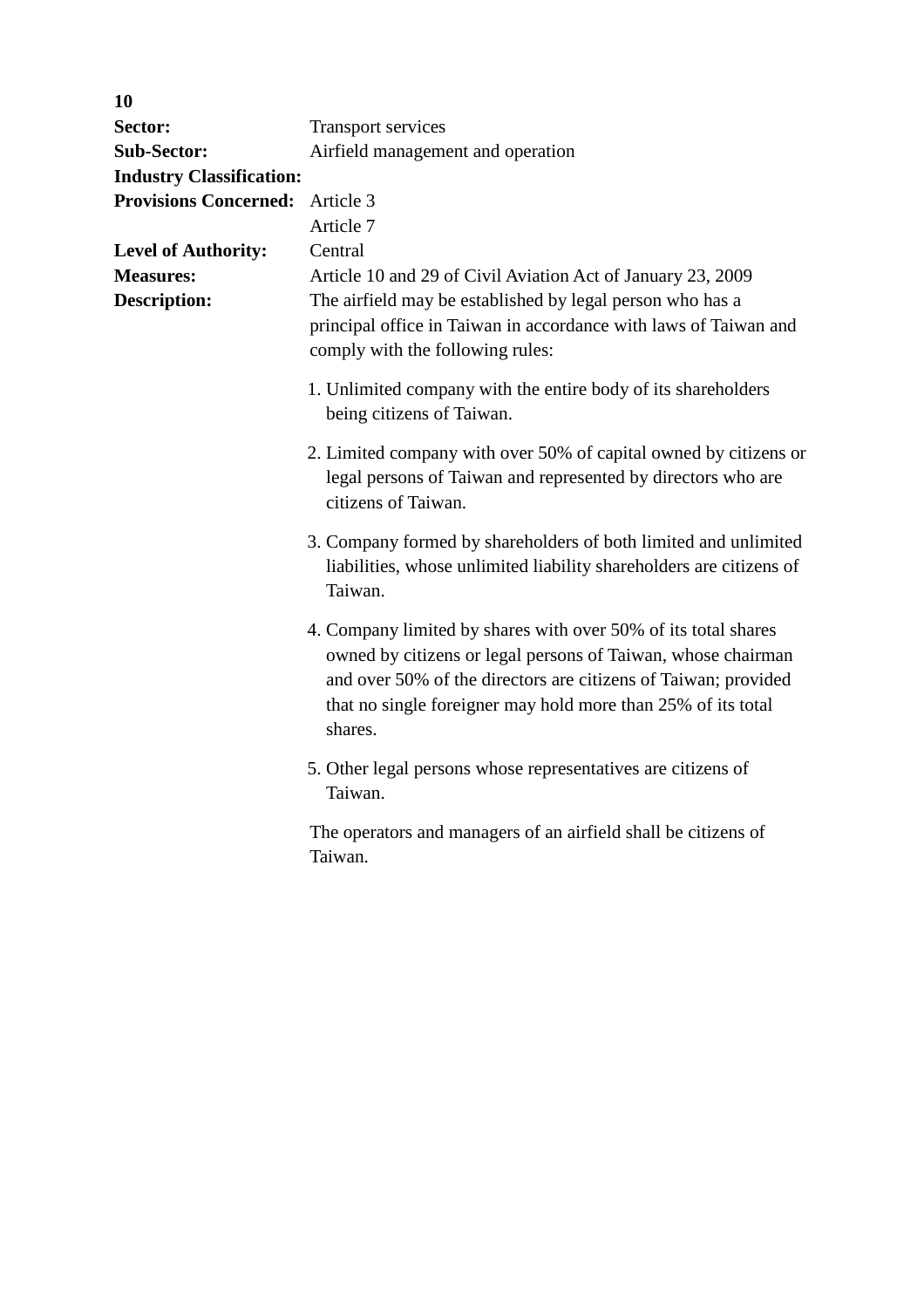| 10                              |                                                                                                                                                                                                                                                                             |
|---------------------------------|-----------------------------------------------------------------------------------------------------------------------------------------------------------------------------------------------------------------------------------------------------------------------------|
| Sector:                         | <b>Transport services</b>                                                                                                                                                                                                                                                   |
| <b>Sub-Sector:</b>              | Airfield management and operation                                                                                                                                                                                                                                           |
| <b>Industry Classification:</b> |                                                                                                                                                                                                                                                                             |
| <b>Provisions Concerned:</b>    | Article 3                                                                                                                                                                                                                                                                   |
|                                 | Article 7                                                                                                                                                                                                                                                                   |
| <b>Level of Authority:</b>      | Central                                                                                                                                                                                                                                                                     |
| <b>Measures:</b>                | Article 10 and 29 of Civil Aviation Act of January 23, 2009                                                                                                                                                                                                                 |
| <b>Description:</b>             | The airfield may be established by legal person who has a<br>principal office in Taiwan in accordance with laws of Taiwan and<br>comply with the following rules:                                                                                                           |
|                                 | 1. Unlimited company with the entire body of its shareholders<br>being citizens of Taiwan.                                                                                                                                                                                  |
|                                 | 2. Limited company with over 50% of capital owned by citizens or<br>legal persons of Taiwan and represented by directors who are<br>citizens of Taiwan.                                                                                                                     |
|                                 | 3. Company formed by shareholders of both limited and unlimited<br>liabilities, whose unlimited liability shareholders are citizens of<br>Taiwan.                                                                                                                           |
|                                 | 4. Company limited by shares with over 50% of its total shares<br>owned by citizens or legal persons of Taiwan, whose chairman<br>and over 50% of the directors are citizens of Taiwan; provided<br>that no single foreigner may hold more than 25% of its total<br>shares. |
|                                 | 5. Other legal persons whose representatives are citizens of<br>Taiwan.                                                                                                                                                                                                     |
|                                 | The operators and managers of an airfield shall be citizens of<br>Taiwan.                                                                                                                                                                                                   |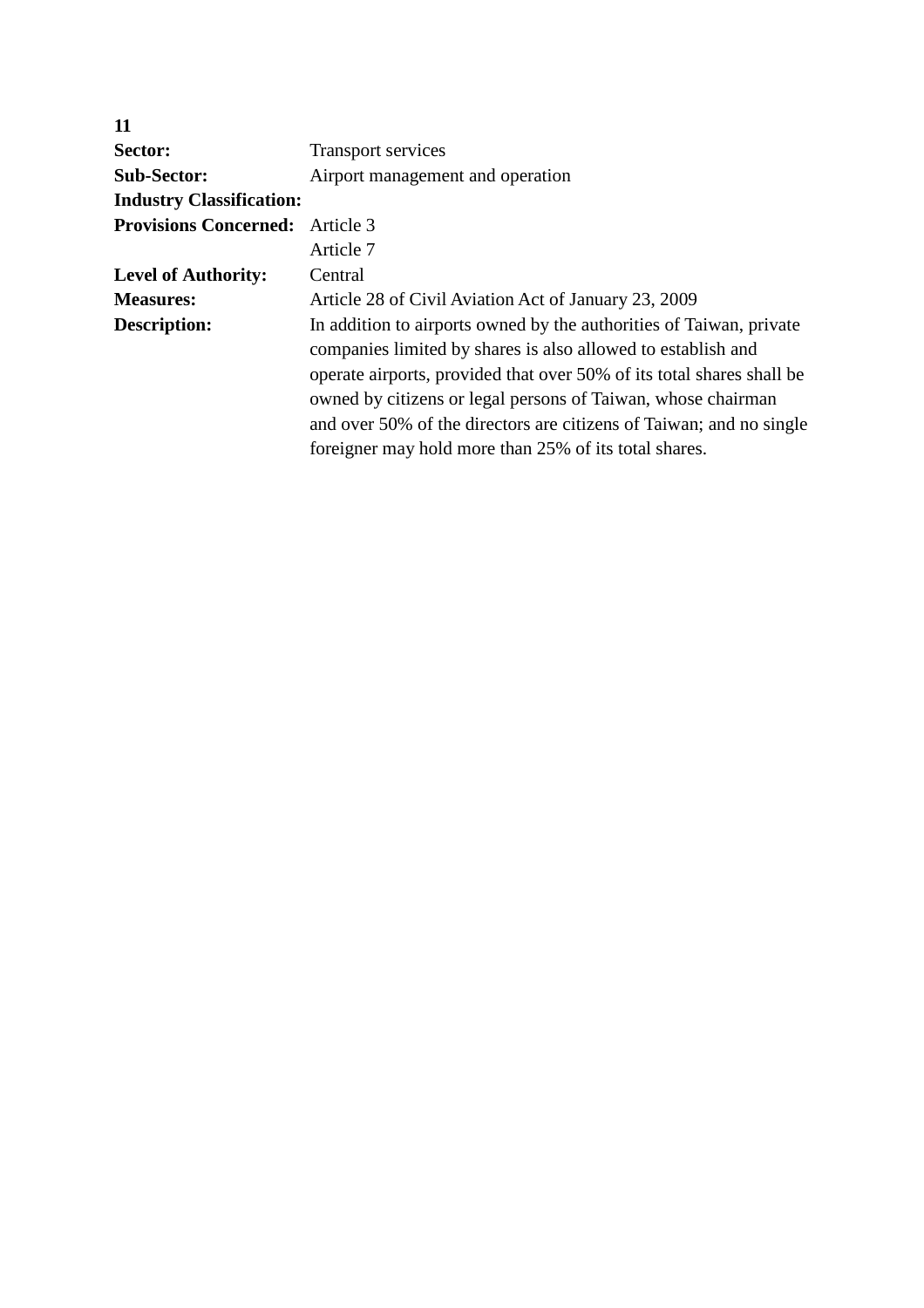| 11                              |                                                                                                                                                                                                                                                                                                                                                                                                              |
|---------------------------------|--------------------------------------------------------------------------------------------------------------------------------------------------------------------------------------------------------------------------------------------------------------------------------------------------------------------------------------------------------------------------------------------------------------|
| Sector:                         | <b>Transport services</b>                                                                                                                                                                                                                                                                                                                                                                                    |
| <b>Sub-Sector:</b>              | Airport management and operation                                                                                                                                                                                                                                                                                                                                                                             |
| <b>Industry Classification:</b> |                                                                                                                                                                                                                                                                                                                                                                                                              |
| <b>Provisions Concerned:</b>    | Article 3                                                                                                                                                                                                                                                                                                                                                                                                    |
|                                 | Article 7                                                                                                                                                                                                                                                                                                                                                                                                    |
| <b>Level of Authority:</b>      | Central                                                                                                                                                                                                                                                                                                                                                                                                      |
| <b>Measures:</b>                | Article 28 of Civil Aviation Act of January 23, 2009                                                                                                                                                                                                                                                                                                                                                         |
| Description:                    | In addition to airports owned by the authorities of Taiwan, private<br>companies limited by shares is also allowed to establish and<br>operate airports, provided that over 50% of its total shares shall be<br>owned by citizens or legal persons of Taiwan, whose chairman<br>and over 50% of the directors are citizens of Taiwan; and no single<br>foreigner may hold more than 25% of its total shares. |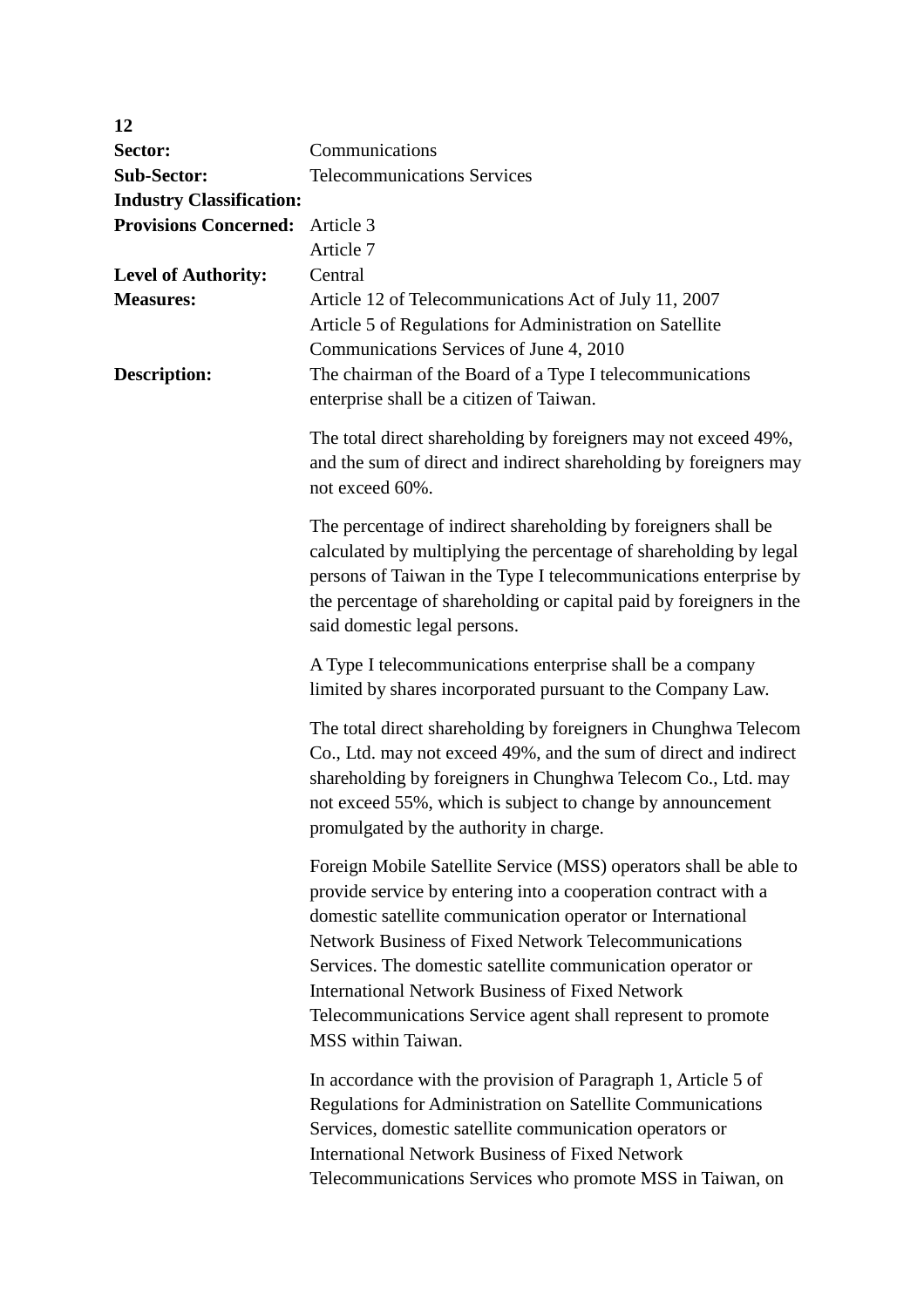| 12                                      |                                                                                                                                                                                                                                                                                                                                                                                                                                                                        |
|-----------------------------------------|------------------------------------------------------------------------------------------------------------------------------------------------------------------------------------------------------------------------------------------------------------------------------------------------------------------------------------------------------------------------------------------------------------------------------------------------------------------------|
| Sector:                                 | Communications                                                                                                                                                                                                                                                                                                                                                                                                                                                         |
| <b>Sub-Sector:</b>                      | <b>Telecommunications Services</b>                                                                                                                                                                                                                                                                                                                                                                                                                                     |
| <b>Industry Classification:</b>         |                                                                                                                                                                                                                                                                                                                                                                                                                                                                        |
| <b>Provisions Concerned:</b>            | Article 3                                                                                                                                                                                                                                                                                                                                                                                                                                                              |
|                                         | Article 7                                                                                                                                                                                                                                                                                                                                                                                                                                                              |
| <b>Level of Authority:</b>              | Central                                                                                                                                                                                                                                                                                                                                                                                                                                                                |
| <b>Measures:</b><br><b>Description:</b> | Article 12 of Telecommunications Act of July 11, 2007<br>Article 5 of Regulations for Administration on Satellite<br>Communications Services of June 4, 2010<br>The chairman of the Board of a Type I telecommunications<br>enterprise shall be a citizen of Taiwan.                                                                                                                                                                                                   |
|                                         | The total direct shareholding by foreigners may not exceed 49%,<br>and the sum of direct and indirect shareholding by foreigners may<br>not exceed 60%.                                                                                                                                                                                                                                                                                                                |
|                                         | The percentage of indirect shareholding by foreigners shall be<br>calculated by multiplying the percentage of shareholding by legal<br>persons of Taiwan in the Type I telecommunications enterprise by<br>the percentage of shareholding or capital paid by foreigners in the<br>said domestic legal persons.                                                                                                                                                         |
|                                         | A Type I telecommunications enterprise shall be a company<br>limited by shares incorporated pursuant to the Company Law.                                                                                                                                                                                                                                                                                                                                               |
|                                         | The total direct shareholding by foreigners in Chunghwa Telecom<br>Co., Ltd. may not exceed 49%, and the sum of direct and indirect<br>shareholding by foreigners in Chunghwa Telecom Co., Ltd. may<br>not exceed 55%, which is subject to change by announcement<br>promulgated by the authority in charge.                                                                                                                                                           |
|                                         | Foreign Mobile Satellite Service (MSS) operators shall be able to<br>provide service by entering into a cooperation contract with a<br>domestic satellite communication operator or International<br>Network Business of Fixed Network Telecommunications<br>Services. The domestic satellite communication operator or<br><b>International Network Business of Fixed Network</b><br>Telecommunications Service agent shall represent to promote<br>MSS within Taiwan. |
|                                         | In accordance with the provision of Paragraph 1, Article 5 of<br>Regulations for Administration on Satellite Communications<br>Services, domestic satellite communication operators or<br><b>International Network Business of Fixed Network</b><br>Telecommunications Services who promote MSS in Taiwan, on                                                                                                                                                          |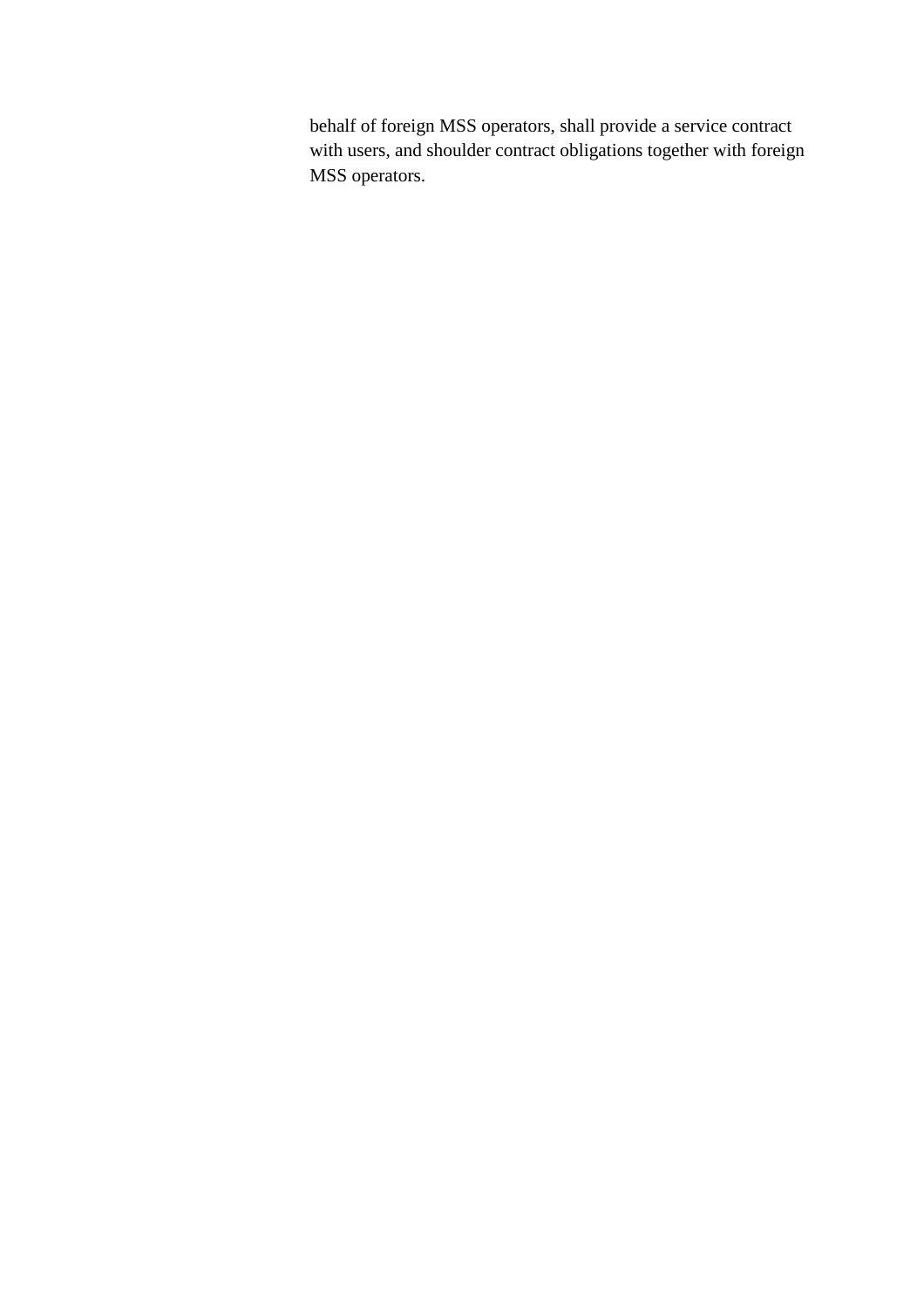behalf of foreign MSS operators, shall provide a service contract with users, and shoulder contract obligations together with foreign MSS operators.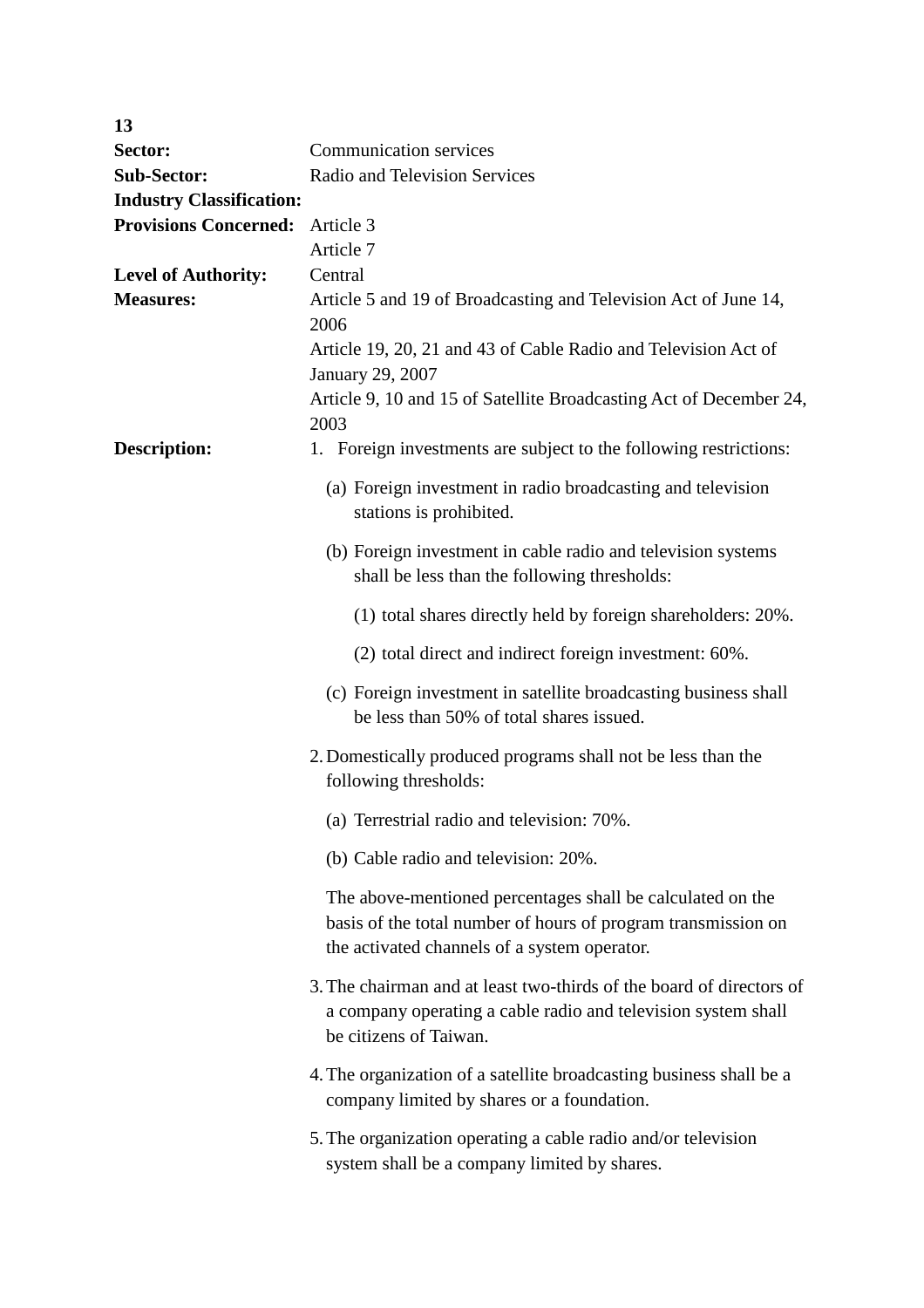| 13                              |                                                                                                                                                                             |  |
|---------------------------------|-----------------------------------------------------------------------------------------------------------------------------------------------------------------------------|--|
| Sector:                         | <b>Communication services</b>                                                                                                                                               |  |
| <b>Sub-Sector:</b>              | Radio and Television Services                                                                                                                                               |  |
| <b>Industry Classification:</b> |                                                                                                                                                                             |  |
| <b>Provisions Concerned:</b>    | Article 3                                                                                                                                                                   |  |
|                                 | Article 7                                                                                                                                                                   |  |
| <b>Level of Authority:</b>      | Central                                                                                                                                                                     |  |
| <b>Measures:</b>                | Article 5 and 19 of Broadcasting and Television Act of June 14,<br>2006                                                                                                     |  |
|                                 | Article 19, 20, 21 and 43 of Cable Radio and Television Act of<br>January 29, 2007                                                                                          |  |
|                                 | Article 9, 10 and 15 of Satellite Broadcasting Act of December 24,<br>2003                                                                                                  |  |
| <b>Description:</b>             | 1. Foreign investments are subject to the following restrictions:                                                                                                           |  |
|                                 | (a) Foreign investment in radio broadcasting and television<br>stations is prohibited.                                                                                      |  |
|                                 | (b) Foreign investment in cable radio and television systems<br>shall be less than the following thresholds:                                                                |  |
|                                 | (1) total shares directly held by foreign shareholders: 20%.                                                                                                                |  |
|                                 | (2) total direct and indirect foreign investment: 60%.                                                                                                                      |  |
|                                 | (c) Foreign investment in satellite broadcasting business shall<br>be less than 50% of total shares issued.                                                                 |  |
|                                 | 2. Domestically produced programs shall not be less than the<br>following thresholds:                                                                                       |  |
|                                 | (a) Terrestrial radio and television: 70%.                                                                                                                                  |  |
|                                 | (b) Cable radio and television: 20%.                                                                                                                                        |  |
|                                 | The above-mentioned percentages shall be calculated on the<br>basis of the total number of hours of program transmission on<br>the activated channels of a system operator. |  |
|                                 | 3. The chairman and at least two-thirds of the board of directors of<br>a company operating a cable radio and television system shall<br>be citizens of Taiwan.             |  |
|                                 | 4. The organization of a satellite broadcasting business shall be a<br>company limited by shares or a foundation.                                                           |  |
|                                 | 5. The organization operating a cable radio and/or television<br>system shall be a company limited by shares.                                                               |  |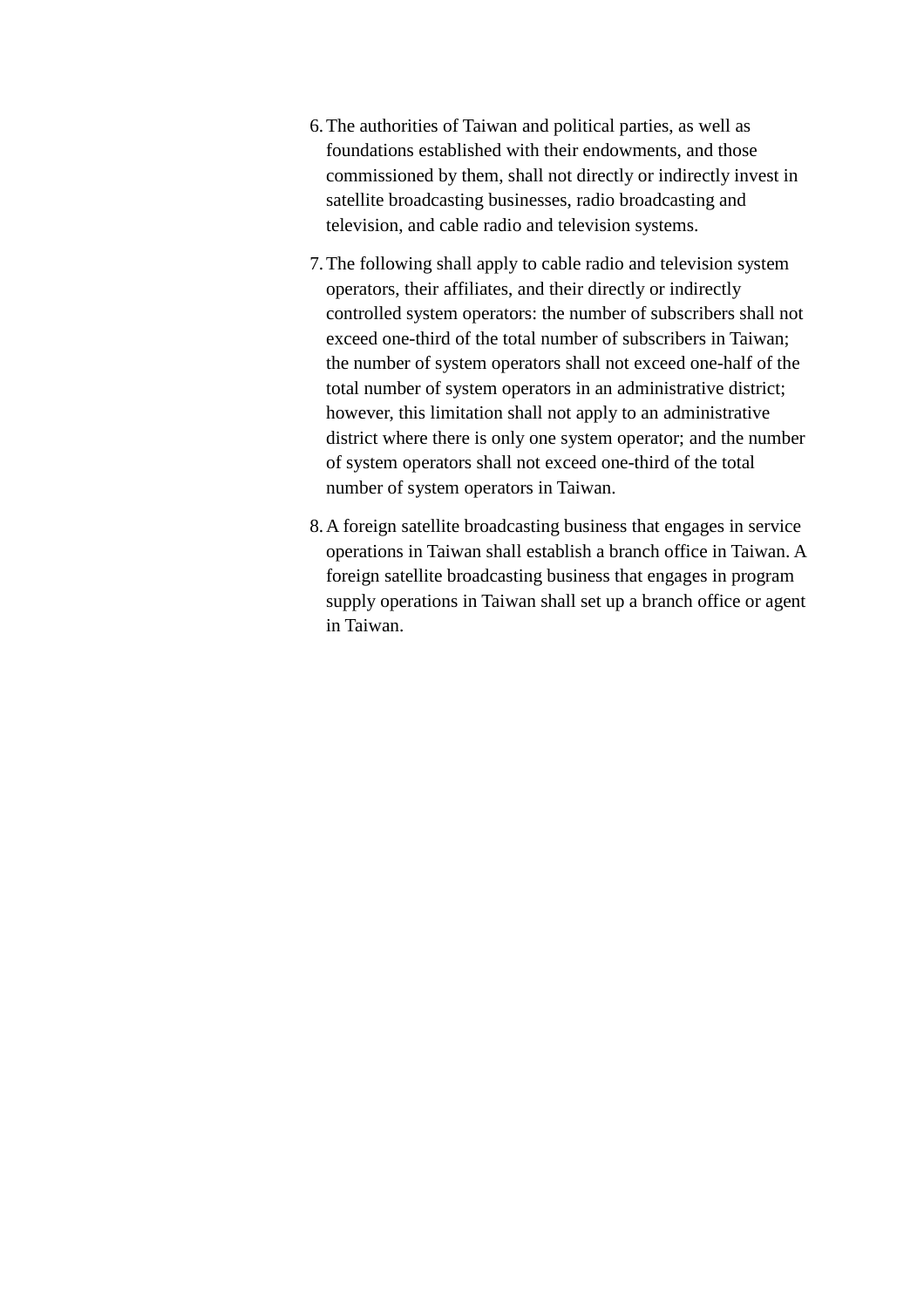- 6.The authorities of Taiwan and political parties, as well as foundations established with their endowments, and those commissioned by them, shall not directly or indirectly invest in satellite broadcasting businesses, radio broadcasting and television, and cable radio and television systems.
- 7.The following shall apply to cable radio and television system operators, their affiliates, and their directly or indirectly controlled system operators: the number of subscribers shall not exceed one-third of the total number of subscribers in Taiwan; the number of system operators shall not exceed one-half of the total number of system operators in an administrative district; however, this limitation shall not apply to an administrative district where there is only one system operator; and the number of system operators shall not exceed one-third of the total number of system operators in Taiwan.
- 8.A foreign satellite broadcasting business that engages in service operations in Taiwan shall establish a branch office in Taiwan. A foreign satellite broadcasting business that engages in program supply operations in Taiwan shall set up a branch office or agent in Taiwan.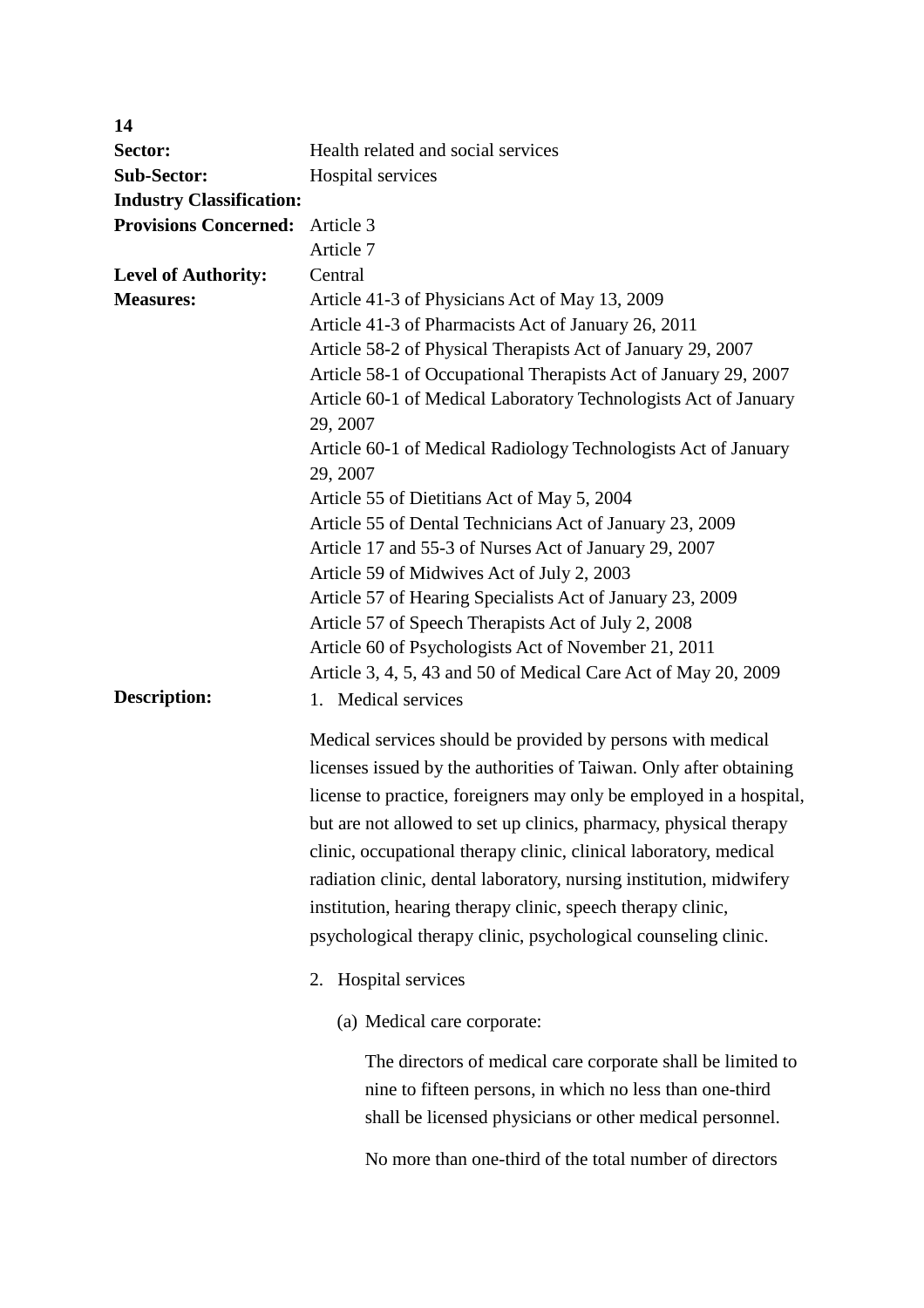| 14                              |                                                                             |
|---------------------------------|-----------------------------------------------------------------------------|
| Sector:                         | Health related and social services                                          |
| <b>Sub-Sector:</b>              | Hospital services                                                           |
| <b>Industry Classification:</b> |                                                                             |
| <b>Provisions Concerned:</b>    | Article 3                                                                   |
|                                 | Article 7                                                                   |
| <b>Level of Authority:</b>      | Central                                                                     |
| <b>Measures:</b>                | Article 41-3 of Physicians Act of May 13, 2009                              |
|                                 | Article 41-3 of Pharmacists Act of January 26, 2011                         |
|                                 | Article 58-2 of Physical Therapists Act of January 29, 2007                 |
|                                 | Article 58-1 of Occupational Therapists Act of January 29, 2007             |
|                                 | Article 60-1 of Medical Laboratory Technologists Act of January<br>29, 2007 |
|                                 | Article 60-1 of Medical Radiology Technologists Act of January<br>29, 2007  |
|                                 | Article 55 of Dietitians Act of May 5, 2004                                 |
|                                 | Article 55 of Dental Technicians Act of January 23, 2009                    |
|                                 | Article 17 and 55-3 of Nurses Act of January 29, 2007                       |
|                                 | Article 59 of Midwives Act of July 2, 2003                                  |
|                                 | Article 57 of Hearing Specialists Act of January 23, 2009                   |
|                                 | Article 57 of Speech Therapists Act of July 2, 2008                         |
|                                 | Article 60 of Psychologists Act of November 21, 2011                        |
|                                 | Article 3, 4, 5, 43 and 50 of Medical Care Act of May 20, 2009              |
| <b>Description:</b>             | 1. Medical services                                                         |
|                                 | Medical services should be provided by persons with medical                 |
|                                 | licenses issued by the authorities of Taiwan. Only after obtaining          |
|                                 |                                                                             |
|                                 | license to practice, foreigners may only be employed in a hospital,         |
|                                 | but are not allowed to set up clinics, pharmacy, physical therapy           |
|                                 | clinic, occupational therapy clinic, clinical laboratory, medical           |
|                                 | radiation clinic, dental laboratory, nursing institution, midwifery         |
|                                 | institution, hearing therapy clinic, speech therapy clinic,                 |
|                                 | psychological therapy clinic, psychological counseling clinic.              |
|                                 | Hospital services<br>2.                                                     |
|                                 | (a) Medical care corporate:                                                 |
|                                 | The directors of medical care corporate shall be limited to                 |
|                                 | nine to fifteen persons, in which no less than one-third                    |
|                                 | shall be licensed physicians or other medical personnel.                    |
|                                 | No more than one-third of the total number of directors                     |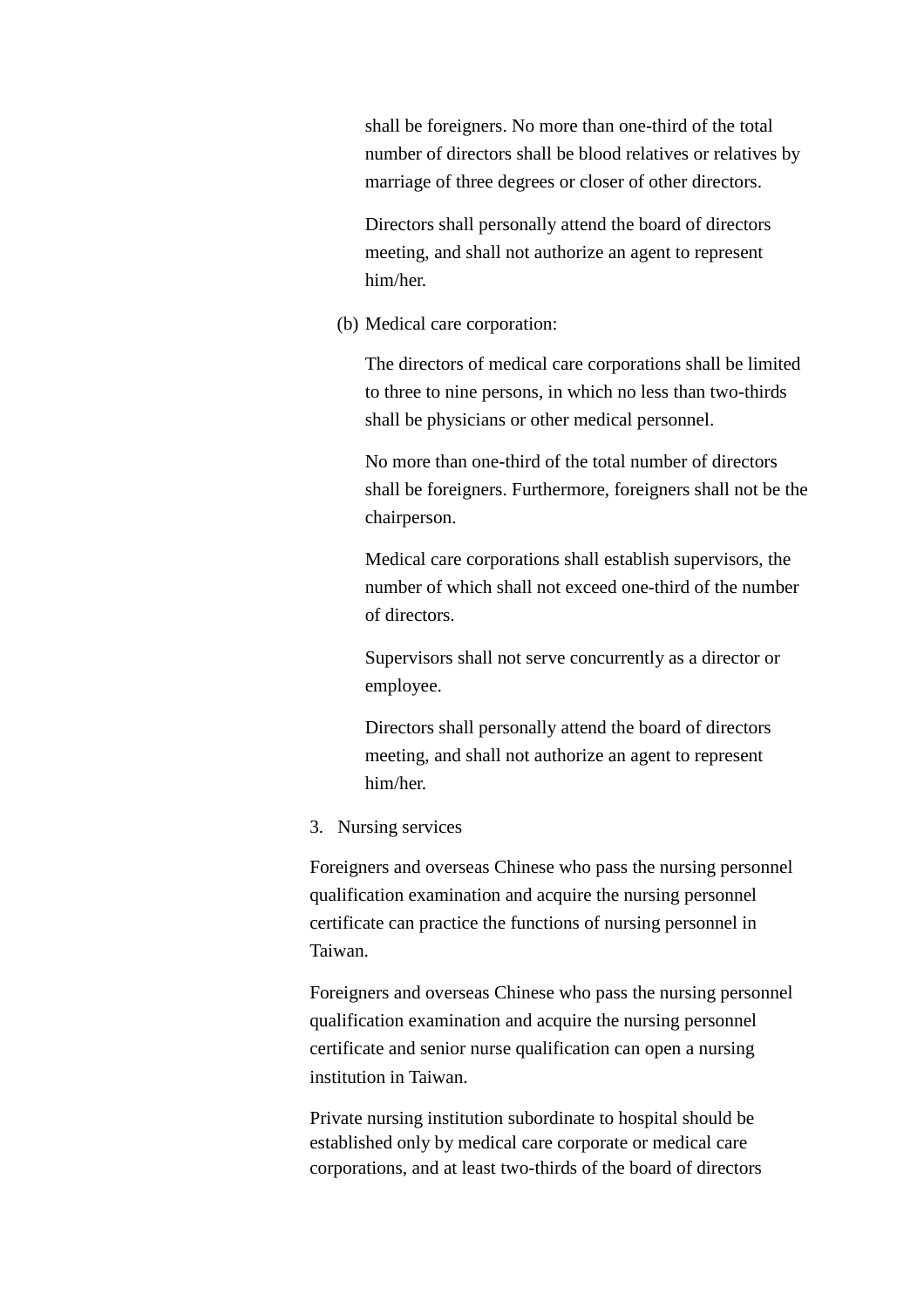shall be foreigners. No more than one-third of the total number of directors shall be blood relatives or relatives by marriage of three degrees or closer of other directors.

Directors shall personally attend the board of directors meeting, and shall not authorize an agent to represent him/her.

(b) Medical care corporation:

The directors of medical care corporations shall be limited to three to nine persons, in which no less than two-thirds shall be physicians or other medical personnel.

No more than one-third of the total number of directors shall be foreigners. Furthermore, foreigners shall not be the chairperson.

Medical care corporations shall establish supervisors, the number of which shall not exceed one-third of the number of directors.

Supervisors shall not serve concurrently as a director or employee.

Directors shall personally attend the board of directors meeting, and shall not authorize an agent to represent him/her.

3. Nursing services

Foreigners and overseas Chinese who pass the nursing personnel qualification examination and acquire the nursing personnel certificate can practice the functions of nursing personnel in Taiwan.

Foreigners and overseas Chinese who pass the nursing personnel qualification examination and acquire the nursing personnel certificate and senior nurse qualification can open a nursing institution in Taiwan.

Private nursing institution subordinate to hospital should be established only by medical care corporate or medical care corporations, and at least two-thirds of the board of directors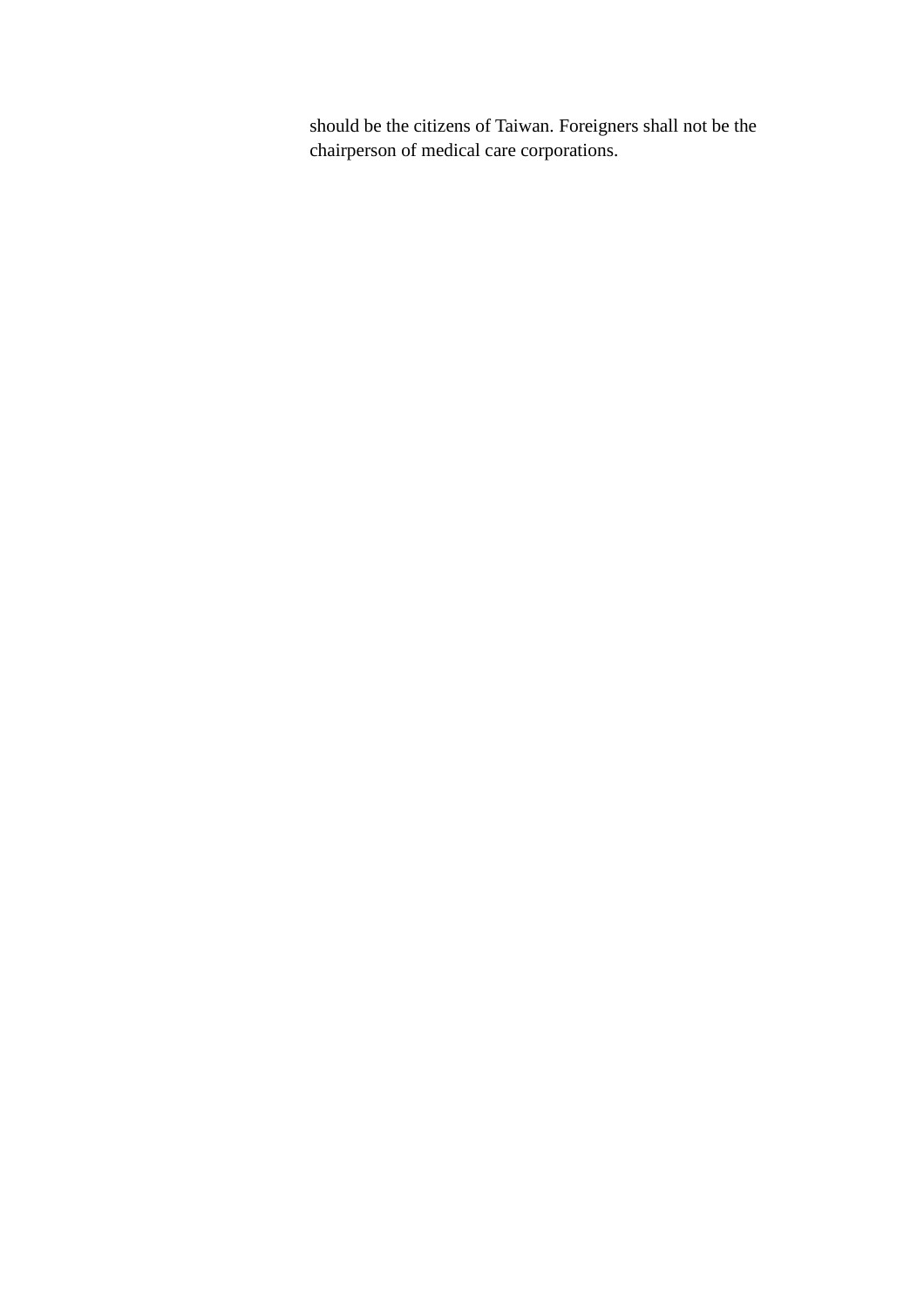should be the citizens of Taiwan. Foreigners shall not be the chairperson of medical care corporations.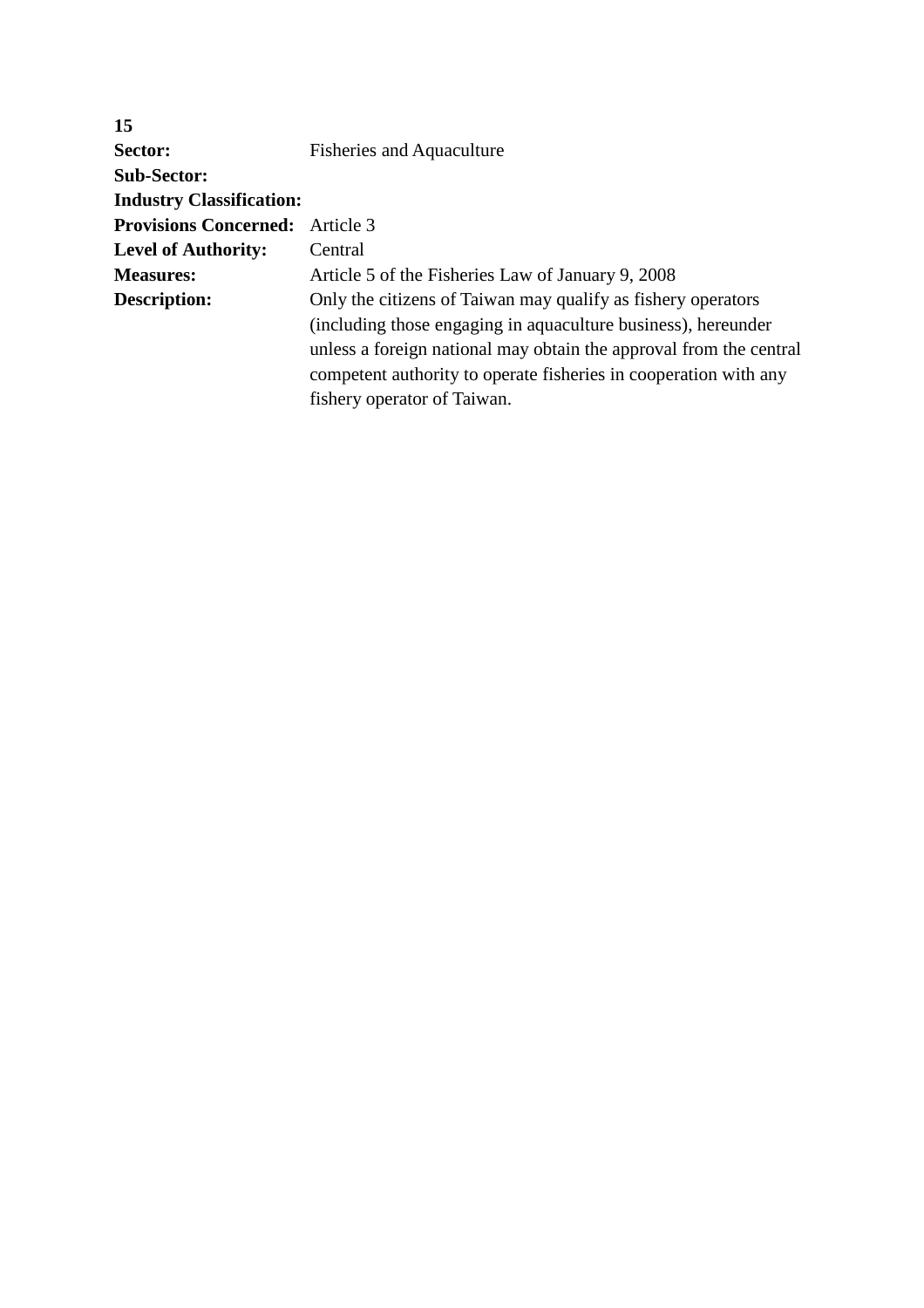| 15                                     |                                                                    |
|----------------------------------------|--------------------------------------------------------------------|
| Sector:                                | <b>Fisheries and Aquaculture</b>                                   |
| <b>Sub-Sector:</b>                     |                                                                    |
| <b>Industry Classification:</b>        |                                                                    |
| <b>Provisions Concerned:</b> Article 3 |                                                                    |
| <b>Level of Authority:</b>             | Central                                                            |
| <b>Measures:</b>                       | Article 5 of the Fisheries Law of January 9, 2008                  |
| Description:                           | Only the citizens of Taiwan may qualify as fishery operators       |
|                                        | (including those engaging in aquaculture business), hereunder      |
|                                        | unless a foreign national may obtain the approval from the central |
|                                        | competent authority to operate fisheries in cooperation with any   |
|                                        | fishery operator of Taiwan.                                        |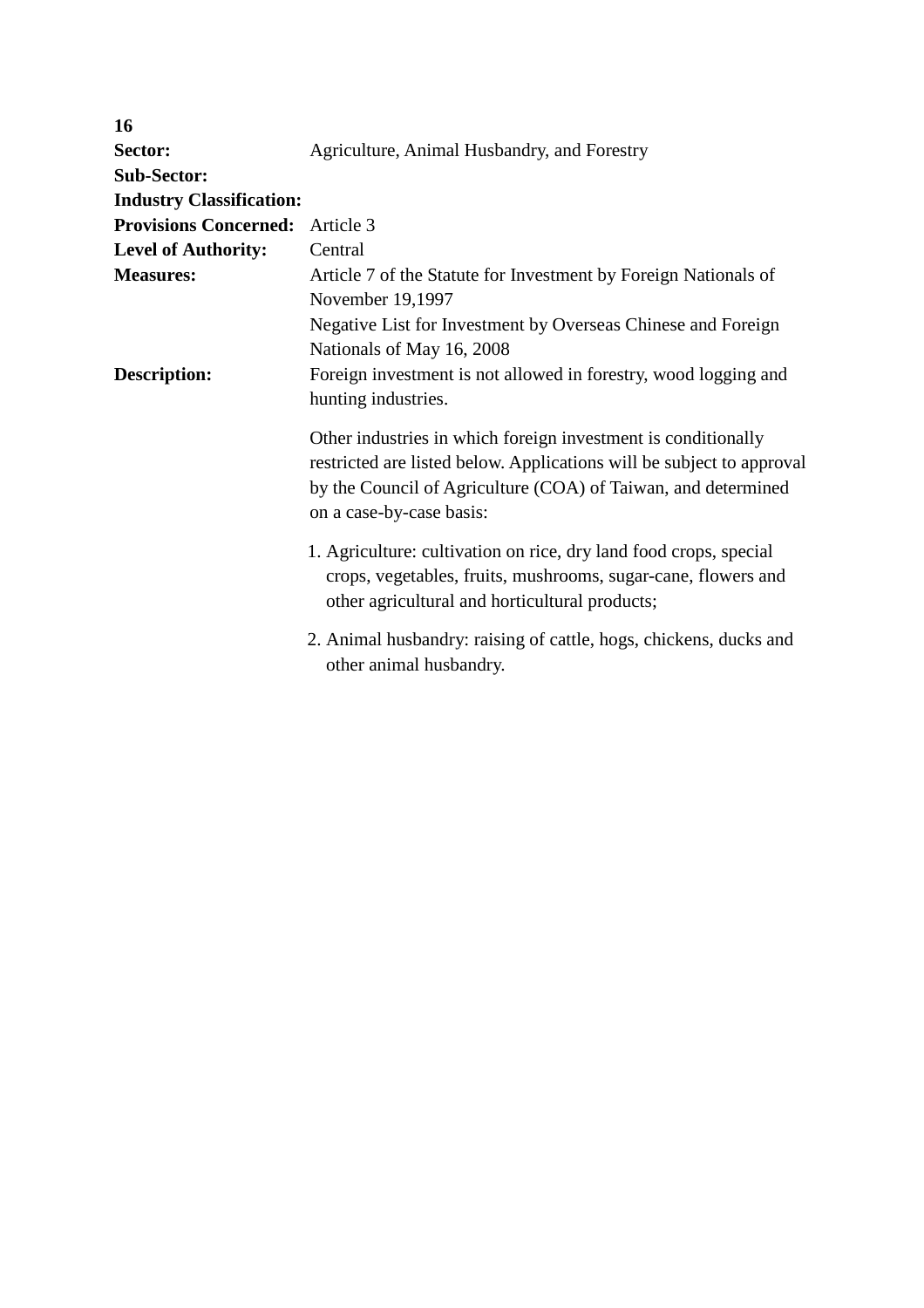| 16                              |                                                                                                                                                                                                                                     |
|---------------------------------|-------------------------------------------------------------------------------------------------------------------------------------------------------------------------------------------------------------------------------------|
| Sector:                         | Agriculture, Animal Husbandry, and Forestry                                                                                                                                                                                         |
| <b>Sub-Sector:</b>              |                                                                                                                                                                                                                                     |
| <b>Industry Classification:</b> |                                                                                                                                                                                                                                     |
| <b>Provisions Concerned:</b>    | Article 3                                                                                                                                                                                                                           |
| <b>Level of Authority:</b>      | Central                                                                                                                                                                                                                             |
| <b>Measures:</b>                | Article 7 of the Statute for Investment by Foreign Nationals of<br>November 19,1997                                                                                                                                                 |
|                                 | Negative List for Investment by Overseas Chinese and Foreign<br>Nationals of May 16, 2008                                                                                                                                           |
| <b>Description:</b>             | Foreign investment is not allowed in forestry, wood logging and<br>hunting industries.                                                                                                                                              |
|                                 | Other industries in which foreign investment is conditionally<br>restricted are listed below. Applications will be subject to approval<br>by the Council of Agriculture (COA) of Taiwan, and determined<br>on a case-by-case basis: |
|                                 | 1. Agriculture: cultivation on rice, dry land food crops, special<br>crops, vegetables, fruits, mushrooms, sugar-cane, flowers and<br>other agricultural and horticultural products;                                                |
|                                 | 2. Animal husbandry: raising of cattle, hogs, chickens, ducks and<br>other animal husbandry.                                                                                                                                        |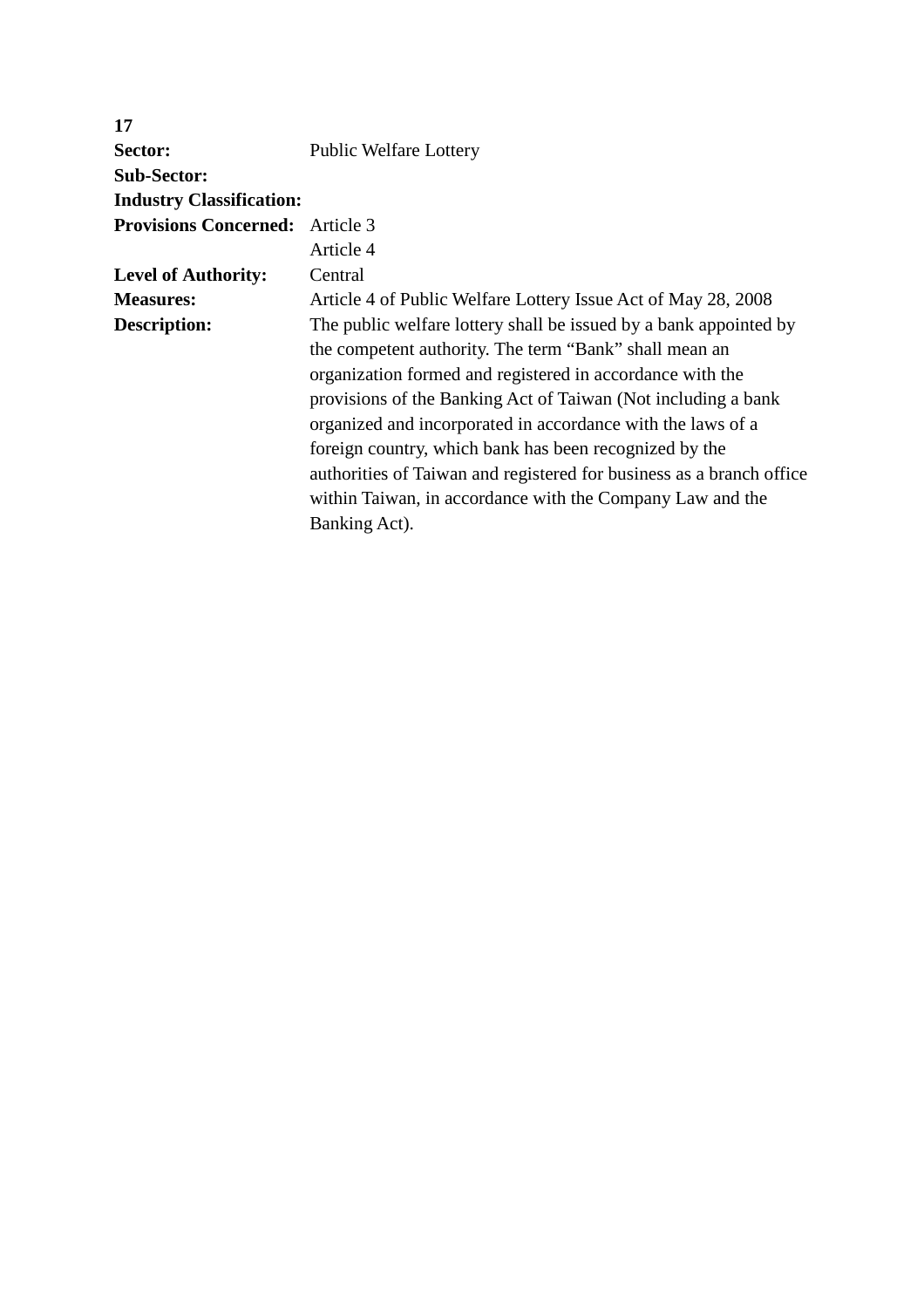| 17                                     |                                                                      |
|----------------------------------------|----------------------------------------------------------------------|
| Sector:                                | <b>Public Welfare Lottery</b>                                        |
| <b>Sub-Sector:</b>                     |                                                                      |
| <b>Industry Classification:</b>        |                                                                      |
| <b>Provisions Concerned:</b> Article 3 |                                                                      |
|                                        | Article 4                                                            |
| <b>Level of Authority:</b>             | Central                                                              |
| <b>Measures:</b>                       | Article 4 of Public Welfare Lottery Issue Act of May 28, 2008        |
| Description:                           | The public welfare lottery shall be issued by a bank appointed by    |
|                                        | the competent authority. The term "Bank" shall mean an               |
|                                        | organization formed and registered in accordance with the            |
|                                        | provisions of the Banking Act of Taiwan (Not including a bank        |
|                                        | organized and incorporated in accordance with the laws of a          |
|                                        | foreign country, which bank has been recognized by the               |
|                                        | authorities of Taiwan and registered for business as a branch office |
|                                        | within Taiwan, in accordance with the Company Law and the            |
|                                        | Banking Act).                                                        |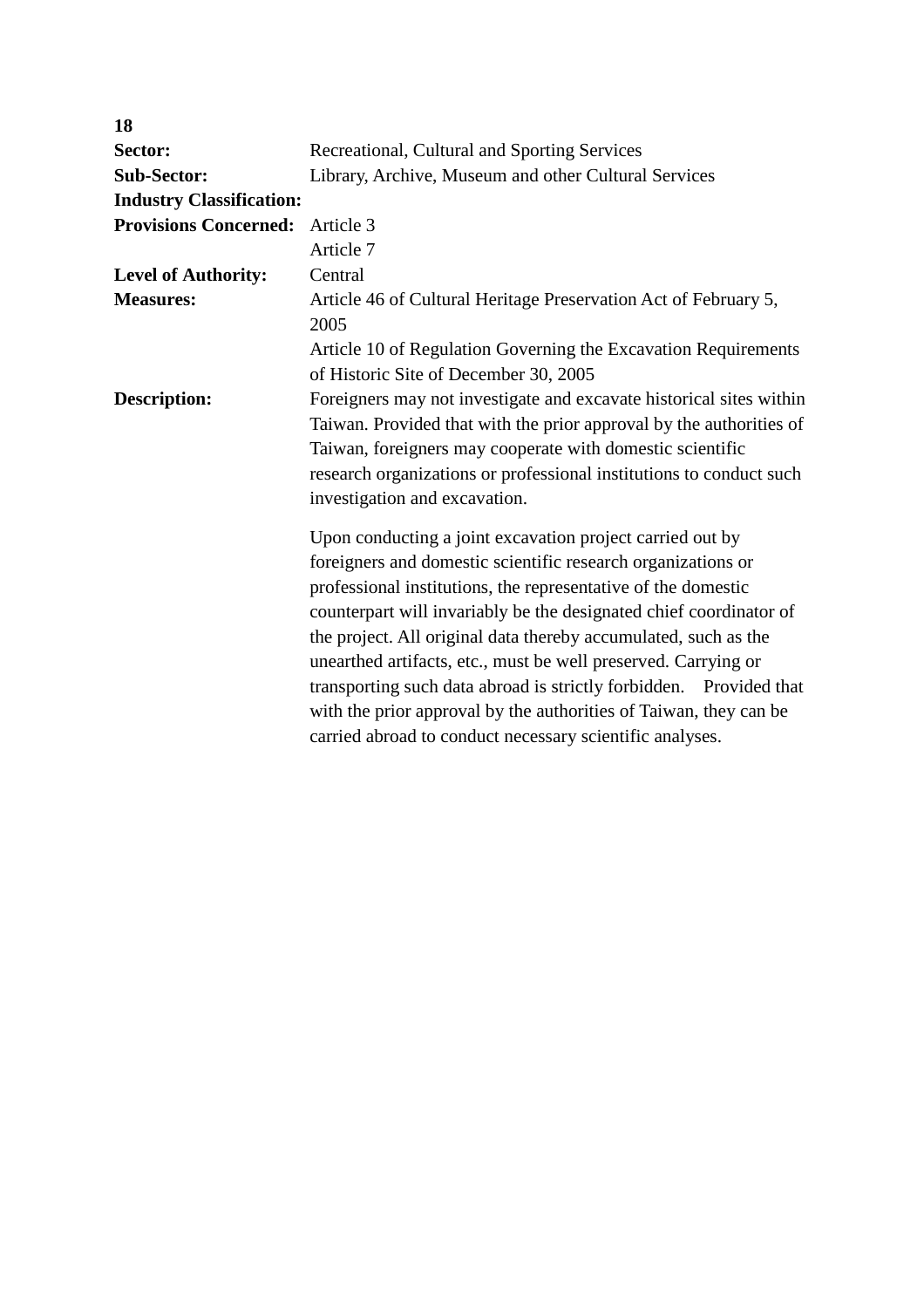| 18                              |                                                                                                                                                                                                                                                                                                                                                                                                                                                                                                                                                                                                              |
|---------------------------------|--------------------------------------------------------------------------------------------------------------------------------------------------------------------------------------------------------------------------------------------------------------------------------------------------------------------------------------------------------------------------------------------------------------------------------------------------------------------------------------------------------------------------------------------------------------------------------------------------------------|
| Sector:                         | Recreational, Cultural and Sporting Services                                                                                                                                                                                                                                                                                                                                                                                                                                                                                                                                                                 |
| <b>Sub-Sector:</b>              | Library, Archive, Museum and other Cultural Services                                                                                                                                                                                                                                                                                                                                                                                                                                                                                                                                                         |
| <b>Industry Classification:</b> |                                                                                                                                                                                                                                                                                                                                                                                                                                                                                                                                                                                                              |
| <b>Provisions Concerned:</b>    | Article 3                                                                                                                                                                                                                                                                                                                                                                                                                                                                                                                                                                                                    |
|                                 | Article 7                                                                                                                                                                                                                                                                                                                                                                                                                                                                                                                                                                                                    |
| <b>Level of Authority:</b>      | Central                                                                                                                                                                                                                                                                                                                                                                                                                                                                                                                                                                                                      |
| <b>Measures:</b>                | Article 46 of Cultural Heritage Preservation Act of February 5,<br>2005                                                                                                                                                                                                                                                                                                                                                                                                                                                                                                                                      |
|                                 | Article 10 of Regulation Governing the Excavation Requirements<br>of Historic Site of December 30, 2005                                                                                                                                                                                                                                                                                                                                                                                                                                                                                                      |
| Description:                    | Foreigners may not investigate and excavate historical sites within<br>Taiwan. Provided that with the prior approval by the authorities of<br>Taiwan, foreigners may cooperate with domestic scientific<br>research organizations or professional institutions to conduct such<br>investigation and excavation.                                                                                                                                                                                                                                                                                              |
|                                 | Upon conducting a joint excavation project carried out by<br>foreigners and domestic scientific research organizations or<br>professional institutions, the representative of the domestic<br>counterpart will invariably be the designated chief coordinator of<br>the project. All original data thereby accumulated, such as the<br>unearthed artifacts, etc., must be well preserved. Carrying or<br>transporting such data abroad is strictly forbidden. Provided that<br>with the prior approval by the authorities of Taiwan, they can be<br>carried abroad to conduct necessary scientific analyses. |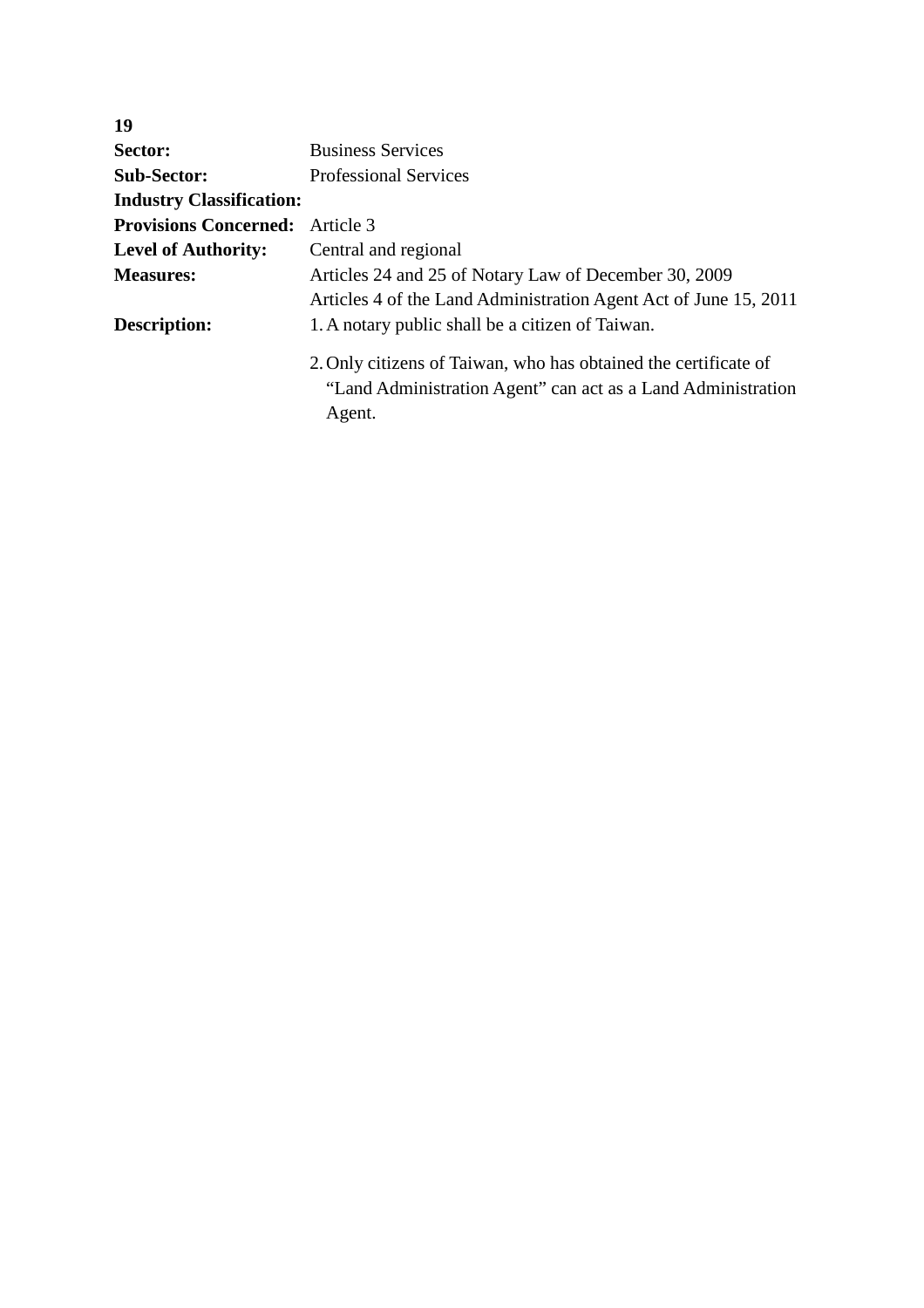| 19                              |                                                                                                                                           |  |
|---------------------------------|-------------------------------------------------------------------------------------------------------------------------------------------|--|
| Sector:                         | <b>Business Services</b>                                                                                                                  |  |
| <b>Sub-Sector:</b>              | <b>Professional Services</b>                                                                                                              |  |
| <b>Industry Classification:</b> |                                                                                                                                           |  |
| <b>Provisions Concerned:</b>    | Article 3                                                                                                                                 |  |
| <b>Level of Authority:</b>      | Central and regional                                                                                                                      |  |
| <b>Measures:</b>                | Articles 24 and 25 of Notary Law of December 30, 2009                                                                                     |  |
|                                 | Articles 4 of the Land Administration Agent Act of June 15, 2011                                                                          |  |
| Description:                    | 1. A notary public shall be a citizen of Taiwan.                                                                                          |  |
|                                 | 2. Only citizens of Taiwan, who has obtained the certificate of<br>"Land Administration Agent" can act as a Land Administration<br>Agent. |  |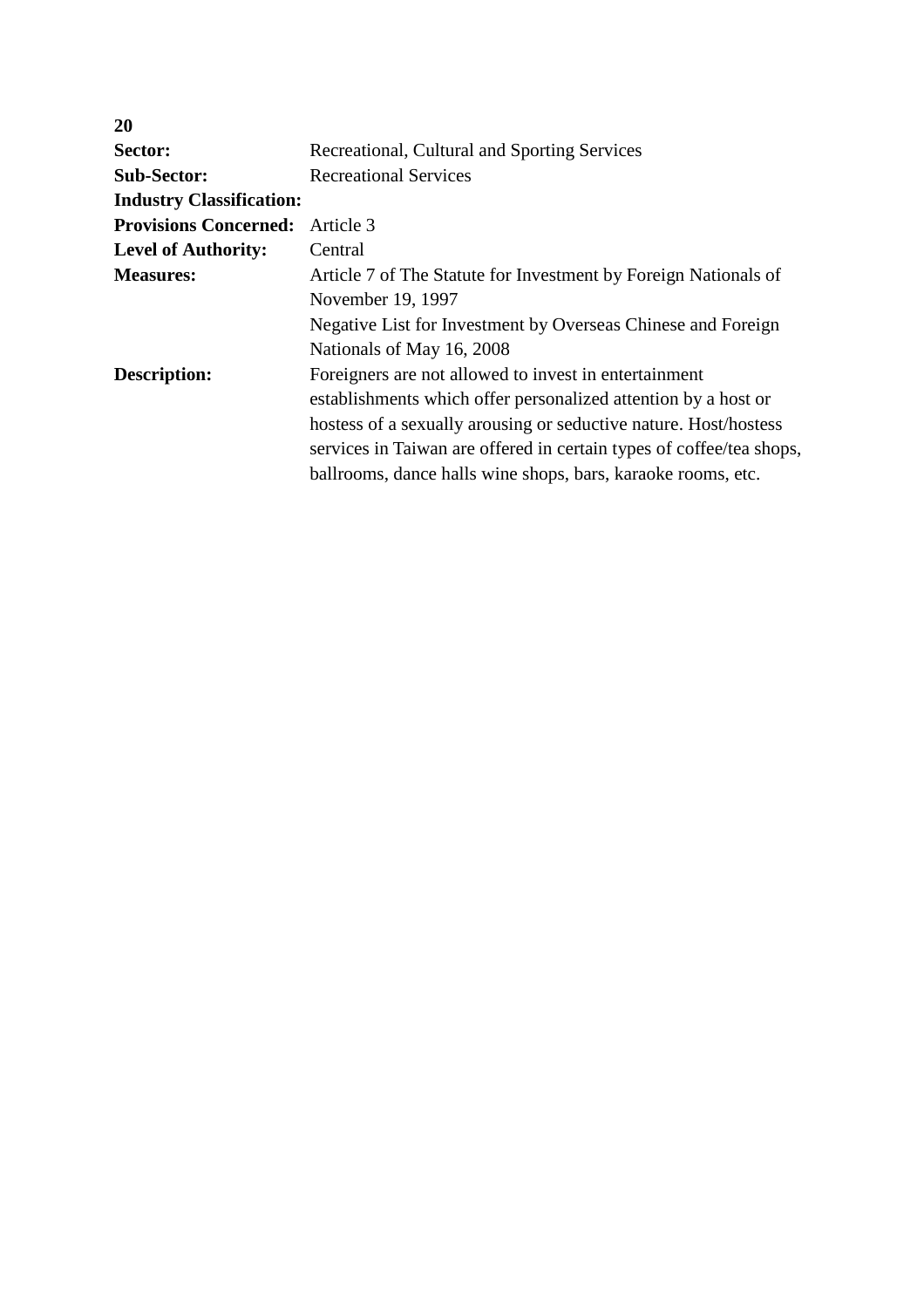| <b>20</b>                       |                                                                      |
|---------------------------------|----------------------------------------------------------------------|
| Sector:                         | Recreational, Cultural and Sporting Services                         |
| <b>Sub-Sector:</b>              | <b>Recreational Services</b>                                         |
| <b>Industry Classification:</b> |                                                                      |
| <b>Provisions Concerned:</b>    | Article 3                                                            |
| <b>Level of Authority:</b>      | Central                                                              |
| <b>Measures:</b>                | Article 7 of The Statute for Investment by Foreign Nationals of      |
|                                 | November 19, 1997                                                    |
|                                 | Negative List for Investment by Overseas Chinese and Foreign         |
|                                 | Nationals of May 16, 2008                                            |
| Description:                    | Foreigners are not allowed to invest in entertainment                |
|                                 | establishments which offer personalized attention by a host or       |
|                                 | hostess of a sexually arousing or seductive nature. Host/hostess     |
|                                 | services in Taiwan are offered in certain types of coffee/tea shops, |
|                                 | ballrooms, dance halls wine shops, bars, karaoke rooms, etc.         |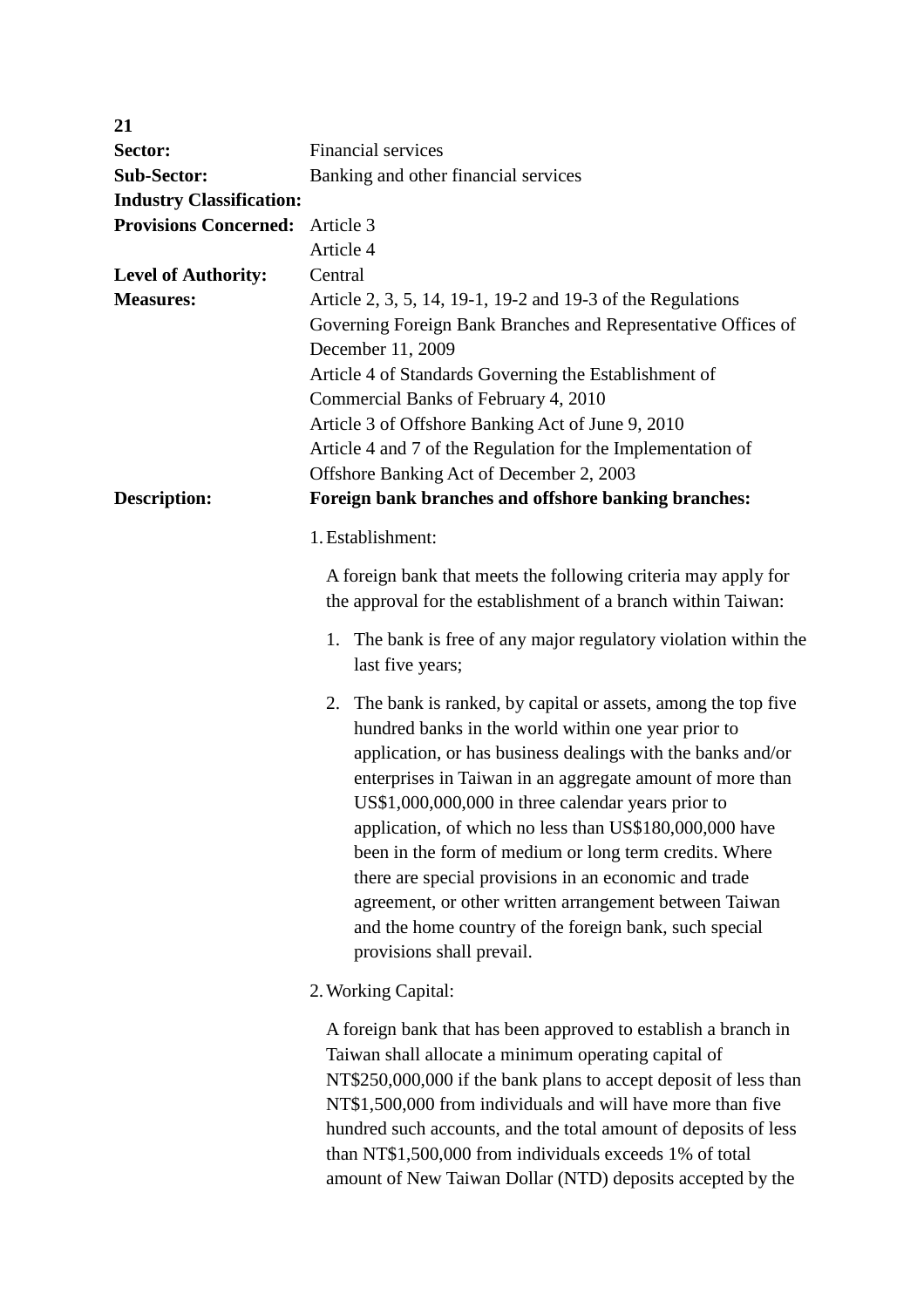| 21                                      |                                                                                                                                                                                                                                                                                                                                                                                                                                                                                                                                                                                                                                            |  |
|-----------------------------------------|--------------------------------------------------------------------------------------------------------------------------------------------------------------------------------------------------------------------------------------------------------------------------------------------------------------------------------------------------------------------------------------------------------------------------------------------------------------------------------------------------------------------------------------------------------------------------------------------------------------------------------------------|--|
| Sector:                                 | Financial services                                                                                                                                                                                                                                                                                                                                                                                                                                                                                                                                                                                                                         |  |
| <b>Sub-Sector:</b>                      | Banking and other financial services                                                                                                                                                                                                                                                                                                                                                                                                                                                                                                                                                                                                       |  |
| <b>Industry Classification:</b>         |                                                                                                                                                                                                                                                                                                                                                                                                                                                                                                                                                                                                                                            |  |
| <b>Provisions Concerned:</b>            | Article 3                                                                                                                                                                                                                                                                                                                                                                                                                                                                                                                                                                                                                                  |  |
|                                         | Article 4                                                                                                                                                                                                                                                                                                                                                                                                                                                                                                                                                                                                                                  |  |
| <b>Level of Authority:</b>              | Central                                                                                                                                                                                                                                                                                                                                                                                                                                                                                                                                                                                                                                    |  |
| <b>Measures:</b><br><b>Description:</b> | Article 2, 3, 5, 14, 19-1, 19-2 and 19-3 of the Regulations<br>Governing Foreign Bank Branches and Representative Offices of<br>December 11, 2009<br>Article 4 of Standards Governing the Establishment of<br>Commercial Banks of February 4, 2010<br>Article 3 of Offshore Banking Act of June 9, 2010<br>Article 4 and 7 of the Regulation for the Implementation of<br>Offshore Banking Act of December 2, 2003<br>Foreign bank branches and offshore banking branches:                                                                                                                                                                 |  |
|                                         | 1. Establishment:                                                                                                                                                                                                                                                                                                                                                                                                                                                                                                                                                                                                                          |  |
|                                         | A foreign bank that meets the following criteria may apply for<br>the approval for the establishment of a branch within Taiwan:                                                                                                                                                                                                                                                                                                                                                                                                                                                                                                            |  |
|                                         | 1. The bank is free of any major regulatory violation within the<br>last five years;                                                                                                                                                                                                                                                                                                                                                                                                                                                                                                                                                       |  |
|                                         | The bank is ranked, by capital or assets, among the top five<br>2.<br>hundred banks in the world within one year prior to<br>application, or has business dealings with the banks and/or<br>enterprises in Taiwan in an aggregate amount of more than<br>US\$1,000,000,000 in three calendar years prior to<br>application, of which no less than US\$180,000,000 have<br>been in the form of medium or long term credits. Where<br>there are special provisions in an economic and trade<br>agreement, or other written arrangement between Taiwan<br>and the home country of the foreign bank, such special<br>provisions shall prevail. |  |
|                                         | 2. Working Capital:                                                                                                                                                                                                                                                                                                                                                                                                                                                                                                                                                                                                                        |  |
|                                         | A foreign bank that has been approved to establish a branch in<br>Taiwan shall allocate a minimum operating capital of<br>NT\$250,000,000 if the bank plans to accept deposit of less than<br>NT\$1,500,000 from individuals and will have more than five<br>hundred such accounts, and the total amount of deposits of less<br>than NT\$1,500,000 from individuals exceeds 1% of total                                                                                                                                                                                                                                                    |  |

amount of New Taiwan Dollar (NTD) deposits accepted by the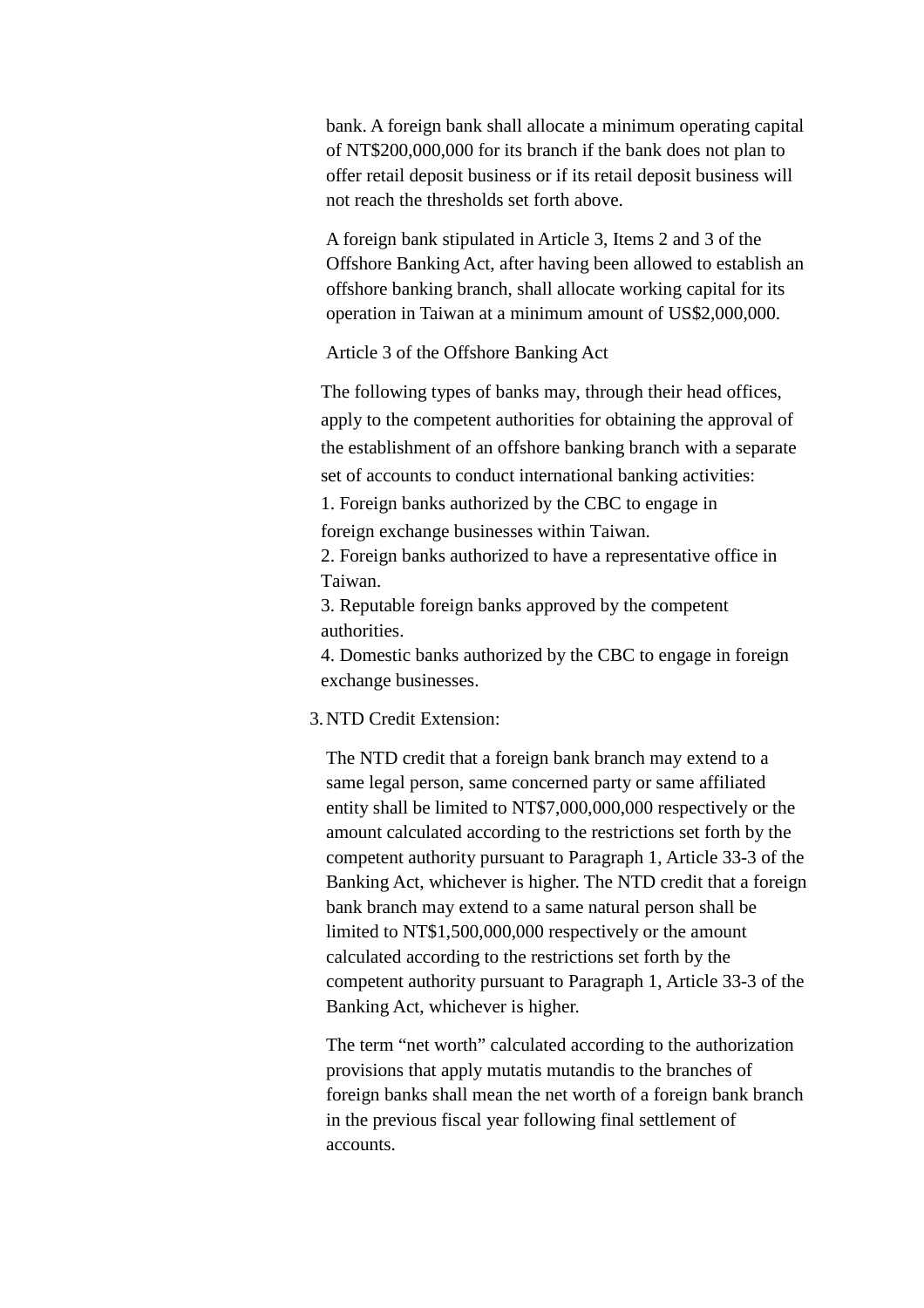bank. A foreign bank shall allocate a minimum operating capital of NT\$200,000,000 for its branch if the bank does not plan to offer retail deposit business or if its retail deposit business will not reach the thresholds set forth above.

A foreign bank stipulated in Article 3, Items 2 and 3 of the Offshore Banking Act, after having been allowed to establish an offshore banking branch, shall allocate working capital for its operation in Taiwan at a minimum amount of US\$2,000,000.

Article 3 of the Offshore Banking Act

The following types of banks may, through their head offices, apply to the competent authorities for obtaining the approval of the establishment of an offshore banking branch with a separate set of accounts to conduct international banking activities:

1. Foreign banks authorized by the CBC to engage in foreign exchange businesses within Taiwan.

2. Foreign banks authorized to have a representative office in Taiwan.

3. Reputable foreign banks approved by the competent authorities.

4. Domestic banks authorized by the CBC to engage in foreign exchange businesses.

# 3.NTD Credit Extension:

The NTD credit that a foreign bank branch may extend to a same legal person, same concerned party or same affiliated entity shall be limited to NT\$7,000,000,000 respectively or the amount calculated according to the restrictions set forth by the competent authority pursuant to Paragraph 1, Article 33-3 of the Banking Act, whichever is higher. The NTD credit that a foreign bank branch may extend to a same natural person shall be limited to NT\$1,500,000,000 respectively or the amount calculated according to the restrictions set forth by the competent authority pursuant to Paragraph 1, Article 33-3 of the Banking Act, whichever is higher.

The term "net worth" calculated according to the authorization provisions that apply mutatis mutandis to the branches of foreign banks shall mean the net worth of a foreign bank branch in the previous fiscal year following final settlement of accounts.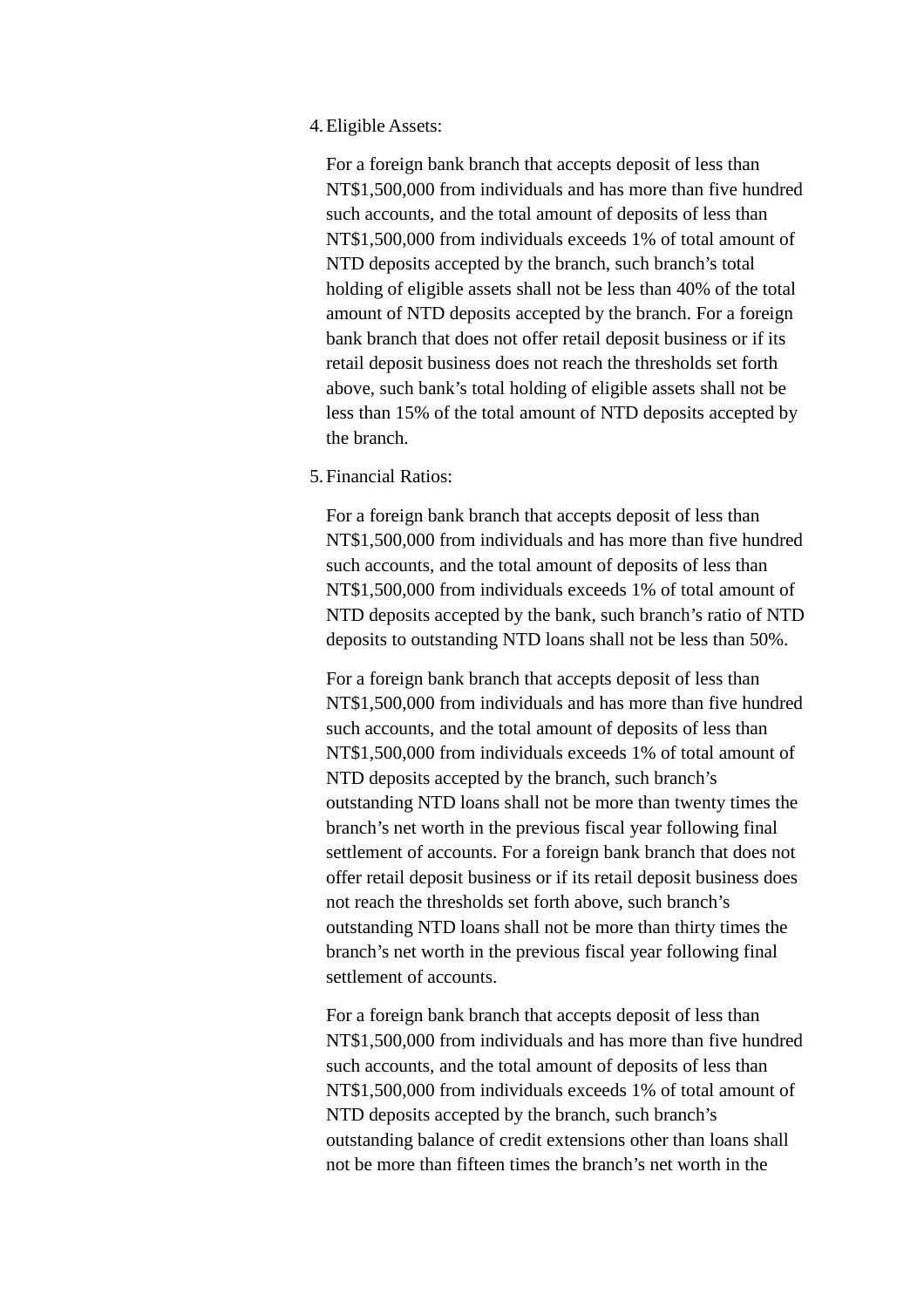#### 4.Eligible Assets:

For a foreign bank branch that accepts deposit of less than NT\$1,500,000 from individuals and has more than five hundred such accounts, and the total amount of deposits of less than NT\$1,500,000 from individuals exceeds 1% of total amount of NTD deposits accepted by the branch, such branch's total holding of eligible assets shall not be less than 40% of the total amount of NTD deposits accepted by the branch. For a foreign bank branch that does not offer retail deposit business or if its retail deposit business does not reach the thresholds set forth above, such bank's total holding of eligible assets shall not be less than 15% of the total amount of NTD deposits accepted by the branch.

### 5.Financial Ratios:

For a foreign bank branch that accepts deposit of less than NT\$1,500,000 from individuals and has more than five hundred such accounts, and the total amount of deposits of less than NT\$1,500,000 from individuals exceeds 1% of total amount of NTD deposits accepted by the bank, such branch's ratio of NTD deposits to outstanding NTD loans shall not be less than 50%.

For a foreign bank branch that accepts deposit of less than NT\$1,500,000 from individuals and has more than five hundred such accounts, and the total amount of deposits of less than NT\$1,500,000 from individuals exceeds 1% of total amount of NTD deposits accepted by the branch, such branch's outstanding NTD loans shall not be more than twenty times the branch's net worth in the previous fiscal year following final settlement of accounts. For a foreign bank branch that does not offer retail deposit business or if its retail deposit business does not reach the thresholds set forth above, such branch's outstanding NTD loans shall not be more than thirty times the branch's net worth in the previous fiscal year following final settlement of accounts.

For a foreign bank branch that accepts deposit of less than NT\$1,500,000 from individuals and has more than five hundred such accounts, and the total amount of deposits of less than NT\$1,500,000 from individuals exceeds 1% of total amount of NTD deposits accepted by the branch, such branch's outstanding balance of credit extensions other than loans shall not be more than fifteen times the branch's net worth in the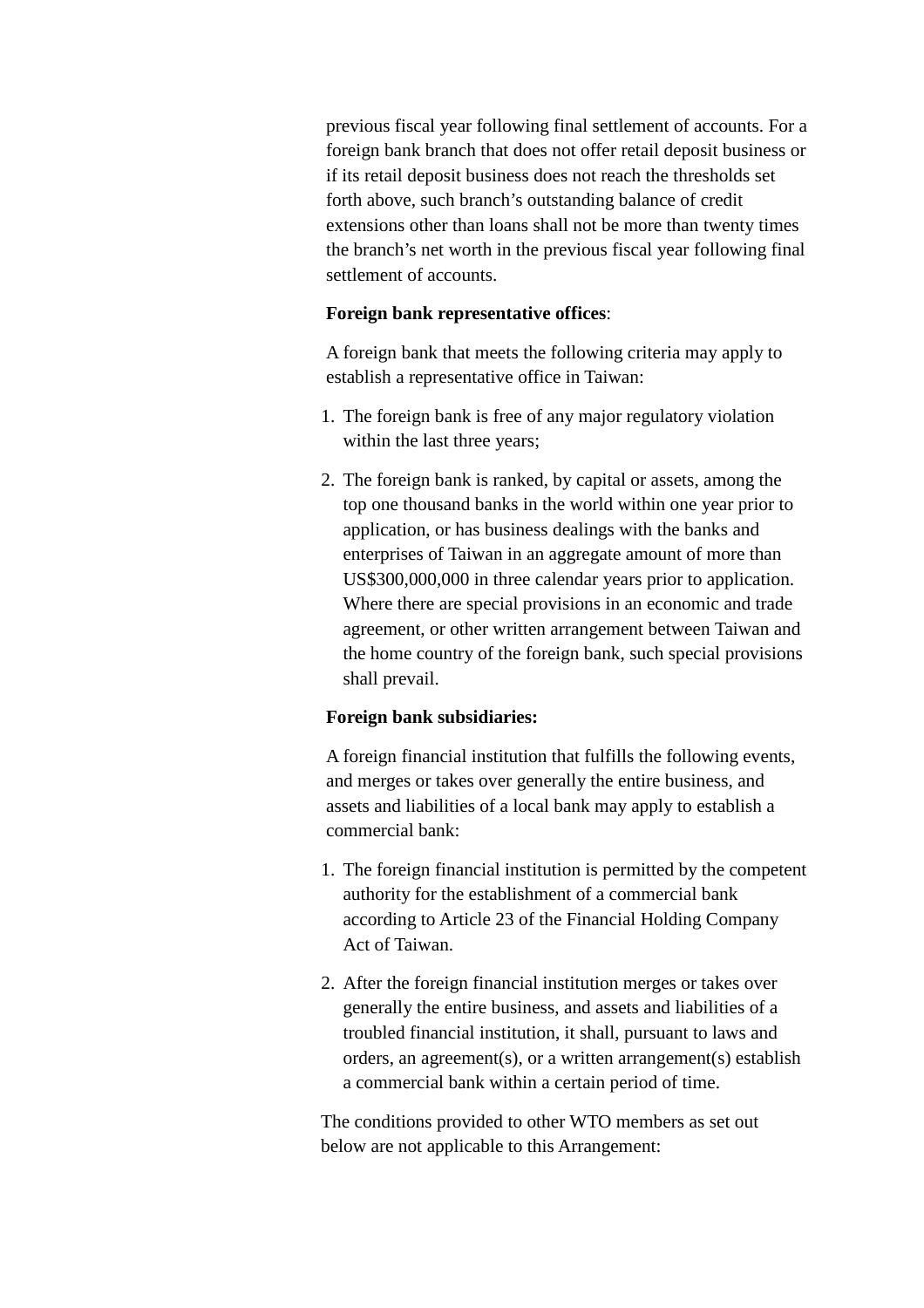previous fiscal year following final settlement of accounts. For a foreign bank branch that does not offer retail deposit business or if its retail deposit business does not reach the thresholds set forth above, such branch's outstanding balance of credit extensions other than loans shall not be more than twenty times the branch's net worth in the previous fiscal year following final settlement of accounts.

## **Foreign bank representative offices**:

A foreign bank that meets the following criteria may apply to establish a representative office in Taiwan:

- 1. The foreign bank is free of any major regulatory violation within the last three years;
- 2. The foreign bank is ranked, by capital or assets, among the top one thousand banks in the world within one year prior to application, or has business dealings with the banks and enterprises of Taiwan in an aggregate amount of more than US\$300,000,000 in three calendar years prior to application. Where there are special provisions in an economic and trade agreement, or other written arrangement between Taiwan and the home country of the foreign bank, such special provisions shall prevail.

# **Foreign bank subsidiaries:**

A foreign financial institution that fulfills the following events, and merges or takes over generally the entire business, and assets and liabilities of a local bank may apply to establish a commercial bank:

- 1. The foreign financial institution is permitted by the competent authority for the establishment of a commercial bank according to Article 23 of the Financial Holding Company Act of Taiwan.
- 2. After the foreign financial institution merges or takes over generally the entire business, and assets and liabilities of a troubled financial institution, it shall, pursuant to laws and orders, an agreement(s), or a written arrangement(s) establish a commercial bank within a certain period of time.

The conditions provided to other WTO members as set out below are not applicable to this Arrangement: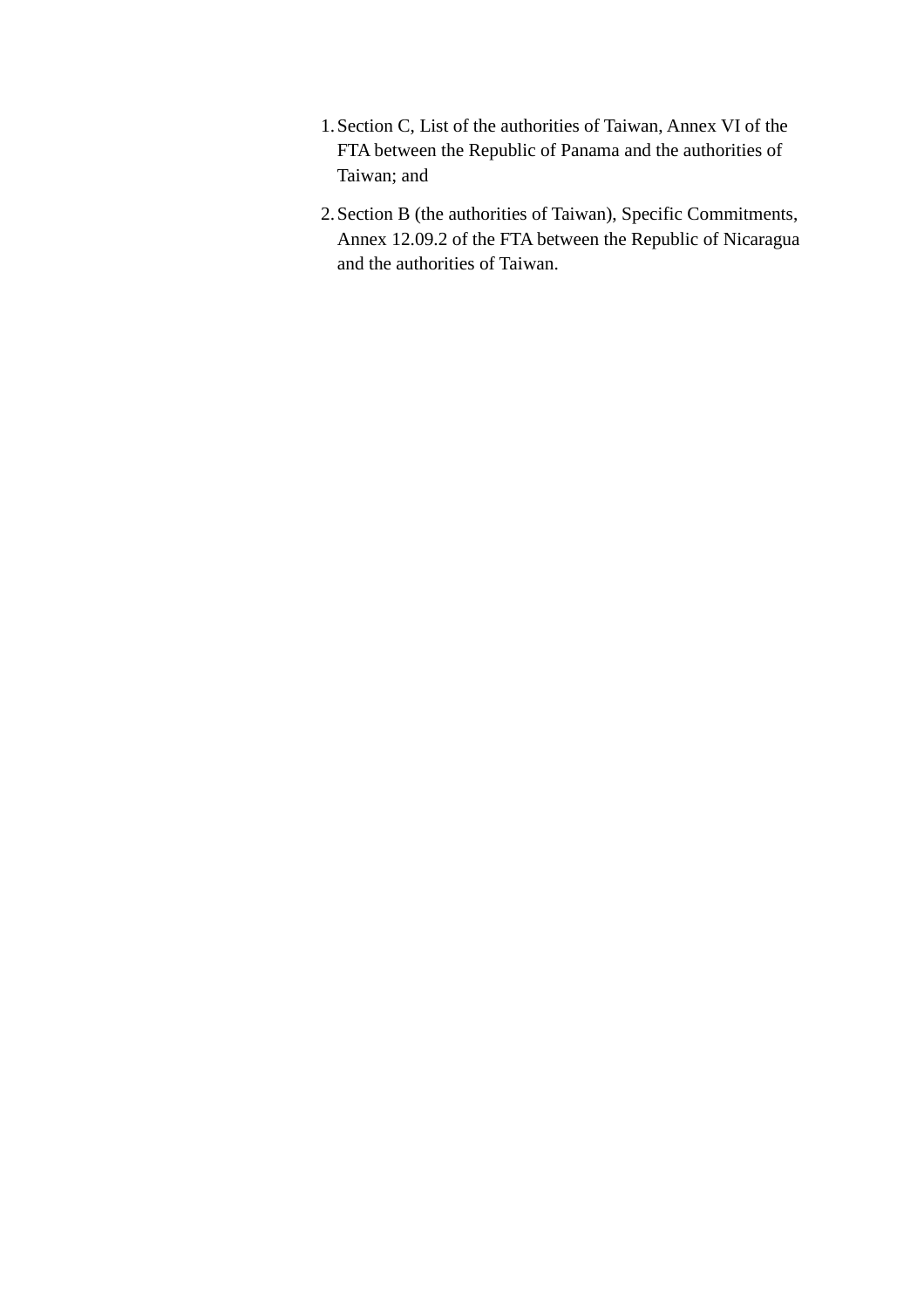- 1.Section C, List of the authorities of Taiwan, Annex VI of the FTA between the Republic of Panama and the authorities of Taiwan; and
- 2.Section B (the authorities of Taiwan), Specific Commitments, Annex 12.09.2 of the FTA between the Republic of Nicaragua and the authorities of Taiwan.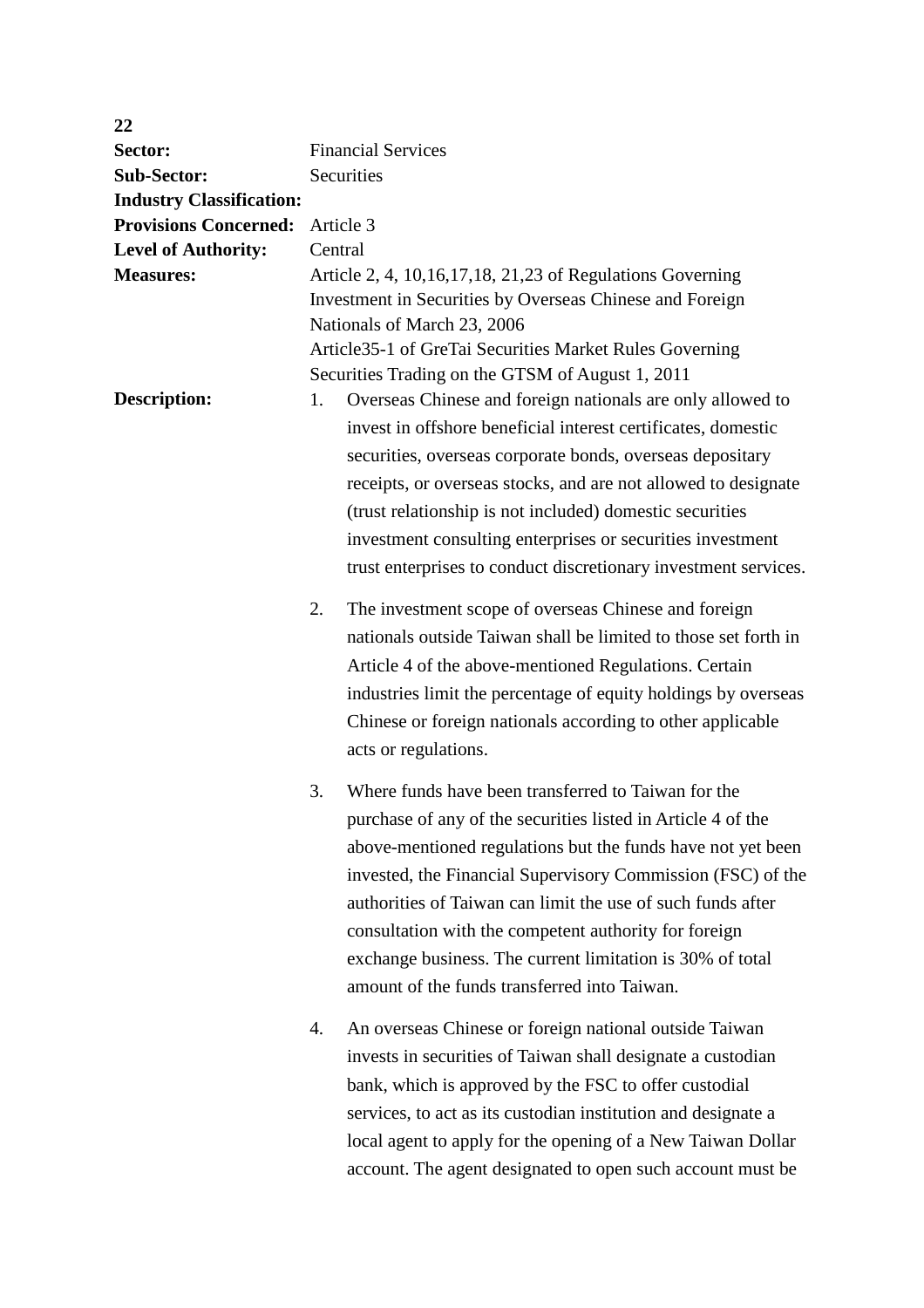| 22                              |    |                                                                 |  |
|---------------------------------|----|-----------------------------------------------------------------|--|
| Sector:                         |    | <b>Financial Services</b>                                       |  |
| <b>Sub-Sector:</b>              |    | Securities                                                      |  |
| <b>Industry Classification:</b> |    |                                                                 |  |
| <b>Provisions Concerned:</b>    |    | Article 3                                                       |  |
| <b>Level of Authority:</b>      |    | Central                                                         |  |
| <b>Measures:</b>                |    | Article 2, 4, 10, 16, 17, 18, 21, 23 of Regulations Governing   |  |
|                                 |    | Investment in Securities by Overseas Chinese and Foreign        |  |
|                                 |    | Nationals of March 23, 2006                                     |  |
|                                 |    | Article 35-1 of GreTai Securities Market Rules Governing        |  |
|                                 |    | Securities Trading on the GTSM of August 1, 2011                |  |
| Description:                    | 1. | Overseas Chinese and foreign nationals are only allowed to      |  |
|                                 |    | invest in offshore beneficial interest certificates, domestic   |  |
|                                 |    | securities, overseas corporate bonds, overseas depositary       |  |
|                                 |    | receipts, or overseas stocks, and are not allowed to designate  |  |
|                                 |    | (trust relationship is not included) domestic securities        |  |
|                                 |    |                                                                 |  |
|                                 |    | investment consulting enterprises or securities investment      |  |
|                                 |    | trust enterprises to conduct discretionary investment services. |  |
|                                 | 2. | The investment scope of overseas Chinese and foreign            |  |
|                                 |    | nationals outside Taiwan shall be limited to those set forth in |  |
|                                 |    | Article 4 of the above-mentioned Regulations. Certain           |  |
|                                 |    |                                                                 |  |
|                                 |    | industries limit the percentage of equity holdings by overseas  |  |
|                                 |    | Chinese or foreign nationals according to other applicable      |  |
|                                 |    | acts or regulations.                                            |  |
|                                 | 3. | Where funds have been transferred to Taiwan for the             |  |
|                                 |    | purchase of any of the securities listed in Article 4 of the    |  |
|                                 |    |                                                                 |  |
|                                 |    | above-mentioned regulations but the funds have not yet been     |  |
|                                 |    | invested, the Financial Supervisory Commission (FSC) of the     |  |
|                                 |    | authorities of Taiwan can limit the use of such funds after     |  |
|                                 |    | consultation with the competent authority for foreign           |  |
|                                 |    | exchange business. The current limitation is 30% of total       |  |
|                                 |    | amount of the funds transferred into Taiwan.                    |  |
|                                 |    |                                                                 |  |
|                                 | 4. | An overseas Chinese or foreign national outside Taiwan          |  |
|                                 |    | invests in securities of Taiwan shall designate a custodian     |  |
|                                 |    | bank, which is approved by the FSC to offer custodial           |  |
|                                 |    | services, to act as its custodian institution and designate a   |  |
|                                 |    | local agent to apply for the opening of a New Taiwan Dollar     |  |
|                                 |    | account. The agent designated to open such account must be      |  |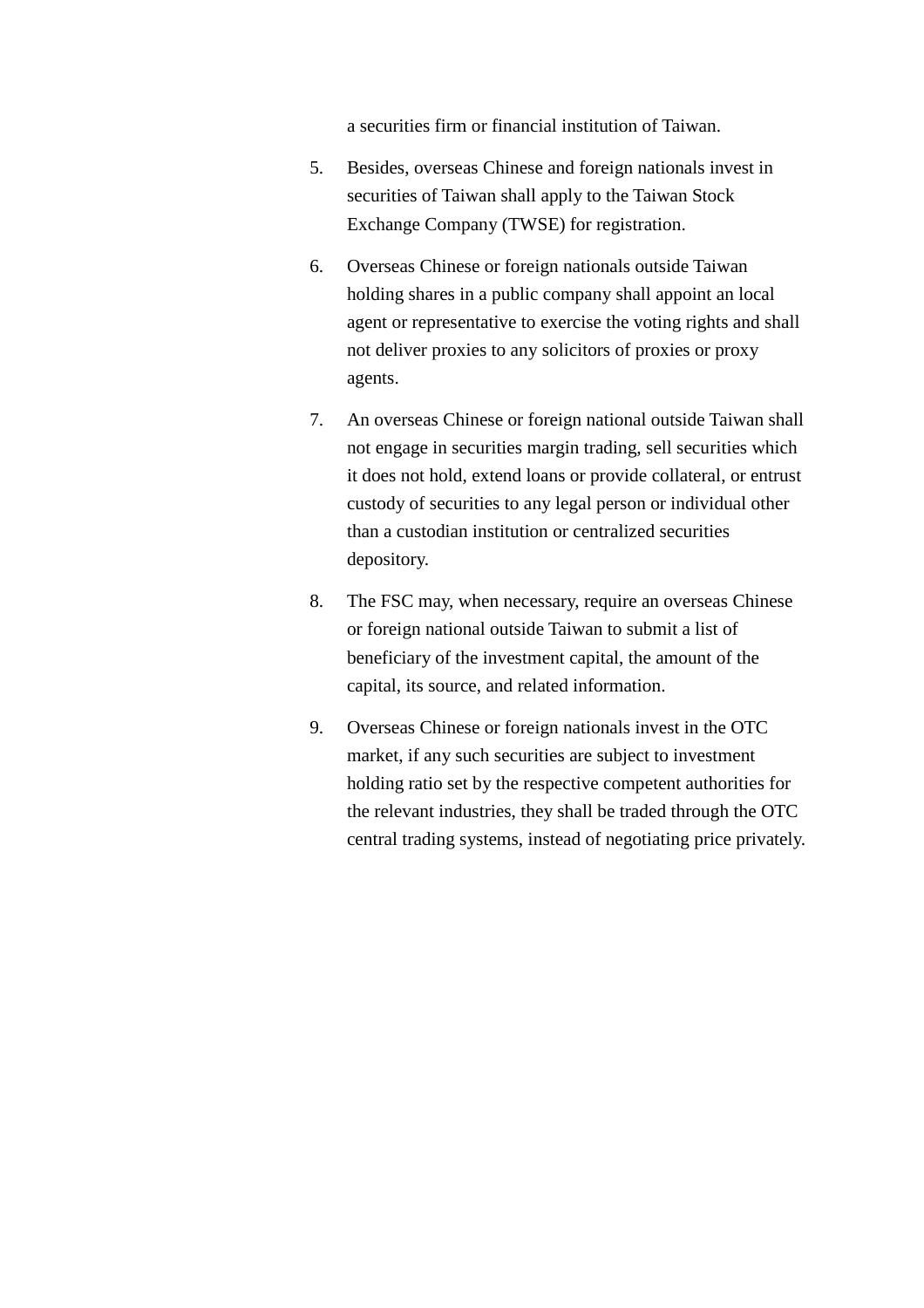a securities firm or financial institution of Taiwan.

- 5. Besides, overseas Chinese and foreign nationals invest in securities of Taiwan shall apply to the Taiwan Stock Exchange Company (TWSE) for registration.
- 6. Overseas Chinese or foreign nationals outside Taiwan holding shares in a public company shall appoint an local agent or representative to exercise the voting rights and shall not deliver proxies to any solicitors of proxies or proxy agents.
- 7. An overseas Chinese or foreign national outside Taiwan shall not engage in securities margin trading, sell securities which it does not hold, extend loans or provide collateral, or entrust custody of securities to any legal person or individual other than a custodian institution or centralized securities depository.
- 8. The FSC may, when necessary, require an overseas Chinese or foreign national outside Taiwan to submit a list of beneficiary of the investment capital, the amount of the capital, its source, and related information.
- 9. Overseas Chinese or foreign nationals invest in the OTC market, if any such securities are subject to investment holding ratio set by the respective competent authorities for the relevant industries, they shall be traded through the OTC central trading systems, instead of negotiating price privately.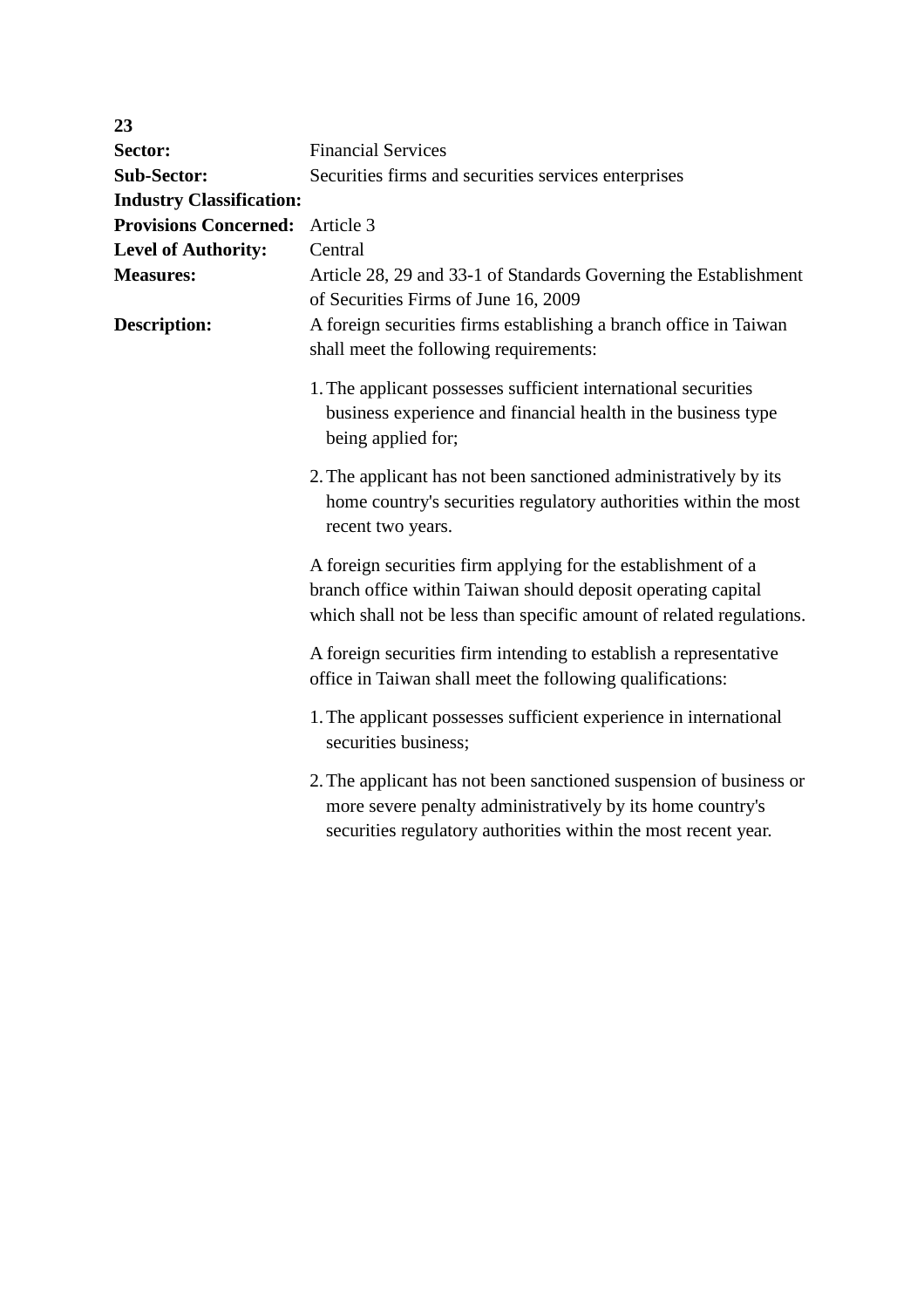| 23                              |                                                                                                                                                                                                       |
|---------------------------------|-------------------------------------------------------------------------------------------------------------------------------------------------------------------------------------------------------|
| Sector:                         | <b>Financial Services</b>                                                                                                                                                                             |
| <b>Sub-Sector:</b>              | Securities firms and securities services enterprises                                                                                                                                                  |
| <b>Industry Classification:</b> |                                                                                                                                                                                                       |
| <b>Provisions Concerned:</b>    | Article 3                                                                                                                                                                                             |
| <b>Level of Authority:</b>      | Central                                                                                                                                                                                               |
| <b>Measures:</b>                | Article 28, 29 and 33-1 of Standards Governing the Establishment<br>of Securities Firms of June 16, 2009                                                                                              |
| <b>Description:</b>             | A foreign securities firms establishing a branch office in Taiwan<br>shall meet the following requirements:                                                                                           |
|                                 | 1. The applicant possesses sufficient international securities<br>business experience and financial health in the business type<br>being applied for;                                                 |
|                                 | 2. The applicant has not been sanctioned administratively by its<br>home country's securities regulatory authorities within the most<br>recent two years.                                             |
|                                 | A foreign securities firm applying for the establishment of a<br>branch office within Taiwan should deposit operating capital<br>which shall not be less than specific amount of related regulations. |
|                                 | A foreign securities firm intending to establish a representative<br>office in Taiwan shall meet the following qualifications:                                                                        |
|                                 | 1. The applicant possesses sufficient experience in international<br>securities business;                                                                                                             |
|                                 | 2. The applicant has not been sanctioned suspension of business or<br>more severe penalty administratively by its home country's<br>securities regulatory authorities within the most recent year.    |
|                                 |                                                                                                                                                                                                       |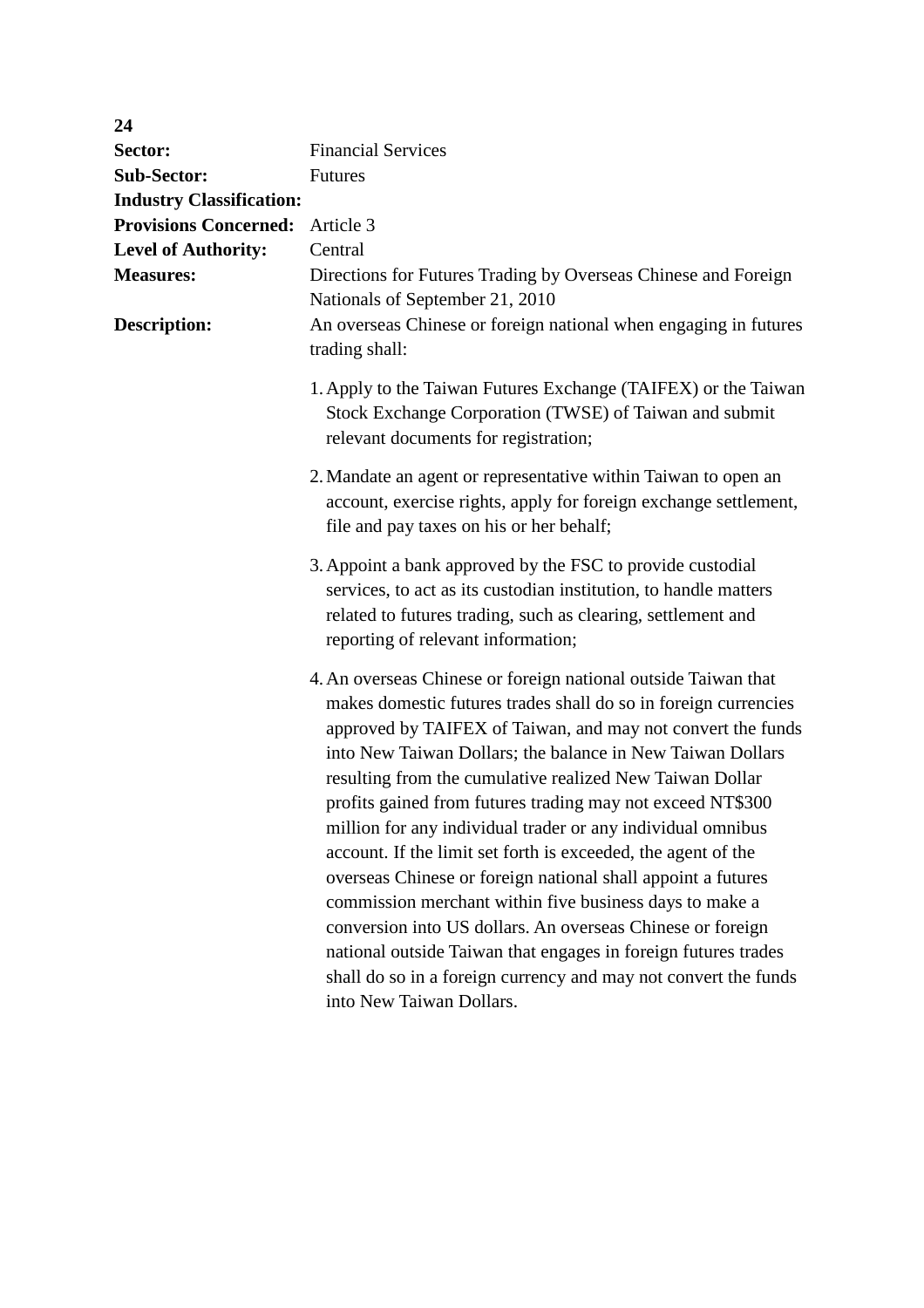| 24                              |                                                                                                                                                                                                                                                                                                                                                                                                                                                                                                                                                                                                                                                                                                                                                                                                                                                                                    |  |
|---------------------------------|------------------------------------------------------------------------------------------------------------------------------------------------------------------------------------------------------------------------------------------------------------------------------------------------------------------------------------------------------------------------------------------------------------------------------------------------------------------------------------------------------------------------------------------------------------------------------------------------------------------------------------------------------------------------------------------------------------------------------------------------------------------------------------------------------------------------------------------------------------------------------------|--|
| Sector:                         | <b>Financial Services</b>                                                                                                                                                                                                                                                                                                                                                                                                                                                                                                                                                                                                                                                                                                                                                                                                                                                          |  |
| <b>Sub-Sector:</b>              | <b>Futures</b>                                                                                                                                                                                                                                                                                                                                                                                                                                                                                                                                                                                                                                                                                                                                                                                                                                                                     |  |
| <b>Industry Classification:</b> |                                                                                                                                                                                                                                                                                                                                                                                                                                                                                                                                                                                                                                                                                                                                                                                                                                                                                    |  |
| <b>Provisions Concerned:</b>    | Article 3                                                                                                                                                                                                                                                                                                                                                                                                                                                                                                                                                                                                                                                                                                                                                                                                                                                                          |  |
| <b>Level of Authority:</b>      | Central                                                                                                                                                                                                                                                                                                                                                                                                                                                                                                                                                                                                                                                                                                                                                                                                                                                                            |  |
| <b>Measures:</b>                | Directions for Futures Trading by Overseas Chinese and Foreign<br>Nationals of September 21, 2010                                                                                                                                                                                                                                                                                                                                                                                                                                                                                                                                                                                                                                                                                                                                                                                  |  |
| <b>Description:</b>             | An overseas Chinese or foreign national when engaging in futures<br>trading shall:                                                                                                                                                                                                                                                                                                                                                                                                                                                                                                                                                                                                                                                                                                                                                                                                 |  |
|                                 | 1. Apply to the Taiwan Futures Exchange (TAIFEX) or the Taiwan<br>Stock Exchange Corporation (TWSE) of Taiwan and submit<br>relevant documents for registration;                                                                                                                                                                                                                                                                                                                                                                                                                                                                                                                                                                                                                                                                                                                   |  |
|                                 | 2. Mandate an agent or representative within Taiwan to open an<br>account, exercise rights, apply for foreign exchange settlement,<br>file and pay taxes on his or her behalf;                                                                                                                                                                                                                                                                                                                                                                                                                                                                                                                                                                                                                                                                                                     |  |
|                                 | 3. Appoint a bank approved by the FSC to provide custodial<br>services, to act as its custodian institution, to handle matters<br>related to futures trading, such as clearing, settlement and<br>reporting of relevant information;                                                                                                                                                                                                                                                                                                                                                                                                                                                                                                                                                                                                                                               |  |
|                                 | 4. An overseas Chinese or foreign national outside Taiwan that<br>makes domestic futures trades shall do so in foreign currencies<br>approved by TAIFEX of Taiwan, and may not convert the funds<br>into New Taiwan Dollars; the balance in New Taiwan Dollars<br>resulting from the cumulative realized New Taiwan Dollar<br>profits gained from futures trading may not exceed NT\$300<br>million for any individual trader or any individual omnibus<br>account. If the limit set forth is exceeded, the agent of the<br>overseas Chinese or foreign national shall appoint a futures<br>commission merchant within five business days to make a<br>conversion into US dollars. An overseas Chinese or foreign<br>national outside Taiwan that engages in foreign futures trades<br>shall do so in a foreign currency and may not convert the funds<br>into New Taiwan Dollars. |  |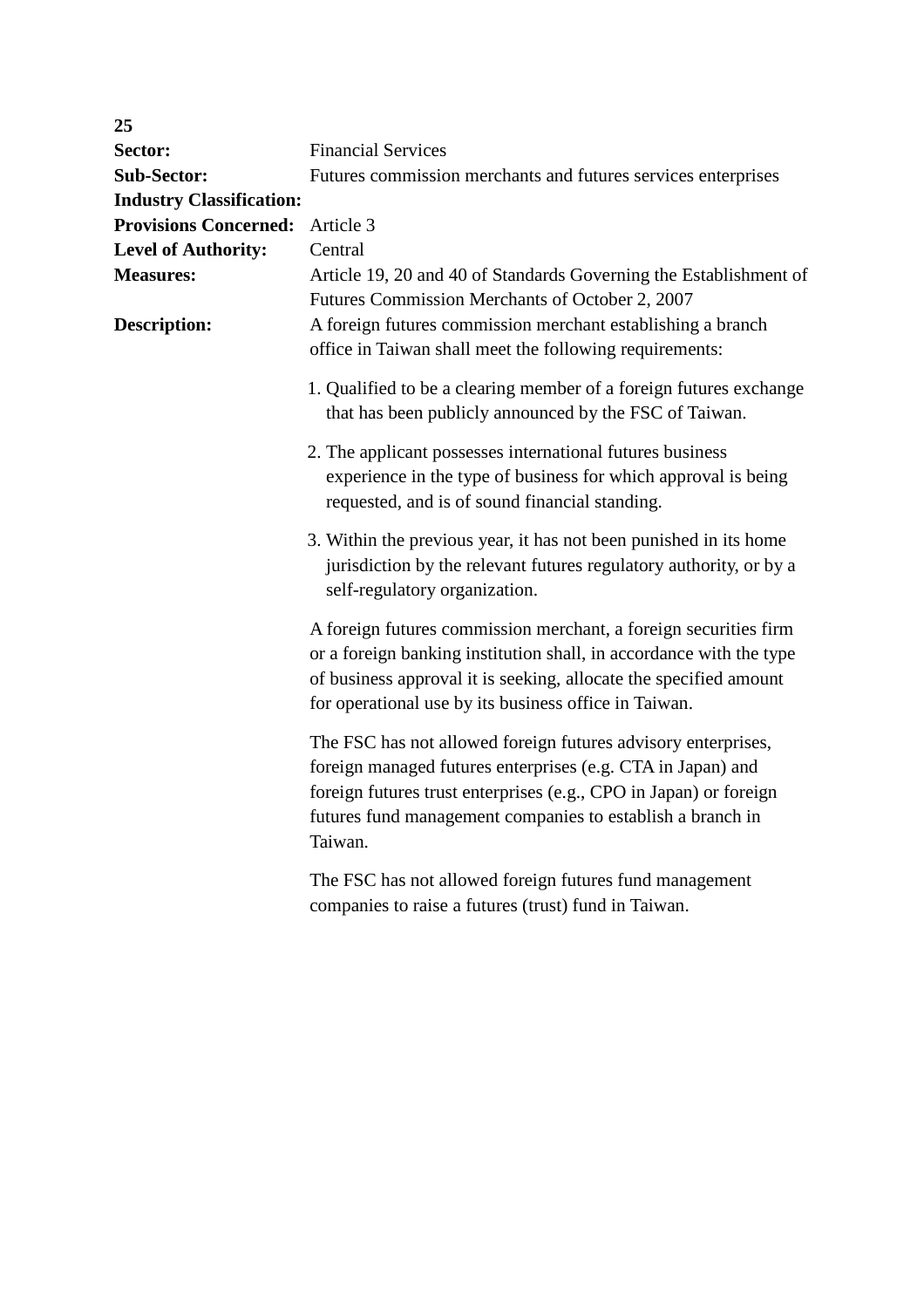| 25                              |                                                                                                                                                                                                                                                                            |
|---------------------------------|----------------------------------------------------------------------------------------------------------------------------------------------------------------------------------------------------------------------------------------------------------------------------|
| Sector:                         | <b>Financial Services</b>                                                                                                                                                                                                                                                  |
| <b>Sub-Sector:</b>              | Futures commission merchants and futures services enterprises                                                                                                                                                                                                              |
| <b>Industry Classification:</b> |                                                                                                                                                                                                                                                                            |
| <b>Provisions Concerned:</b>    | Article 3                                                                                                                                                                                                                                                                  |
| <b>Level of Authority:</b>      | Central                                                                                                                                                                                                                                                                    |
| <b>Measures:</b>                | Article 19, 20 and 40 of Standards Governing the Establishment of                                                                                                                                                                                                          |
|                                 | Futures Commission Merchants of October 2, 2007                                                                                                                                                                                                                            |
| <b>Description:</b>             | A foreign futures commission merchant establishing a branch<br>office in Taiwan shall meet the following requirements:                                                                                                                                                     |
|                                 | 1. Qualified to be a clearing member of a foreign futures exchange<br>that has been publicly announced by the FSC of Taiwan.                                                                                                                                               |
|                                 | 2. The applicant possesses international futures business<br>experience in the type of business for which approval is being<br>requested, and is of sound financial standing.                                                                                              |
|                                 | 3. Within the previous year, it has not been punished in its home<br>jurisdiction by the relevant futures regulatory authority, or by a<br>self-regulatory organization.                                                                                                   |
|                                 | A foreign futures commission merchant, a foreign securities firm<br>or a foreign banking institution shall, in accordance with the type<br>of business approval it is seeking, allocate the specified amount<br>for operational use by its business office in Taiwan.      |
|                                 | The FSC has not allowed foreign futures advisory enterprises,<br>foreign managed futures enterprises (e.g. CTA in Japan) and<br>foreign futures trust enterprises (e.g., CPO in Japan) or foreign<br>futures fund management companies to establish a branch in<br>Taiwan. |
|                                 | The FSC has not allowed foreign futures fund management<br>companies to raise a futures (trust) fund in Taiwan.                                                                                                                                                            |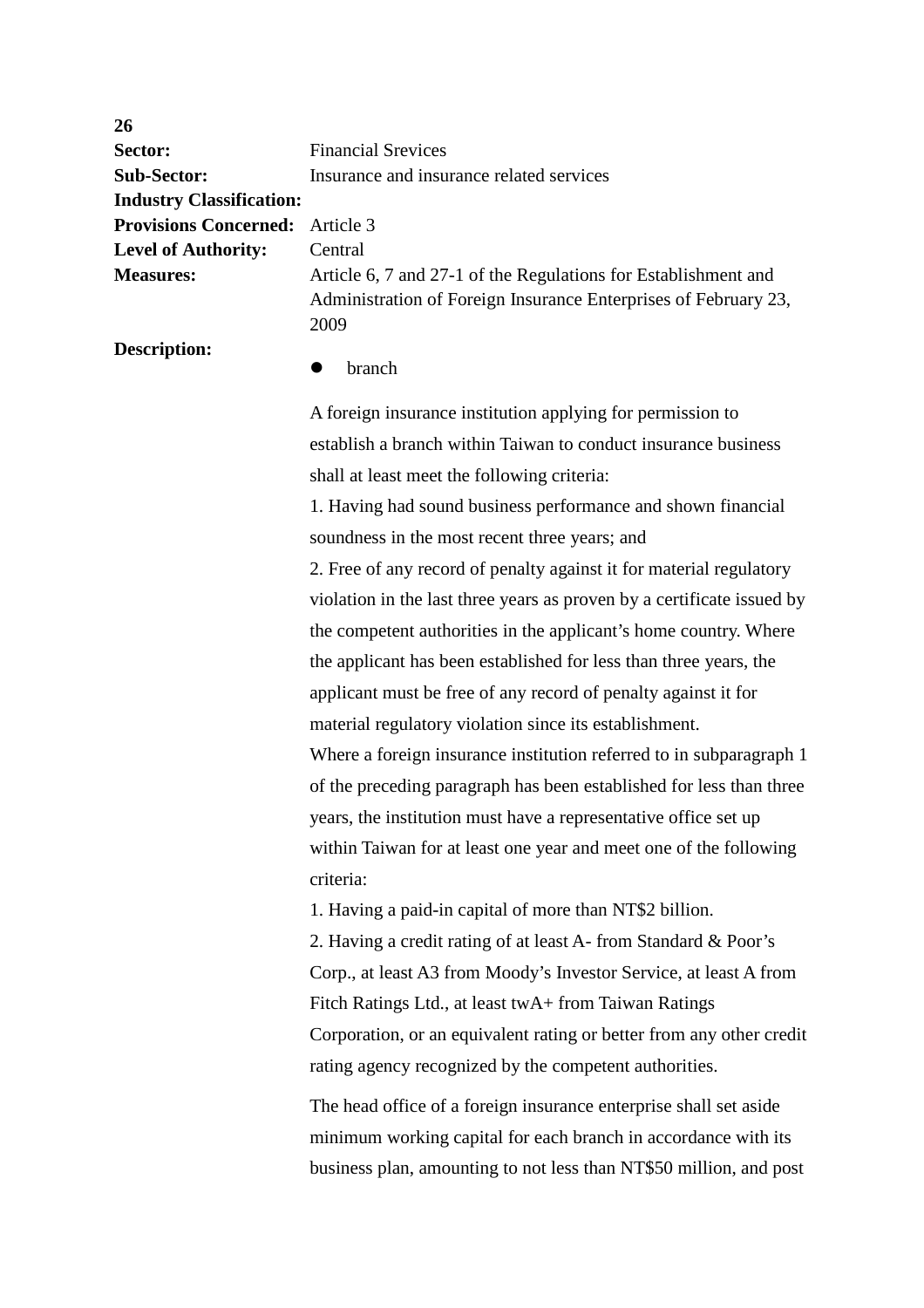| 26                              |                                                                                                                                           |
|---------------------------------|-------------------------------------------------------------------------------------------------------------------------------------------|
| Sector:                         | <b>Financial Srevices</b>                                                                                                                 |
| <b>Sub-Sector:</b>              | Insurance and insurance related services                                                                                                  |
| <b>Industry Classification:</b> |                                                                                                                                           |
| <b>Provisions Concerned:</b>    | Article 3                                                                                                                                 |
| <b>Level of Authority:</b>      | Central                                                                                                                                   |
| <b>Measures:</b>                | Article 6, 7 and 27-1 of the Regulations for Establishment and<br>Administration of Foreign Insurance Enterprises of February 23,<br>2009 |
| <b>Description:</b>             | branch                                                                                                                                    |
|                                 | A foreign insurance institution applying for permission to                                                                                |
|                                 | establish a branch within Taiwan to conduct insurance business                                                                            |
|                                 | shall at least meet the following criteria:                                                                                               |
|                                 | 1. Having had sound business performance and shown financial                                                                              |
|                                 | soundness in the most recent three years; and                                                                                             |
|                                 | 2. Free of any record of penalty against it for material regulatory                                                                       |
|                                 | violation in the last three years as proven by a certificate issued by                                                                    |
|                                 | the competent authorities in the applicant's home country. Where                                                                          |
|                                 | the applicant has been established for less than three years, the                                                                         |
|                                 | applicant must be free of any record of penalty against it for                                                                            |
|                                 | material regulatory violation since its establishment.                                                                                    |
|                                 | Where a foreign insurance institution referred to in subparagraph 1                                                                       |
|                                 | of the preceding paragraph has been established for less than three                                                                       |
|                                 | years, the institution must have a representative office set up                                                                           |
|                                 | within Taiwan for at least one year and meet one of the following                                                                         |
|                                 | criteria:                                                                                                                                 |
|                                 | 1. Having a paid-in capital of more than NT\$2 billion.                                                                                   |
|                                 | 2. Having a credit rating of at least A- from Standard & Poor's                                                                           |
|                                 | Corp., at least A3 from Moody's Investor Service, at least A from                                                                         |
|                                 | Fitch Ratings Ltd., at least twA+ from Taiwan Ratings                                                                                     |
|                                 | Corporation, or an equivalent rating or better from any other credit                                                                      |
|                                 | rating agency recognized by the competent authorities.                                                                                    |
|                                 | The head office of a foreign insurance enterprise shall set aside                                                                         |
|                                 | minimum working capital for each branch in accordance with its                                                                            |
|                                 | business plan, amounting to not less than NT\$50 million, and post                                                                        |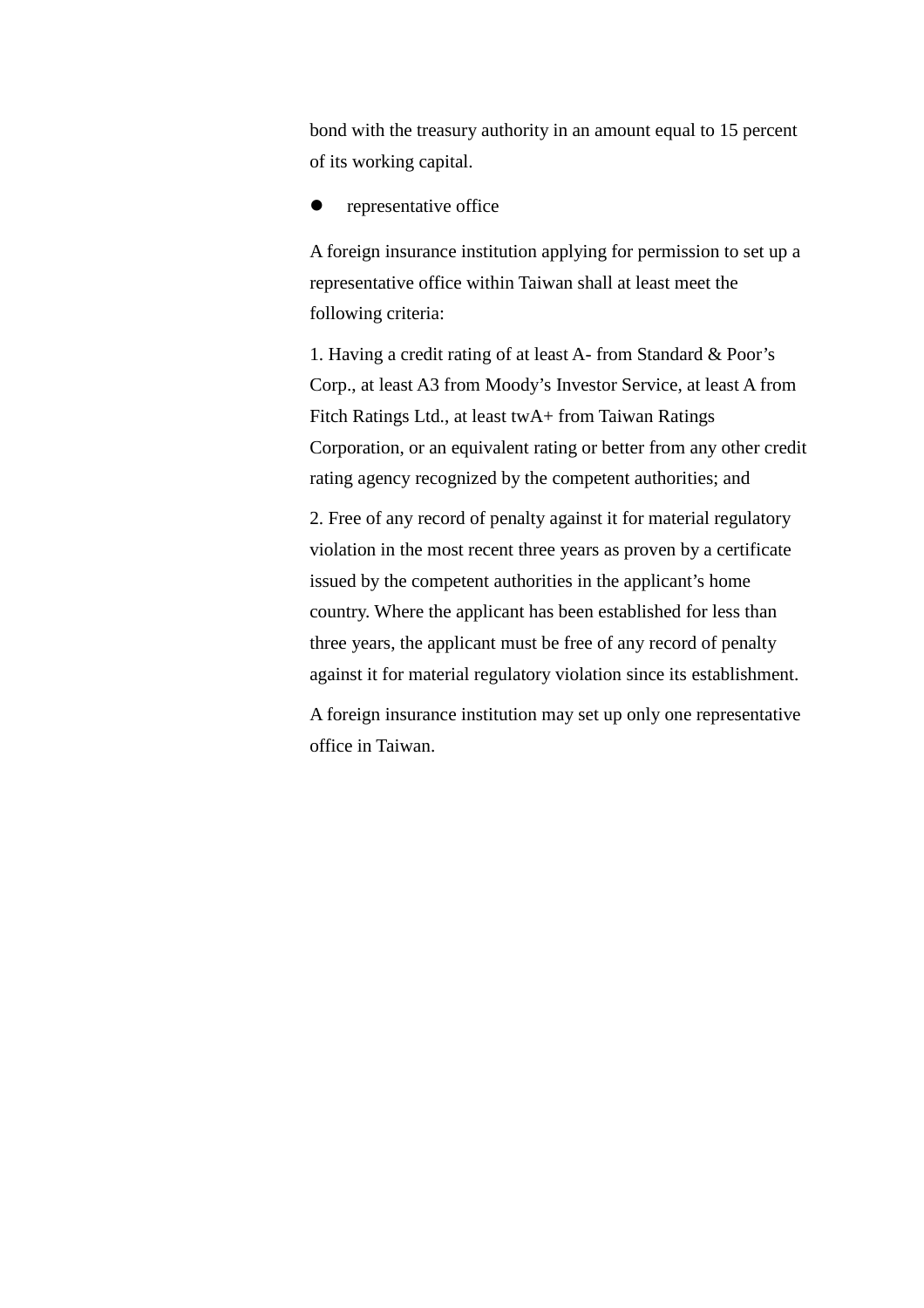bond with the treasury authority in an amount equal to 15 percent of its working capital.

### representative office

A foreign insurance institution applying for permission to set up a representative office within Taiwan shall at least meet the following criteria:

1. Having a credit rating of at least A- from Standard & Poor's Corp., at least A3 from Moody's Investor Service, at least A from Fitch Ratings Ltd., at least twA+ from Taiwan Ratings Corporation, or an equivalent rating or better from any other credit rating agency recognized by the competent authorities; and

2. Free of any record of penalty against it for material regulatory violation in the most recent three years as proven by a certificate issued by the competent authorities in the applicant's home country. Where the applicant has been established for less than three years, the applicant must be free of any record of penalty against it for material regulatory violation since its establishment.

A foreign insurance institution may set up only one representative office in Taiwan.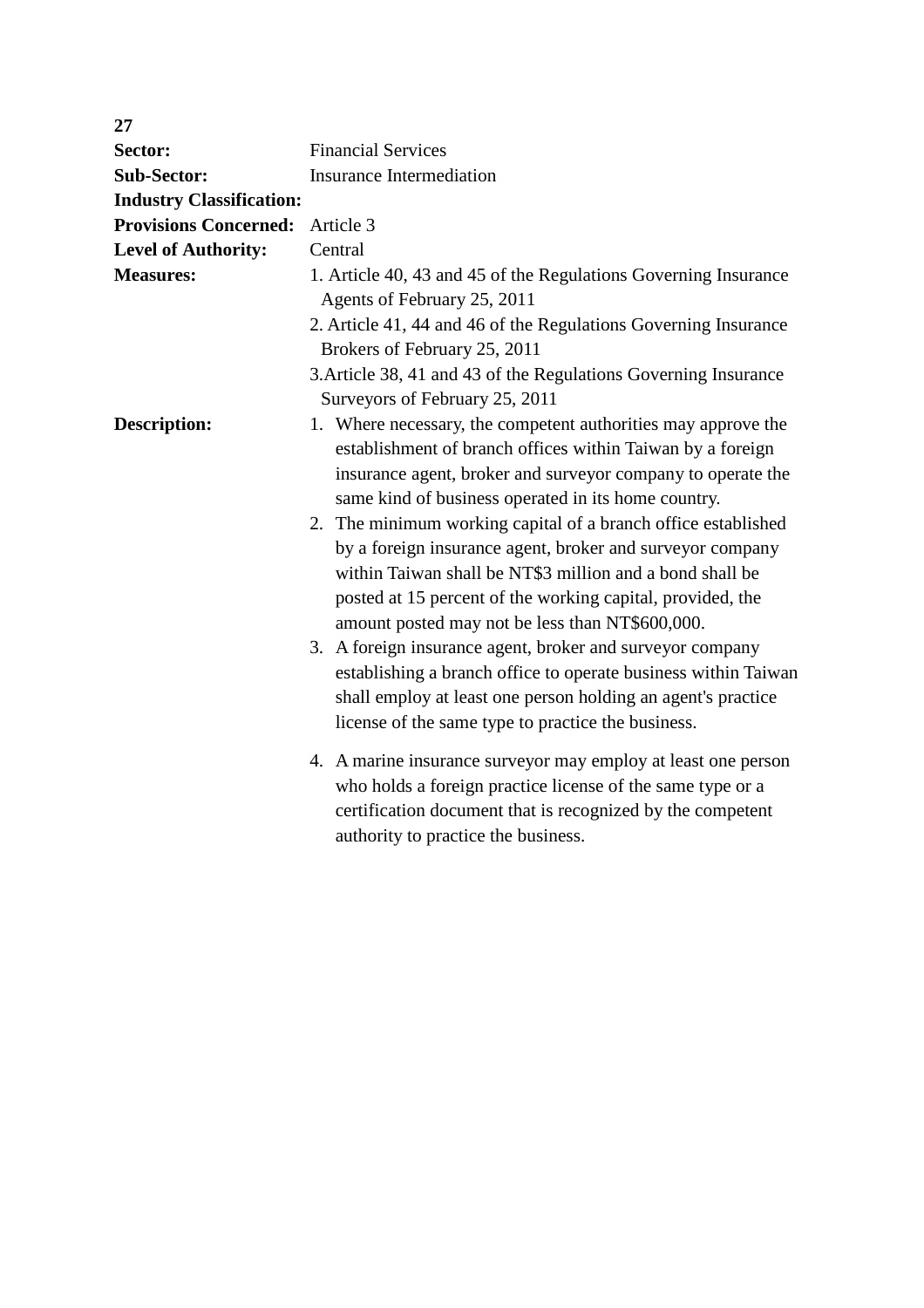| 27                              |                                                                                                                                                                                                                                                                                                                                                                                                                                                                                                                                                                                                                                                                                                                                                                                                                   |
|---------------------------------|-------------------------------------------------------------------------------------------------------------------------------------------------------------------------------------------------------------------------------------------------------------------------------------------------------------------------------------------------------------------------------------------------------------------------------------------------------------------------------------------------------------------------------------------------------------------------------------------------------------------------------------------------------------------------------------------------------------------------------------------------------------------------------------------------------------------|
| Sector:                         | <b>Financial Services</b>                                                                                                                                                                                                                                                                                                                                                                                                                                                                                                                                                                                                                                                                                                                                                                                         |
| <b>Sub-Sector:</b>              | <b>Insurance Intermediation</b>                                                                                                                                                                                                                                                                                                                                                                                                                                                                                                                                                                                                                                                                                                                                                                                   |
| <b>Industry Classification:</b> |                                                                                                                                                                                                                                                                                                                                                                                                                                                                                                                                                                                                                                                                                                                                                                                                                   |
| <b>Provisions Concerned:</b>    | Article 3                                                                                                                                                                                                                                                                                                                                                                                                                                                                                                                                                                                                                                                                                                                                                                                                         |
| <b>Level of Authority:</b>      | Central                                                                                                                                                                                                                                                                                                                                                                                                                                                                                                                                                                                                                                                                                                                                                                                                           |
| <b>Measures:</b>                | 1. Article 40, 43 and 45 of the Regulations Governing Insurance                                                                                                                                                                                                                                                                                                                                                                                                                                                                                                                                                                                                                                                                                                                                                   |
|                                 | Agents of February 25, 2011                                                                                                                                                                                                                                                                                                                                                                                                                                                                                                                                                                                                                                                                                                                                                                                       |
|                                 | 2. Article 41, 44 and 46 of the Regulations Governing Insurance<br>Brokers of February 25, 2011                                                                                                                                                                                                                                                                                                                                                                                                                                                                                                                                                                                                                                                                                                                   |
|                                 | 3. Article 38, 41 and 43 of the Regulations Governing Insurance<br>Surveyors of February 25, 2011                                                                                                                                                                                                                                                                                                                                                                                                                                                                                                                                                                                                                                                                                                                 |
| <b>Description:</b>             | 1. Where necessary, the competent authorities may approve the<br>establishment of branch offices within Taiwan by a foreign<br>insurance agent, broker and surveyor company to operate the<br>same kind of business operated in its home country.<br>2. The minimum working capital of a branch office established<br>by a foreign insurance agent, broker and surveyor company<br>within Taiwan shall be NT\$3 million and a bond shall be<br>posted at 15 percent of the working capital, provided, the<br>amount posted may not be less than NT\$600,000.<br>3. A foreign insurance agent, broker and surveyor company<br>establishing a branch office to operate business within Taiwan<br>shall employ at least one person holding an agent's practice<br>license of the same type to practice the business. |
|                                 | 4. A marine insurance surveyor may employ at least one person<br>who holds a foreign practice license of the same type or a<br>certification document that is recognized by the competent<br>authority to practice the business.                                                                                                                                                                                                                                                                                                                                                                                                                                                                                                                                                                                  |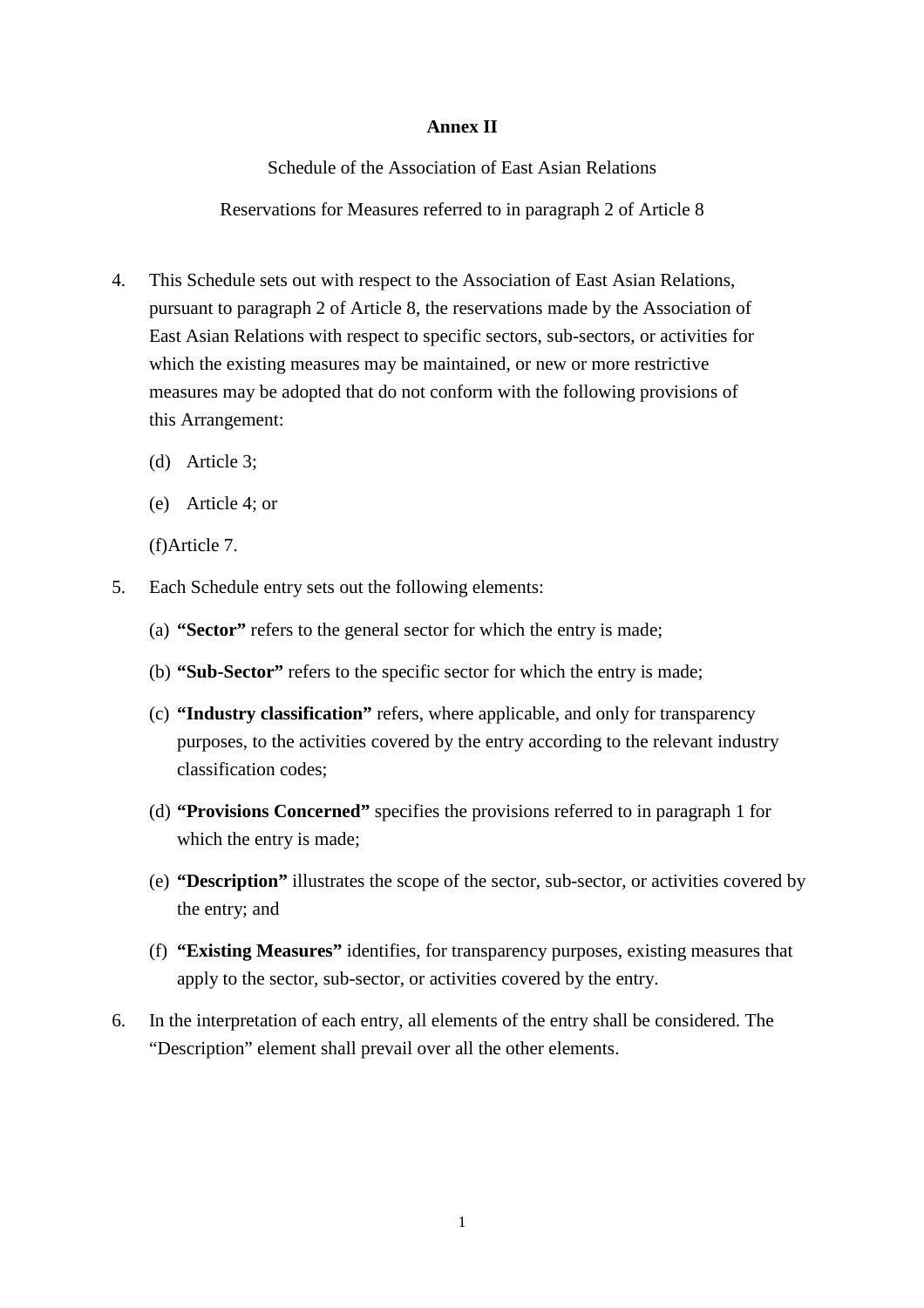# **Annex II**

Schedule of the Association of East Asian Relations

Reservations for Measures referred to in paragraph 2 of Article 8

- 4. This Schedule sets out with respect to the Association of East Asian Relations, pursuant to paragraph 2 of Article 8, the reservations made by the Association of East Asian Relations with respect to specific sectors, sub-sectors, or activities for which the existing measures may be maintained, or new or more restrictive measures may be adopted that do not conform with the following provisions of this Arrangement:
	- (d) Article 3;
	- (e) Article 4; or

(f)Article 7.

- 5. Each Schedule entry sets out the following elements:
	- (a) **"Sector"** refers to the general sector for which the entry is made;
	- (b) **"Sub-Sector"** refers to the specific sector for which the entry is made;
	- (c) **"Industry classification"** refers, where applicable, and only for transparency purposes, to the activities covered by the entry according to the relevant industry classification codes;
	- (d) **"Provisions Concerned"** specifies the provisions referred to in paragraph 1 for which the entry is made;
	- (e) **"Description"** illustrates the scope of the sector, sub-sector, or activities covered by the entry; and
	- (f) **"Existing Measures"** identifies, for transparency purposes, existing measures that apply to the sector, sub-sector, or activities covered by the entry.
- 6. In the interpretation of each entry, all elements of the entry shall be considered. The "Description" element shall prevail over all the other elements.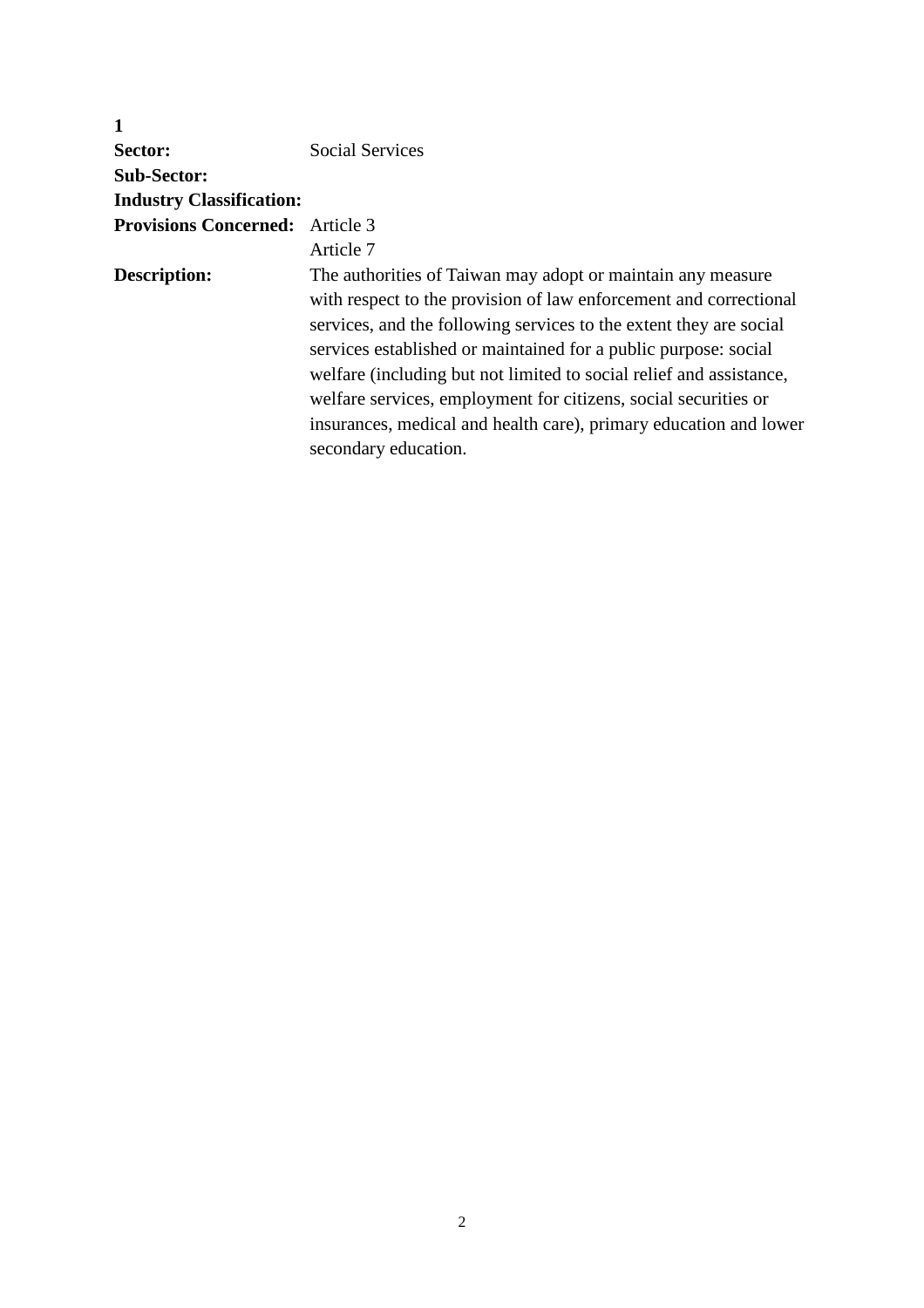| Sector:                                | Social Services                                                     |
|----------------------------------------|---------------------------------------------------------------------|
| <b>Sub-Sector:</b>                     |                                                                     |
| <b>Industry Classification:</b>        |                                                                     |
| <b>Provisions Concerned:</b> Article 3 |                                                                     |
|                                        | Article 7                                                           |
| Description:                           | The authorities of Taiwan may adopt or maintain any measure         |
|                                        | with respect to the provision of law enforcement and correctional   |
|                                        | services, and the following services to the extent they are social  |
|                                        | services established or maintained for a public purpose: social     |
|                                        | welfare (including but not limited to social relief and assistance, |
|                                        | welfare services, employment for citizens, social securities or     |
|                                        | insurances, medical and health care), primary education and lower   |
|                                        | secondary education.                                                |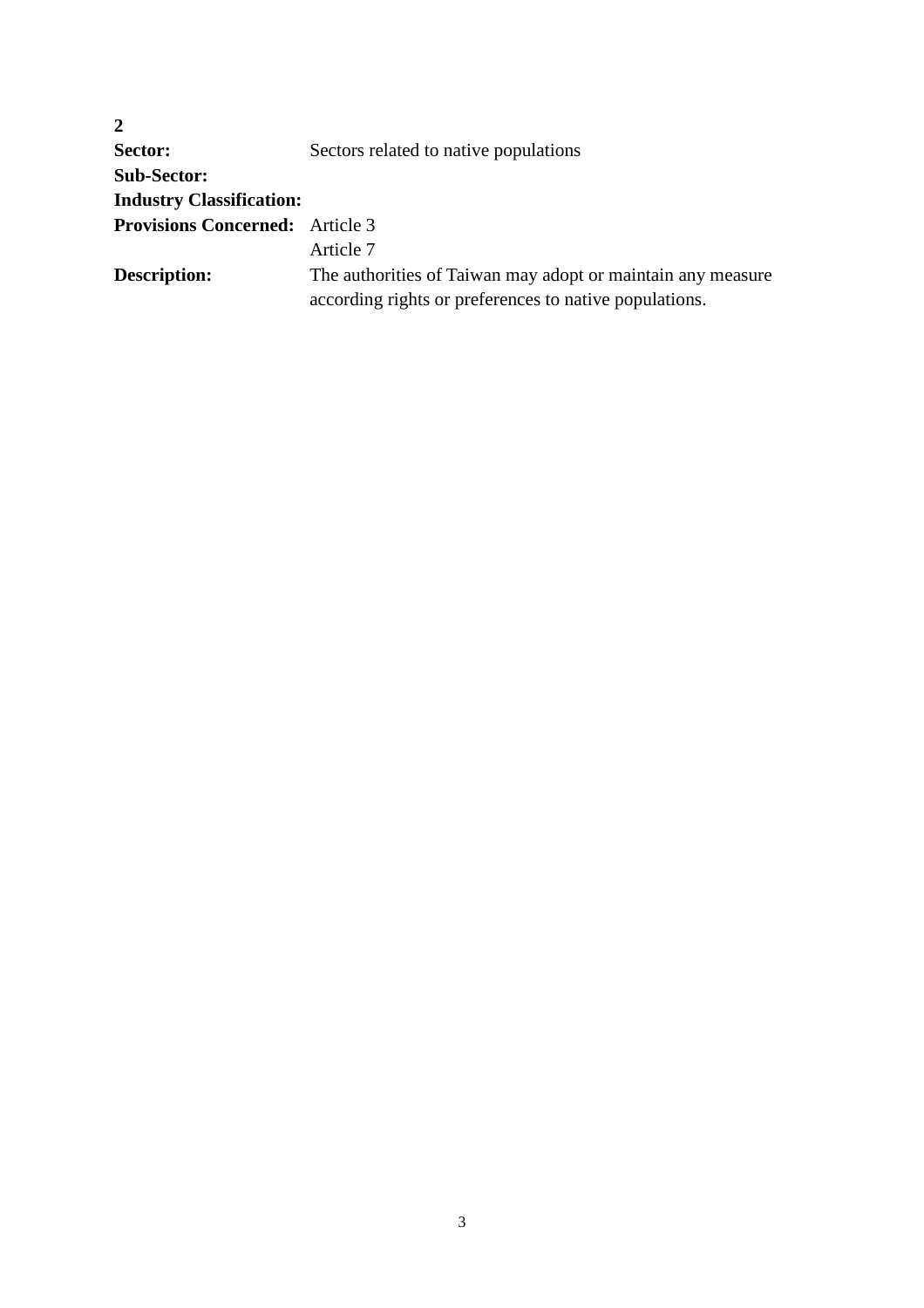| Sectors related to native populations                       |
|-------------------------------------------------------------|
|                                                             |
|                                                             |
| <b>Provisions Concerned:</b> Article 3                      |
| Article 7                                                   |
| The authorities of Taiwan may adopt or maintain any measure |
| according rights or preferences to native populations.      |
|                                                             |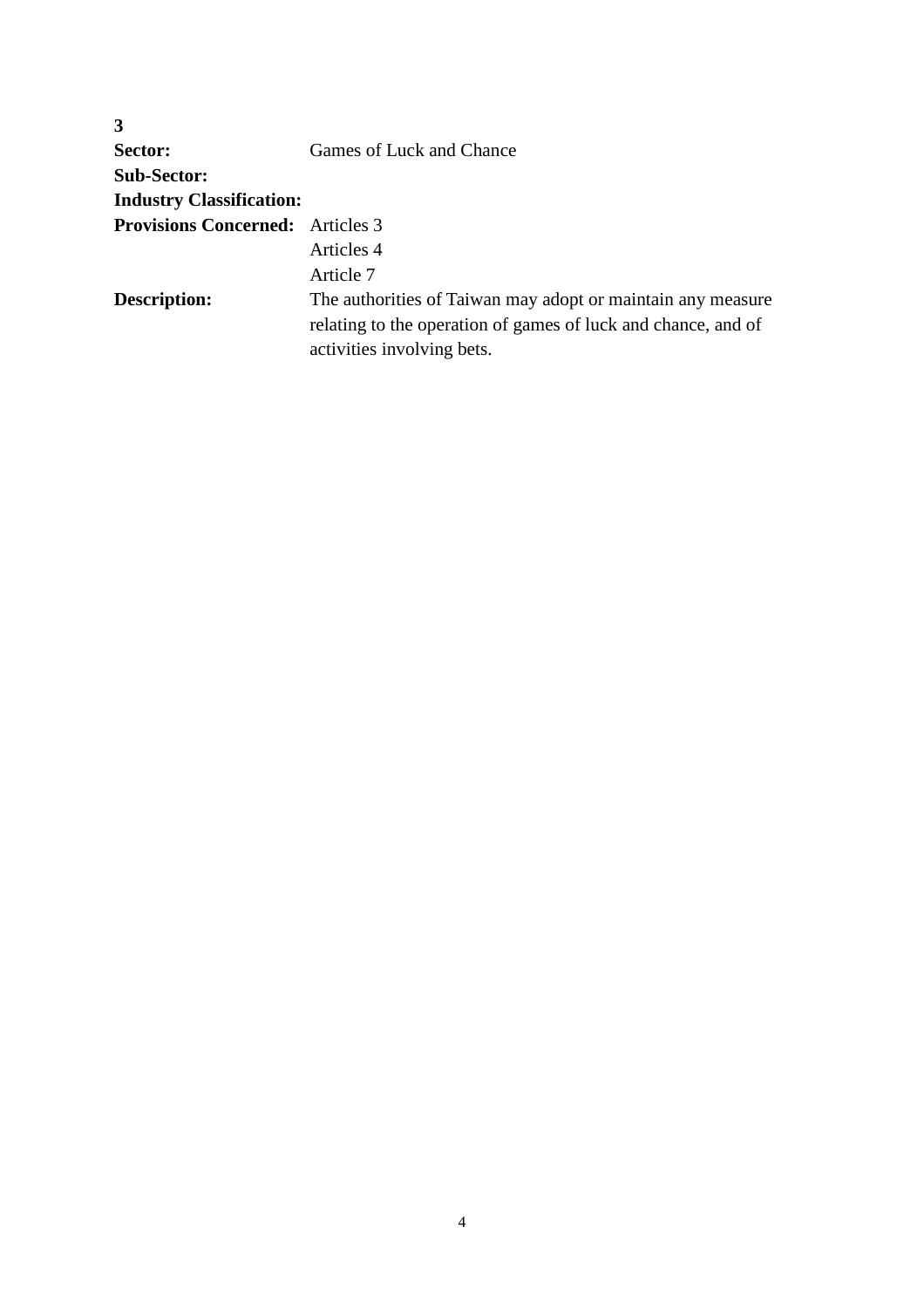| Games of Luck and Chance                                      |
|---------------------------------------------------------------|
|                                                               |
|                                                               |
| <b>Provisions Concerned:</b> Articles 3                       |
| Articles 4                                                    |
| Article 7                                                     |
| The authorities of Taiwan may adopt or maintain any measure   |
| relating to the operation of games of luck and chance, and of |
| activities involving bets.                                    |
|                                                               |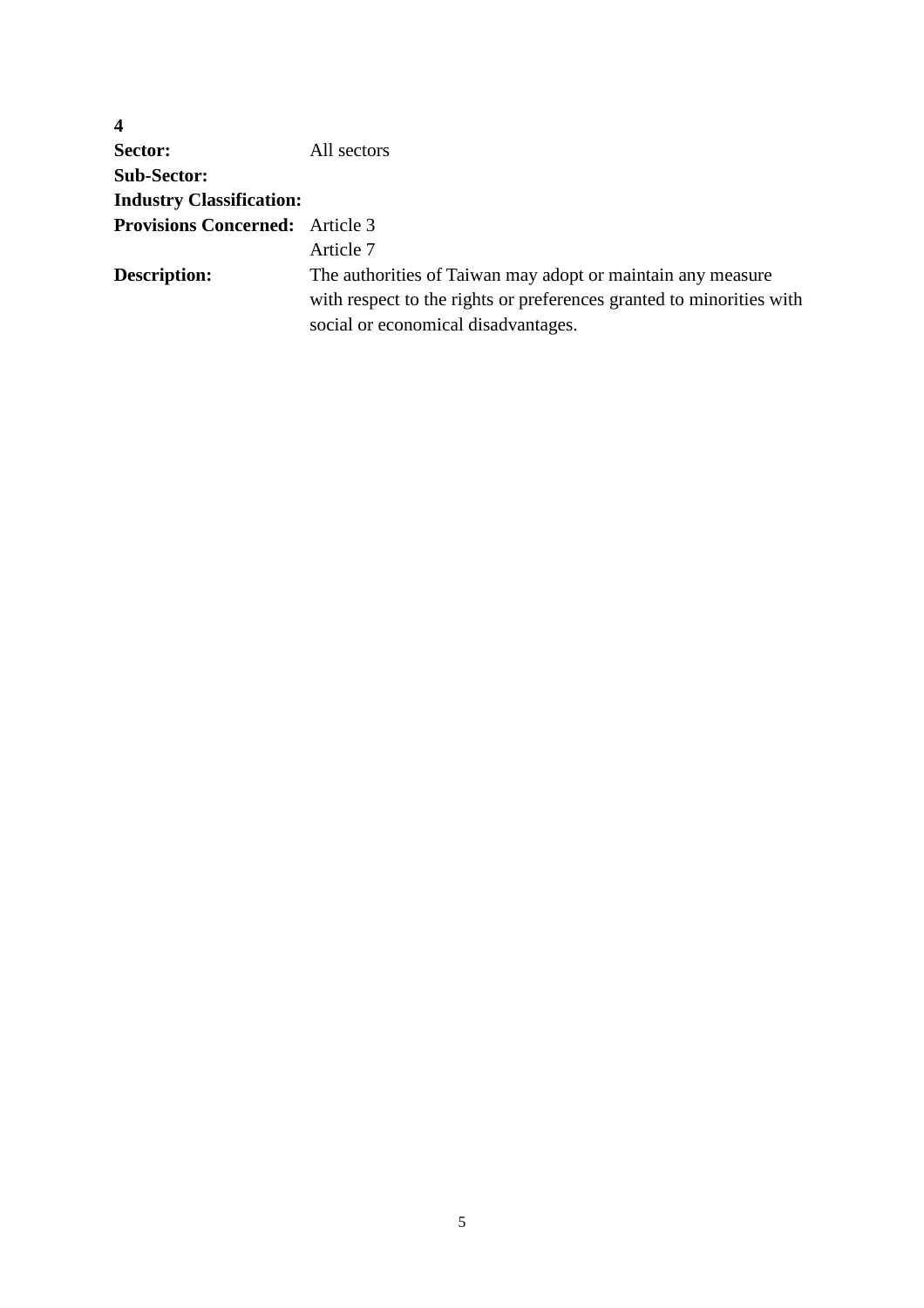| $\overline{\mathbf{4}}$                |                                                                      |
|----------------------------------------|----------------------------------------------------------------------|
| Sector:                                | All sectors                                                          |
| <b>Sub-Sector:</b>                     |                                                                      |
| <b>Industry Classification:</b>        |                                                                      |
| <b>Provisions Concerned:</b> Article 3 |                                                                      |
|                                        | Article 7                                                            |
| <b>Description:</b>                    | The authorities of Taiwan may adopt or maintain any measure          |
|                                        | with respect to the rights or preferences granted to minorities with |
|                                        | social or economical disadvantages.                                  |
|                                        |                                                                      |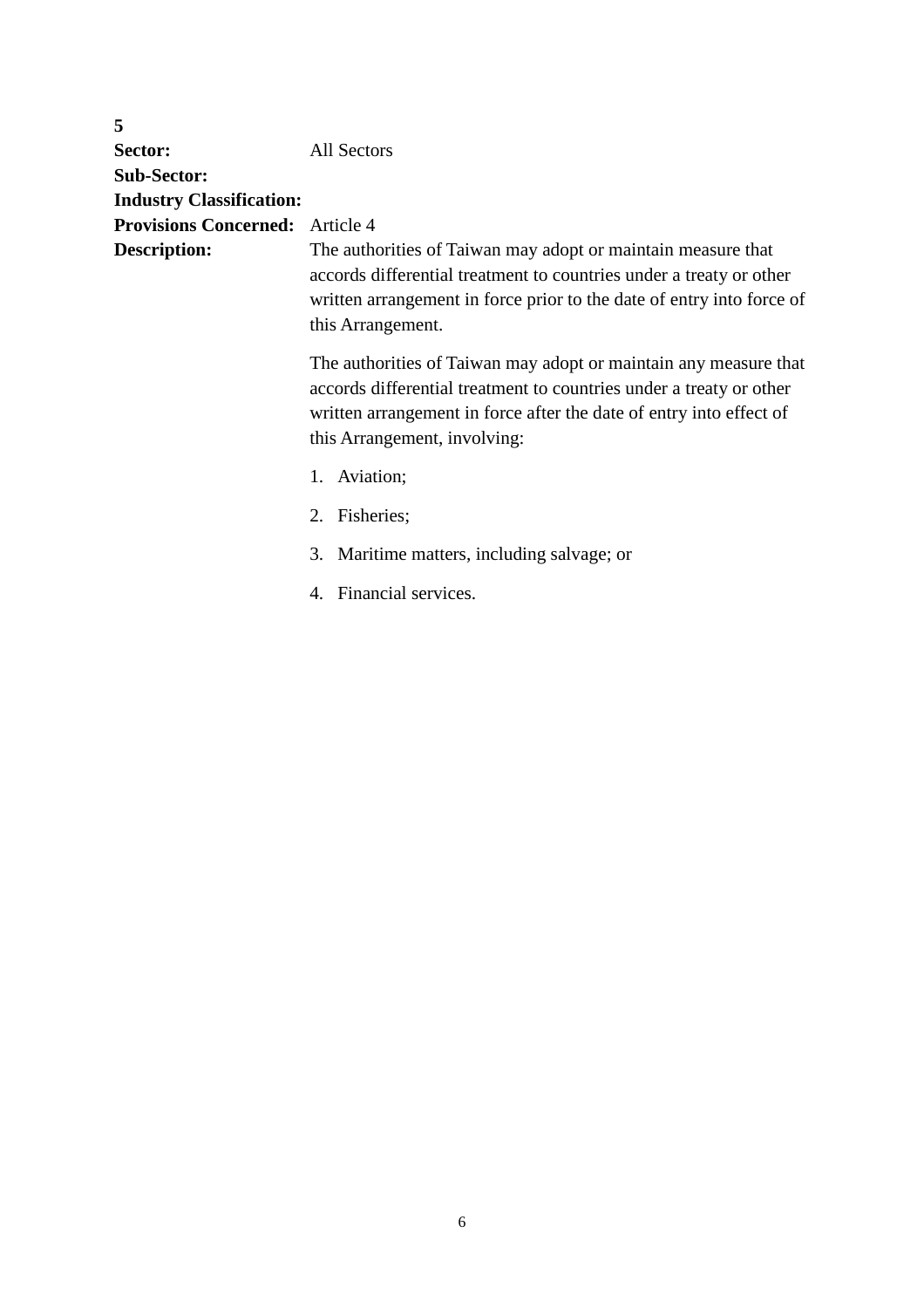| 5                                      |                                                                                                                                                                                                                                                |
|----------------------------------------|------------------------------------------------------------------------------------------------------------------------------------------------------------------------------------------------------------------------------------------------|
| Sector:                                | <b>All Sectors</b>                                                                                                                                                                                                                             |
| <b>Sub-Sector:</b>                     |                                                                                                                                                                                                                                                |
| <b>Industry Classification:</b>        |                                                                                                                                                                                                                                                |
| <b>Provisions Concerned:</b> Article 4 |                                                                                                                                                                                                                                                |
| <b>Description:</b>                    | The authorities of Taiwan may adopt or maintain measure that<br>accords differential treatment to countries under a treaty or other<br>written arrangement in force prior to the date of entry into force of<br>this Arrangement.              |
|                                        | The authorities of Taiwan may adopt or maintain any measure that<br>accords differential treatment to countries under a treaty or other<br>written arrangement in force after the date of entry into effect of<br>this Arrangement, involving: |
|                                        | 1. Aviation;                                                                                                                                                                                                                                   |
|                                        | 2. Fisheries;                                                                                                                                                                                                                                  |
|                                        | 3. Maritime matters, including salvage; or                                                                                                                                                                                                     |
|                                        | 4. Financial services.                                                                                                                                                                                                                         |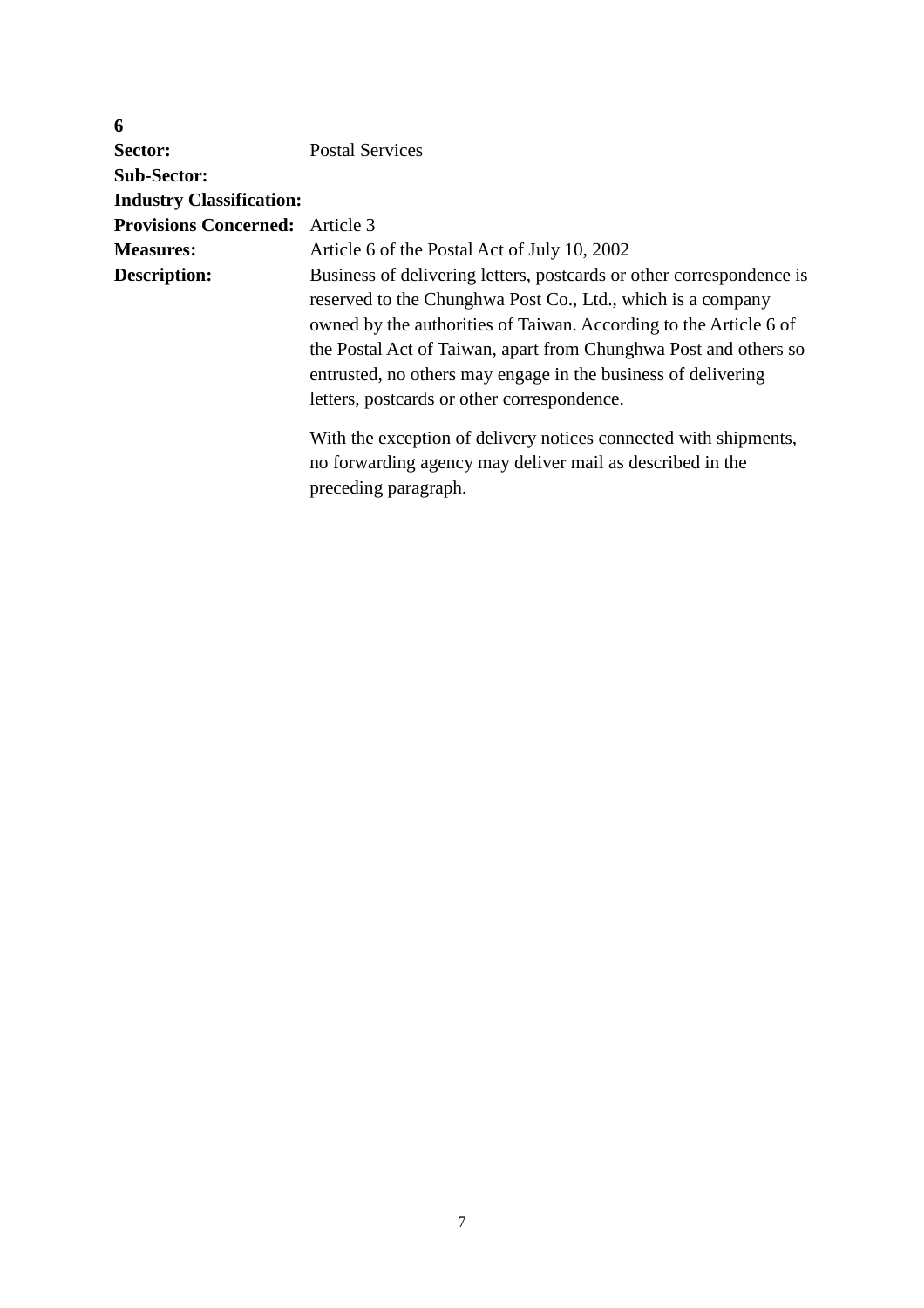| 6                                      |                                                                                                                                                                                                                                                                                                                                                                                              |
|----------------------------------------|----------------------------------------------------------------------------------------------------------------------------------------------------------------------------------------------------------------------------------------------------------------------------------------------------------------------------------------------------------------------------------------------|
| Sector:                                | <b>Postal Services</b>                                                                                                                                                                                                                                                                                                                                                                       |
| <b>Sub-Sector:</b>                     |                                                                                                                                                                                                                                                                                                                                                                                              |
| <b>Industry Classification:</b>        |                                                                                                                                                                                                                                                                                                                                                                                              |
| <b>Provisions Concerned:</b> Article 3 |                                                                                                                                                                                                                                                                                                                                                                                              |
| <b>Measures:</b>                       | Article 6 of the Postal Act of July 10, 2002                                                                                                                                                                                                                                                                                                                                                 |
| <b>Description:</b>                    | Business of delivering letters, postcards or other correspondence is<br>reserved to the Chunghwa Post Co., Ltd., which is a company<br>owned by the authorities of Taiwan. According to the Article 6 of<br>the Postal Act of Taiwan, apart from Chunghwa Post and others so<br>entrusted, no others may engage in the business of delivering<br>letters, postcards or other correspondence. |
|                                        | With the exception of delivery notices connected with shipments,<br>no forwarding agency may deliver mail as described in the<br>preceding paragraph.                                                                                                                                                                                                                                        |